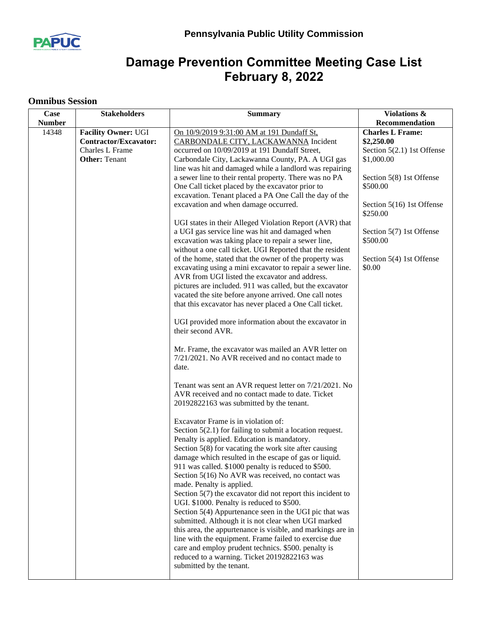

## **Damage Prevention Committee Meeting Case List February 8, 2022**

## **Omnibus Session**

| Case          | <b>Stakeholders</b>                                                                                          | <b>Summary</b>                                                                                                                                                                                                                                                                                                                                                                                                                                                                                                                                                                                                                                                                                                                                                                                                                                                                                                                                                                                                                                                                                                                                                                                              | Violations &                                                                                                                |
|---------------|--------------------------------------------------------------------------------------------------------------|-------------------------------------------------------------------------------------------------------------------------------------------------------------------------------------------------------------------------------------------------------------------------------------------------------------------------------------------------------------------------------------------------------------------------------------------------------------------------------------------------------------------------------------------------------------------------------------------------------------------------------------------------------------------------------------------------------------------------------------------------------------------------------------------------------------------------------------------------------------------------------------------------------------------------------------------------------------------------------------------------------------------------------------------------------------------------------------------------------------------------------------------------------------------------------------------------------------|-----------------------------------------------------------------------------------------------------------------------------|
| <b>Number</b> |                                                                                                              |                                                                                                                                                                                                                                                                                                                                                                                                                                                                                                                                                                                                                                                                                                                                                                                                                                                                                                                                                                                                                                                                                                                                                                                                             | Recommendation                                                                                                              |
| 14348         | <b>Facility Owner: UGI</b><br><b>Contractor/Excavator:</b><br><b>Charles L Frame</b><br><b>Other: Tenant</b> | On 10/9/2019 9:31:00 AM at 191 Dundaff St,<br>CARBONDALE CITY, LACKAWANNA Incident<br>occurred on 10/09/2019 at 191 Dundaff Street,<br>Carbondale City, Lackawanna County, PA. A UGI gas<br>line was hit and damaged while a landlord was repairing<br>a sewer line to their rental property. There was no PA<br>One Call ticket placed by the excavator prior to                                                                                                                                                                                                                                                                                                                                                                                                                                                                                                                                                                                                                                                                                                                                                                                                                                           | <b>Charles L Frame:</b><br>\$2,250.00<br>Section $5(2.1)$ 1st Offense<br>\$1,000.00<br>Section 5(8) 1st Offense<br>\$500.00 |
|               |                                                                                                              | excavation. Tenant placed a PA One Call the day of the<br>excavation and when damage occurred.<br>UGI states in their Alleged Violation Report (AVR) that<br>a UGI gas service line was hit and damaged when<br>excavation was taking place to repair a sewer line,<br>without a one call ticket. UGI Reported that the resident<br>of the home, stated that the owner of the property was<br>excavating using a mini excavator to repair a sewer line.<br>AVR from UGI listed the excavator and address.<br>pictures are included. 911 was called, but the excavator<br>vacated the site before anyone arrived. One call notes<br>that this excavator has never placed a One Call ticket.<br>UGI provided more information about the excavator in<br>their second AVR.<br>Mr. Frame, the excavator was mailed an AVR letter on<br>7/21/2021. No AVR received and no contact made to<br>date.<br>Tenant was sent an AVR request letter on 7/21/2021. No<br>AVR received and no contact made to date. Ticket<br>20192822163 was submitted by the tenant.<br>Excavator Frame is in violation of:<br>Section $5(2.1)$ for failing to submit a location request.<br>Penalty is applied. Education is mandatory. | Section 5(16) 1st Offense<br>\$250.00<br>Section 5(7) 1st Offense<br>\$500.00<br>Section 5(4) 1st Offense<br>\$0.00         |
|               |                                                                                                              | Section $5(8)$ for vacating the work site after causing<br>damage which resulted in the escape of gas or liquid.<br>911 was called. \$1000 penalty is reduced to \$500.<br>Section 5(16) No AVR was received, no contact was<br>made. Penalty is applied.<br>Section $5(7)$ the excavator did not report this incident to<br>UGI. \$1000. Penalty is reduced to \$500.<br>Section 5(4) Appurtenance seen in the UGI pic that was<br>submitted. Although it is not clear when UGI marked<br>this area, the appurtenance is visible, and markings are in<br>line with the equipment. Frame failed to exercise due<br>care and employ prudent technics. \$500. penalty is<br>reduced to a warning. Ticket 20192822163 was<br>submitted by the tenant.                                                                                                                                                                                                                                                                                                                                                                                                                                                          |                                                                                                                             |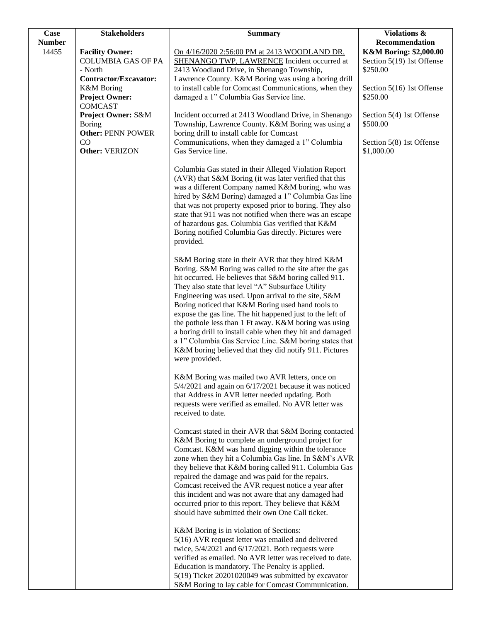| <b>Case</b>   | <b>Stakeholders</b>                                                                       | <b>Summary</b>                                                                                                                                                                                                                                                                                                                                                                                                                                                                                                                                                                                                                                                  | Violations &                                                               |
|---------------|-------------------------------------------------------------------------------------------|-----------------------------------------------------------------------------------------------------------------------------------------------------------------------------------------------------------------------------------------------------------------------------------------------------------------------------------------------------------------------------------------------------------------------------------------------------------------------------------------------------------------------------------------------------------------------------------------------------------------------------------------------------------------|----------------------------------------------------------------------------|
| <b>Number</b> |                                                                                           |                                                                                                                                                                                                                                                                                                                                                                                                                                                                                                                                                                                                                                                                 | Recommendation                                                             |
| 14455         | <b>Facility Owner:</b><br><b>COLUMBIA GAS OF PA</b><br>- North                            | On 4/16/2020 2:56:00 PM at 2413 WOODLAND DR.<br><b>SHENANGO TWP, LAWRENCE Incident occurred at</b><br>2413 Woodland Drive, in Shenango Township,                                                                                                                                                                                                                                                                                                                                                                                                                                                                                                                | <b>K&amp;M Boring: \$2,000.00</b><br>Section 5(19) 1st Offense<br>\$250.00 |
|               | Contractor/Excavator:<br><b>K&amp;M</b> Boring<br><b>Project Owner:</b><br><b>COMCAST</b> | Lawrence County. K&M Boring was using a boring drill<br>to install cable for Comcast Communications, when they<br>damaged a 1" Columbia Gas Service line.                                                                                                                                                                                                                                                                                                                                                                                                                                                                                                       | Section 5(16) 1st Offense<br>\$250.00                                      |
|               | <b>Project Owner: S&amp;M</b><br><b>Boring</b><br><b>Other: PENN POWER</b>                | Incident occurred at 2413 Woodland Drive, in Shenango<br>Township, Lawrence County. K&M Boring was using a<br>boring drill to install cable for Comcast                                                                                                                                                                                                                                                                                                                                                                                                                                                                                                         | Section 5(4) 1st Offense<br>\$500.00                                       |
|               | CO<br>Other: VERIZON                                                                      | Communications, when they damaged a 1" Columbia<br>Gas Service line.                                                                                                                                                                                                                                                                                                                                                                                                                                                                                                                                                                                            | Section 5(8) 1st Offense<br>\$1,000.00                                     |
|               |                                                                                           | Columbia Gas stated in their Alleged Violation Report<br>(AVR) that S&M Boring (it was later verified that this<br>was a different Company named K&M boring, who was<br>hired by S&M Boring) damaged a 1" Columbia Gas line<br>that was not property exposed prior to boring. They also<br>state that 911 was not notified when there was an escape<br>of hazardous gas. Columbia Gas verified that K&M<br>Boring notified Columbia Gas directly. Pictures were<br>provided.                                                                                                                                                                                    |                                                                            |
|               |                                                                                           | S&M Boring state in their AVR that they hired K&M<br>Boring. S&M Boring was called to the site after the gas<br>hit occurred. He believes that S&M boring called 911.<br>They also state that level "A" Subsurface Utility<br>Engineering was used. Upon arrival to the site, S&M<br>Boring noticed that K&M Boring used hand tools to<br>expose the gas line. The hit happened just to the left of<br>the pothole less than 1 Ft away. K&M boring was using<br>a boring drill to install cable when they hit and damaged<br>a 1" Columbia Gas Service Line. S&M boring states that<br>K&M boring believed that they did notify 911. Pictures<br>were provided. |                                                                            |
|               |                                                                                           | K&M Boring was mailed two AVR letters, once on<br>5/4/2021 and again on 6/17/2021 because it was noticed<br>that Address in AVR letter needed updating. Both<br>requests were verified as emailed. No AVR letter was<br>received to date.                                                                                                                                                                                                                                                                                                                                                                                                                       |                                                                            |
|               |                                                                                           | Comcast stated in their AVR that S&M Boring contacted<br>K&M Boring to complete an underground project for<br>Comcast. K&M was hand digging within the tolerance<br>zone when they hit a Columbia Gas line. In S&M's AVR<br>they believe that K&M boring called 911. Columbia Gas<br>repaired the damage and was paid for the repairs.<br>Comcast received the AVR request notice a year after<br>this incident and was not aware that any damaged had<br>occurred prior to this report. They believe that K&M<br>should have submitted their own One Call ticket.                                                                                              |                                                                            |
|               |                                                                                           | K&M Boring is in violation of Sections:<br>5(16) AVR request letter was emailed and delivered<br>twice, $5/4/2021$ and $6/17/2021$ . Both requests were<br>verified as emailed. No AVR letter was received to date.<br>Education is mandatory. The Penalty is applied.<br>5(19) Ticket 20201020049 was submitted by excavator<br>S&M Boring to lay cable for Comcast Communication.                                                                                                                                                                                                                                                                             |                                                                            |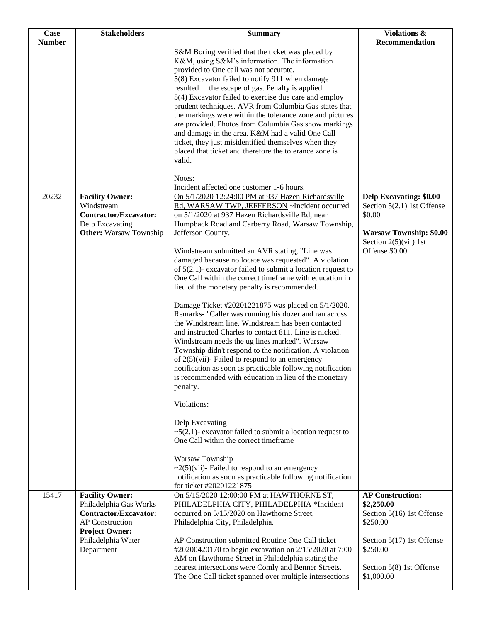| Case          | <b>Stakeholders</b>                              | <b>Summary</b>                                                                                                 | Violations &                          |
|---------------|--------------------------------------------------|----------------------------------------------------------------------------------------------------------------|---------------------------------------|
| <b>Number</b> |                                                  |                                                                                                                | Recommendation                        |
|               |                                                  | S&M Boring verified that the ticket was placed by                                                              |                                       |
|               |                                                  | K&M, using S&M's information. The information<br>provided to One call was not accurate.                        |                                       |
|               |                                                  | 5(8) Excavator failed to notify 911 when damage                                                                |                                       |
|               |                                                  | resulted in the escape of gas. Penalty is applied.                                                             |                                       |
|               |                                                  | 5(4) Excavator failed to exercise due care and employ                                                          |                                       |
|               |                                                  | prudent techniques. AVR from Columbia Gas states that                                                          |                                       |
|               |                                                  | the markings were within the tolerance zone and pictures                                                       |                                       |
|               |                                                  | are provided. Photos from Columbia Gas show markings                                                           |                                       |
|               |                                                  | and damage in the area. K&M had a valid One Call                                                               |                                       |
|               |                                                  | ticket, they just misidentified themselves when they<br>placed that ticket and therefore the tolerance zone is |                                       |
|               |                                                  | valid.                                                                                                         |                                       |
|               |                                                  |                                                                                                                |                                       |
|               |                                                  | Notes:                                                                                                         |                                       |
|               |                                                  | Incident affected one customer 1-6 hours.                                                                      |                                       |
| 20232         | <b>Facility Owner:</b>                           | On 5/1/2020 12:24:00 PM at 937 Hazen Richardsville                                                             | <b>Delp Excavating: \$0.00</b>        |
|               | Windstream                                       | Rd, WARSAW TWP, JEFFERSON ~Incident occurred                                                                   | Section $5(2.1)$ 1st Offense          |
|               | <b>Contractor/Excavator:</b><br>Delp Excavating  | on 5/1/2020 at 937 Hazen Richardsville Rd, near<br>Humpback Road and Carberry Road, Warsaw Township,           | \$0.00                                |
|               | <b>Other:</b> Warsaw Township                    | Jefferson County.                                                                                              | <b>Warsaw Township: \$0.00</b>        |
|               |                                                  |                                                                                                                | Section $2(5)(vii)$ 1st               |
|               |                                                  | Windstream submitted an AVR stating, "Line was                                                                 | Offense \$0.00                        |
|               |                                                  | damaged because no locate was requested". A violation                                                          |                                       |
|               |                                                  | of $5(2.1)$ - excavator failed to submit a location request to                                                 |                                       |
|               |                                                  | One Call within the correct timeframe with education in                                                        |                                       |
|               |                                                  | lieu of the monetary penalty is recommended.                                                                   |                                       |
|               |                                                  | Damage Ticket #20201221875 was placed on 5/1/2020.                                                             |                                       |
|               |                                                  | Remarks- "Caller was running his dozer and ran across                                                          |                                       |
|               |                                                  | the Windstream line. Windstream has been contacted                                                             |                                       |
|               |                                                  | and instructed Charles to contact 811. Line is nicked.                                                         |                                       |
|               |                                                  | Windstream needs the ug lines marked". Warsaw<br>Township didn't respond to the notification. A violation      |                                       |
|               |                                                  | of $2(5)(vii)$ - Failed to respond to an emergency                                                             |                                       |
|               |                                                  | notification as soon as practicable following notification                                                     |                                       |
|               |                                                  | is recommended with education in lieu of the monetary                                                          |                                       |
|               |                                                  | penalty.                                                                                                       |                                       |
|               |                                                  | Violations:                                                                                                    |                                       |
|               |                                                  |                                                                                                                |                                       |
|               |                                                  | Delp Excavating                                                                                                |                                       |
|               |                                                  | $\sim$ 5(2.1)- excavator failed to submit a location request to<br>One Call within the correct timeframe       |                                       |
|               |                                                  |                                                                                                                |                                       |
|               |                                                  | Warsaw Township                                                                                                |                                       |
|               |                                                  | $\sim$ 2(5)(vii)- Failed to respond to an emergency                                                            |                                       |
|               |                                                  | notification as soon as practicable following notification                                                     |                                       |
|               |                                                  | for ticket #20201221875                                                                                        |                                       |
| 15417         | <b>Facility Owner:</b><br>Philadelphia Gas Works | On 5/15/2020 12:00:00 PM at HAWTHORNE ST,<br>PHILADELPHIA CITY, PHILADELPHIA *Incident                         | <b>AP Construction:</b><br>\$2,250.00 |
|               | <b>Contractor/Excavator:</b>                     | occurred on 5/15/2020 on Hawthorne Street,                                                                     | Section 5(16) 1st Offense             |
|               | <b>AP</b> Construction                           | Philadelphia City, Philadelphia.                                                                               | \$250.00                              |
|               | <b>Project Owner:</b>                            |                                                                                                                |                                       |
|               | Philadelphia Water                               | AP Construction submitted Routine One Call ticket                                                              | Section 5(17) 1st Offense             |
|               | Department                                       | #20200420170 to begin excavation on 2/15/2020 at 7:00                                                          | \$250.00                              |
|               |                                                  | AM on Hawthorne Street in Philadelphia stating the<br>nearest intersections were Comly and Benner Streets.     | Section 5(8) 1st Offense              |
|               |                                                  | The One Call ticket spanned over multiple intersections                                                        | \$1,000.00                            |
|               |                                                  |                                                                                                                |                                       |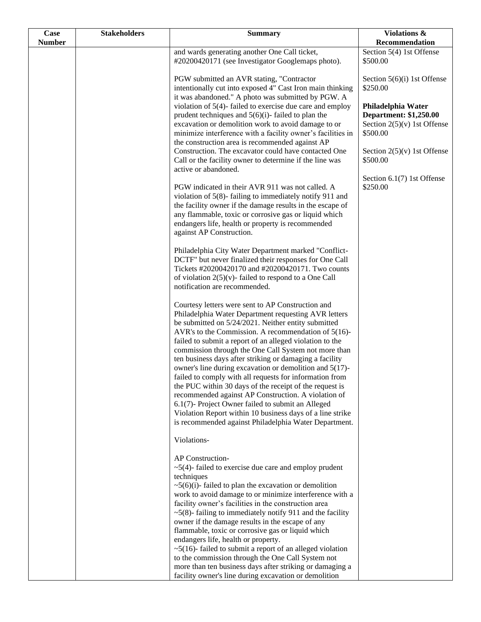| Case          | <b>Stakeholders</b> | <b>Summary</b>                                                                                                                                                                                                                                                                                                                                                                                                                                                                                                                                                                                                                                                                                                                                                                                                               | Violations &                                                                                     |
|---------------|---------------------|------------------------------------------------------------------------------------------------------------------------------------------------------------------------------------------------------------------------------------------------------------------------------------------------------------------------------------------------------------------------------------------------------------------------------------------------------------------------------------------------------------------------------------------------------------------------------------------------------------------------------------------------------------------------------------------------------------------------------------------------------------------------------------------------------------------------------|--------------------------------------------------------------------------------------------------|
| <b>Number</b> |                     |                                                                                                                                                                                                                                                                                                                                                                                                                                                                                                                                                                                                                                                                                                                                                                                                                              | Recommendation                                                                                   |
|               |                     | and wards generating another One Call ticket,<br>#20200420171 (see Investigator Googlemaps photo).                                                                                                                                                                                                                                                                                                                                                                                                                                                                                                                                                                                                                                                                                                                           | Section 5(4) 1st Offense<br>\$500.00                                                             |
|               |                     | PGW submitted an AVR stating, "Contractor<br>intentionally cut into exposed 4" Cast Iron main thinking<br>it was abandoned." A photo was submitted by PGW. A                                                                                                                                                                                                                                                                                                                                                                                                                                                                                                                                                                                                                                                                 | Section 5(6)(i) 1st Offense<br>\$250.00                                                          |
|               |                     | violation of $5(4)$ - failed to exercise due care and employ<br>prudent techniques and $5(6)(i)$ - failed to plan the<br>excavation or demolition work to avoid damage to or<br>minimize interference with a facility owner's facilities in                                                                                                                                                                                                                                                                                                                                                                                                                                                                                                                                                                                  | Philadelphia Water<br><b>Department: \$1,250.00</b><br>Section $2(5)(v)$ 1st Offense<br>\$500.00 |
|               |                     | the construction area is recommended against AP<br>Construction. The excavator could have contacted One<br>Call or the facility owner to determine if the line was<br>active or abandoned.                                                                                                                                                                                                                                                                                                                                                                                                                                                                                                                                                                                                                                   | Section $2(5)(v)$ 1st Offense<br>\$500.00                                                        |
|               |                     | PGW indicated in their AVR 911 was not called. A<br>violation of $5(8)$ -failing to immediately notify 911 and<br>the facility owner if the damage results in the escape of<br>any flammable, toxic or corrosive gas or liquid which<br>endangers life, health or property is recommended<br>against AP Construction.                                                                                                                                                                                                                                                                                                                                                                                                                                                                                                        | Section 6.1(7) 1st Offense<br>\$250.00                                                           |
|               |                     | Philadelphia City Water Department marked "Conflict-<br>DCTF" but never finalized their responses for One Call<br>Tickets #20200420170 and #20200420171. Two counts<br>of violation $2(5)(v)$ - failed to respond to a One Call<br>notification are recommended.                                                                                                                                                                                                                                                                                                                                                                                                                                                                                                                                                             |                                                                                                  |
|               |                     | Courtesy letters were sent to AP Construction and<br>Philadelphia Water Department requesting AVR letters<br>be submitted on 5/24/2021. Neither entity submitted<br>AVR's to the Commission. A recommendation of $5(16)$ -<br>failed to submit a report of an alleged violation to the<br>commission through the One Call System not more than<br>ten business days after striking or damaging a facility<br>owner's line during excavation or demolition and 5(17)-<br>failed to comply with all requests for information from<br>the PUC within 30 days of the receipt of the request is<br>recommended against AP Construction. A violation of<br>6.1(7)- Project Owner failed to submit an Alleged<br>Violation Report within 10 business days of a line strike<br>is recommended against Philadelphia Water Department. |                                                                                                  |
|               |                     | Violations-<br><b>AP</b> Construction-                                                                                                                                                                                                                                                                                                                                                                                                                                                                                                                                                                                                                                                                                                                                                                                       |                                                                                                  |
|               |                     | $\sim$ 5(4)-failed to exercise due care and employ prudent<br>techniques<br>$\sim$ 5(6)(i)-failed to plan the excavation or demolition<br>work to avoid damage to or minimize interference with a<br>facility owner's facilities in the construction area<br>$\sim$ 5(8)-failing to immediately notify 911 and the facility                                                                                                                                                                                                                                                                                                                                                                                                                                                                                                  |                                                                                                  |
|               |                     | owner if the damage results in the escape of any<br>flammable, toxic or corrosive gas or liquid which<br>endangers life, health or property.<br>$\sim$ 5(16)- failed to submit a report of an alleged violation<br>to the commission through the One Call System not<br>more than ten business days after striking or damaging a                                                                                                                                                                                                                                                                                                                                                                                                                                                                                             |                                                                                                  |
|               |                     | facility owner's line during excavation or demolition                                                                                                                                                                                                                                                                                                                                                                                                                                                                                                                                                                                                                                                                                                                                                                        |                                                                                                  |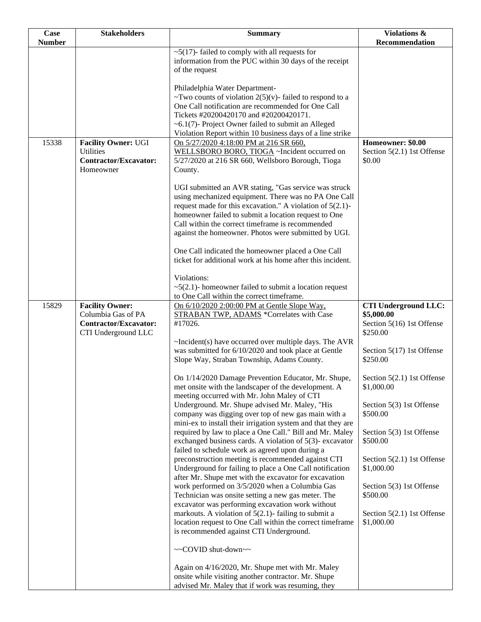| <b>Case</b>   | <b>Stakeholders</b>          | <b>Summary</b>                                                                                                | Violations &                               |
|---------------|------------------------------|---------------------------------------------------------------------------------------------------------------|--------------------------------------------|
| <b>Number</b> |                              |                                                                                                               | <b>Recommendation</b>                      |
|               |                              | $\sim$ 5(17)-failed to comply with all requests for                                                           |                                            |
|               |                              | information from the PUC within 30 days of the receipt                                                        |                                            |
|               |                              | of the request                                                                                                |                                            |
|               |                              | Philadelphia Water Department-                                                                                |                                            |
|               |                              | ~Two counts of violation $2(5)(v)$ - failed to respond to a                                                   |                                            |
|               |                              | One Call notification are recommended for One Call                                                            |                                            |
|               |                              | Tickets #20200420170 and #20200420171.                                                                        |                                            |
|               |                              | $~6.1(7)$ - Project Owner failed to submit an Alleged                                                         |                                            |
|               |                              | Violation Report within 10 business days of a line strike                                                     |                                            |
| 15338         | <b>Facility Owner: UGI</b>   | On 5/27/2020 4:18:00 PM at 216 SR 660,                                                                        | Homeowner: \$0.00                          |
|               | <b>Utilities</b>             | WELLSBORO BORO, TIOGA ~Incident occurred on                                                                   | Section 5(2.1) 1st Offense                 |
|               | <b>Contractor/Excavator:</b> | 5/27/2020 at 216 SR 660, Wellsboro Borough, Tioga                                                             | \$0.00                                     |
|               | Homeowner                    | County.                                                                                                       |                                            |
|               |                              |                                                                                                               |                                            |
|               |                              | UGI submitted an AVR stating, "Gas service was struck<br>using mechanized equipment. There was no PA One Call |                                            |
|               |                              | request made for this excavation." A violation of $5(2.1)$ -                                                  |                                            |
|               |                              | homeowner failed to submit a location request to One                                                          |                                            |
|               |                              | Call within the correct timeframe is recommended                                                              |                                            |
|               |                              | against the homeowner. Photos were submitted by UGI.                                                          |                                            |
|               |                              |                                                                                                               |                                            |
|               |                              | One Call indicated the homeowner placed a One Call                                                            |                                            |
|               |                              | ticket for additional work at his home after this incident.                                                   |                                            |
|               |                              |                                                                                                               |                                            |
|               |                              | Violations:<br>$\sim$ 5(2.1)- homeowner failed to submit a location request                                   |                                            |
|               |                              | to One Call within the correct timeframe.                                                                     |                                            |
| 15829         | <b>Facility Owner:</b>       | On 6/10/2020 2:00:00 PM at Gentle Slope Way,                                                                  | <b>CTI Underground LLC:</b>                |
|               | Columbia Gas of PA           | <b>STRABAN TWP, ADAMS *Correlates with Case</b>                                                               | \$5,000.00                                 |
|               | Contractor/Excavator:        | #17026.                                                                                                       | Section 5(16) 1st Offense                  |
|               | CTI Underground LLC          |                                                                                                               | \$250.00                                   |
|               |                              | $\sim$ Incident(s) have occurred over multiple days. The AVR                                                  |                                            |
|               |                              | was submitted for 6/10/2020 and took place at Gentle                                                          | Section 5(17) 1st Offense                  |
|               |                              | Slope Way, Straban Township, Adams County.                                                                    | \$250.00                                   |
|               |                              |                                                                                                               |                                            |
|               |                              | On 1/14/2020 Damage Prevention Educator, Mr. Shupe,<br>met onsite with the landscaper of the development. A   | Section $5(2.1)$ 1st Offense<br>\$1,000.00 |
|               |                              | meeting occurred with Mr. John Maley of CTI                                                                   |                                            |
|               |                              | Underground. Mr. Shupe advised Mr. Maley, "His                                                                | Section 5(3) 1st Offense                   |
|               |                              | company was digging over top of new gas main with a                                                           | \$500.00                                   |
|               |                              | mini-ex to install their irrigation system and that they are                                                  |                                            |
|               |                              | required by law to place a One Call." Bill and Mr. Maley                                                      | Section 5(3) 1st Offense                   |
|               |                              | exchanged business cards. A violation of 5(3)-excavator                                                       | \$500.00                                   |
|               |                              | failed to schedule work as agreed upon during a                                                               |                                            |
|               |                              | preconstruction meeting is recommended against CTI                                                            | Section 5(2.1) 1st Offense                 |
|               |                              | Underground for failing to place a One Call notification                                                      | \$1,000.00                                 |
|               |                              | after Mr. Shupe met with the excavator for excavation<br>work performed on 3/5/2020 when a Columbia Gas       |                                            |
|               |                              | Technician was onsite setting a new gas meter. The                                                            | Section 5(3) 1st Offense<br>\$500.00       |
|               |                              | excavator was performing excavation work without                                                              |                                            |
|               |                              | markouts. A violation of $5(2.1)$ - failing to submit a                                                       | Section 5(2.1) 1st Offense                 |
|               |                              | location request to One Call within the correct timeframe                                                     | \$1,000.00                                 |
|               |                              | is recommended against CTI Underground.                                                                       |                                            |
|               |                              |                                                                                                               |                                            |
|               |                              | ~~COVID shut-down~~                                                                                           |                                            |
|               |                              |                                                                                                               |                                            |
|               |                              | Again on 4/16/2020, Mr. Shupe met with Mr. Maley<br>onsite while visiting another contractor. Mr. Shupe       |                                            |
|               |                              | advised Mr. Maley that if work was resuming, they                                                             |                                            |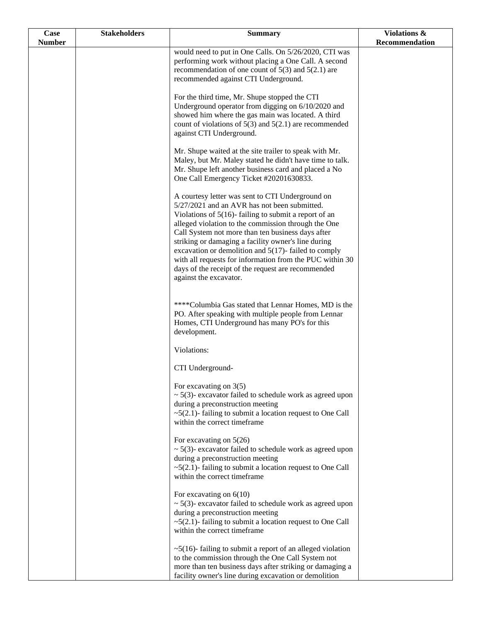| Case          | <b>Stakeholders</b> | <b>Summary</b>                                                                                                 | <b>Violations &amp;</b> |
|---------------|---------------------|----------------------------------------------------------------------------------------------------------------|-------------------------|
| <b>Number</b> |                     |                                                                                                                | Recommendation          |
|               |                     | would need to put in One Calls. On 5/26/2020, CTI was                                                          |                         |
|               |                     | performing work without placing a One Call. A second<br>recommendation of one count of $5(3)$ and $5(2.1)$ are |                         |
|               |                     | recommended against CTI Underground.                                                                           |                         |
|               |                     |                                                                                                                |                         |
|               |                     | For the third time, Mr. Shupe stopped the CTI                                                                  |                         |
|               |                     | Underground operator from digging on 6/10/2020 and                                                             |                         |
|               |                     | showed him where the gas main was located. A third                                                             |                         |
|               |                     | count of violations of $5(3)$ and $5(2.1)$ are recommended                                                     |                         |
|               |                     | against CTI Underground.                                                                                       |                         |
|               |                     | Mr. Shupe waited at the site trailer to speak with Mr.                                                         |                         |
|               |                     | Maley, but Mr. Maley stated he didn't have time to talk.                                                       |                         |
|               |                     | Mr. Shupe left another business card and placed a No                                                           |                         |
|               |                     | One Call Emergency Ticket #20201630833.                                                                        |                         |
|               |                     |                                                                                                                |                         |
|               |                     | A courtesy letter was sent to CTI Underground on<br>5/27/2021 and an AVR has not been submitted.               |                         |
|               |                     | Violations of $5(16)$ - failing to submit a report of an                                                       |                         |
|               |                     | alleged violation to the commission through the One                                                            |                         |
|               |                     | Call System not more than ten business days after                                                              |                         |
|               |                     | striking or damaging a facility owner's line during                                                            |                         |
|               |                     | excavation or demolition and $5(17)$ - failed to comply                                                        |                         |
|               |                     | with all requests for information from the PUC within 30                                                       |                         |
|               |                     | days of the receipt of the request are recommended<br>against the excavator.                                   |                         |
|               |                     |                                                                                                                |                         |
|               |                     |                                                                                                                |                         |
|               |                     | ****Columbia Gas stated that Lennar Homes, MD is the                                                           |                         |
|               |                     | PO. After speaking with multiple people from Lennar                                                            |                         |
|               |                     | Homes, CTI Underground has many PO's for this<br>development.                                                  |                         |
|               |                     |                                                                                                                |                         |
|               |                     | Violations:                                                                                                    |                         |
|               |                     | CTI Underground-                                                                                               |                         |
|               |                     | For excavating on $3(5)$                                                                                       |                         |
|               |                     | $\sim$ 5(3)- excavator failed to schedule work as agreed upon                                                  |                         |
|               |                     | during a preconstruction meeting                                                                               |                         |
|               |                     | $\sim$ 5(2.1)-failing to submit a location request to One Call                                                 |                         |
|               |                     | within the correct timeframe                                                                                   |                         |
|               |                     | For excavating on $5(26)$                                                                                      |                         |
|               |                     | $\sim$ 5(3)- excavator failed to schedule work as agreed upon                                                  |                         |
|               |                     | during a preconstruction meeting                                                                               |                         |
|               |                     | $\sim$ 5(2.1)-failing to submit a location request to One Call                                                 |                         |
|               |                     | within the correct timeframe                                                                                   |                         |
|               |                     | For excavating on $6(10)$                                                                                      |                         |
|               |                     | $\sim$ 5(3)- excavator failed to schedule work as agreed upon                                                  |                         |
|               |                     | during a preconstruction meeting                                                                               |                         |
|               |                     | $\sim$ 5(2.1)-failing to submit a location request to One Call                                                 |                         |
|               |                     | within the correct timeframe                                                                                   |                         |
|               |                     | $\sim$ 5(16)-failing to submit a report of an alleged violation                                                |                         |
|               |                     | to the commission through the One Call System not                                                              |                         |
|               |                     | more than ten business days after striking or damaging a                                                       |                         |
|               |                     | facility owner's line during excavation or demolition                                                          |                         |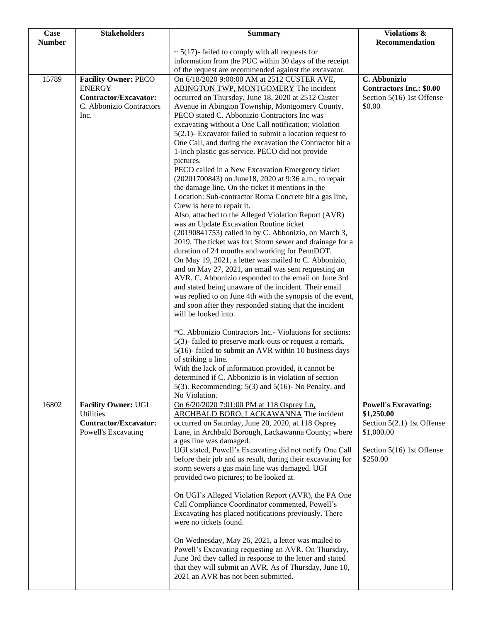| Case          | <b>Stakeholders</b>          | <b>Summary</b>                                                                                                  | Violations &                    |
|---------------|------------------------------|-----------------------------------------------------------------------------------------------------------------|---------------------------------|
| <b>Number</b> |                              |                                                                                                                 | Recommendation                  |
|               |                              | $\sim$ 5(17)- failed to comply with all requests for                                                            |                                 |
|               |                              | information from the PUC within 30 days of the receipt<br>of the request are recommended against the excavator. |                                 |
| 15789         | <b>Facility Owner: PECO</b>  | On 6/18/2020 9:00:00 AM at 2512 CUSTER AVE,                                                                     | C. Abbonizio                    |
|               | <b>ENERGY</b>                | ABINGTON TWP, MONTGOMERY The incident                                                                           | <b>Contractors Inc.: \$0.00</b> |
|               | <b>Contractor/Excavator:</b> | occurred on Thursday, June 18, 2020 at 2512 Custer                                                              | Section 5(16) 1st Offense       |
|               | C. Abbonizio Contractors     | Avenue in Abington Township, Montgomery County.                                                                 | \$0.00                          |
|               | Inc.                         | PECO stated C. Abbonizio Contractors Inc was                                                                    |                                 |
|               |                              | excavating without a One Call notification; violation                                                           |                                 |
|               |                              | $5(2.1)$ - Excavator failed to submit a location request to                                                     |                                 |
|               |                              | One Call, and during the excavation the Contractor hit a                                                        |                                 |
|               |                              | 1-inch plastic gas service. PECO did not provide                                                                |                                 |
|               |                              | pictures.                                                                                                       |                                 |
|               |                              | PECO called in a New Excavation Emergency ticket                                                                |                                 |
|               |                              | (20201700843) on June18, 2020 at 9:36 a.m., to repair<br>the damage line. On the ticket it mentions in the      |                                 |
|               |                              | Location: Sub-contractor Roma Concrete hit a gas line,                                                          |                                 |
|               |                              | Crew is here to repair it.                                                                                      |                                 |
|               |                              | Also, attached to the Alleged Violation Report (AVR)                                                            |                                 |
|               |                              | was an Update Excavation Routine ticket                                                                         |                                 |
|               |                              | (20190841753) called in by C. Abbonizio, on March 3,                                                            |                                 |
|               |                              | 2019. The ticket was for: Storm sewer and drainage for a                                                        |                                 |
|               |                              | duration of 24 months and working for PennDOT.                                                                  |                                 |
|               |                              | On May 19, 2021, a letter was mailed to C. Abbonizio,                                                           |                                 |
|               |                              | and on May 27, 2021, an email was sent requesting an                                                            |                                 |
|               |                              | AVR. C. Abbonizio responded to the email on June 3rd<br>and stated being unaware of the incident. Their email   |                                 |
|               |                              | was replied to on June 4th with the synopsis of the event,                                                      |                                 |
|               |                              | and soon after they responded stating that the incident                                                         |                                 |
|               |                              | will be looked into.                                                                                            |                                 |
|               |                              |                                                                                                                 |                                 |
|               |                              | *C. Abbonizio Contractors Inc.- Violations for sections:                                                        |                                 |
|               |                              | 5(3)-failed to preserve mark-outs or request a remark.                                                          |                                 |
|               |                              | 5(16)-failed to submit an AVR within 10 business days<br>of striking a line.                                    |                                 |
|               |                              | With the lack of information provided, it cannot be                                                             |                                 |
|               |                              | determined if C. Abbonizio is in violation of section                                                           |                                 |
|               |                              | 5(3). Recommending: $5(3)$ and $5(16)$ - No Penalty, and                                                        |                                 |
|               |                              | No Violation.                                                                                                   |                                 |
| 16802         | <b>Facility Owner: UGI</b>   | On 6/20/2020 7:01:00 PM at 118 Osprey Ln,                                                                       | <b>Powell's Excavating:</b>     |
|               | <b>Utilities</b>             | ARCHBALD BORO, LACKAWANNA The incident                                                                          | \$1,250.00                      |
|               | <b>Contractor/Excavator:</b> | occurred on Saturday, June 20, 2020, at 118 Osprey                                                              | Section 5(2.1) 1st Offense      |
|               | Powell's Excavating          | Lane, in Archbald Borough, Lackawanna County; where<br>a gas line was damaged.                                  | \$1,000.00                      |
|               |                              | UGI stated, Powell's Excavating did not notify One Call                                                         | Section 5(16) 1st Offense       |
|               |                              | before their job and as result, during their excavating for                                                     | \$250.00                        |
|               |                              | storm sewers a gas main line was damaged. UGI                                                                   |                                 |
|               |                              | provided two pictures; to be looked at.                                                                         |                                 |
|               |                              |                                                                                                                 |                                 |
|               |                              | On UGI's Alleged Violation Report (AVR), the PA One                                                             |                                 |
|               |                              | Call Compliance Coordinator commented, Powell's                                                                 |                                 |
|               |                              | Excavating has placed notifications previously. There<br>were no tickets found.                                 |                                 |
|               |                              |                                                                                                                 |                                 |
|               |                              | On Wednesday, May 26, 2021, a letter was mailed to                                                              |                                 |
|               |                              | Powell's Excavating requesting an AVR. On Thursday,                                                             |                                 |
|               |                              | June 3rd they called in response to the letter and stated                                                       |                                 |
|               |                              | that they will submit an AVR. As of Thursday, June 10,                                                          |                                 |
|               |                              | 2021 an AVR has not been submitted.                                                                             |                                 |
|               |                              |                                                                                                                 |                                 |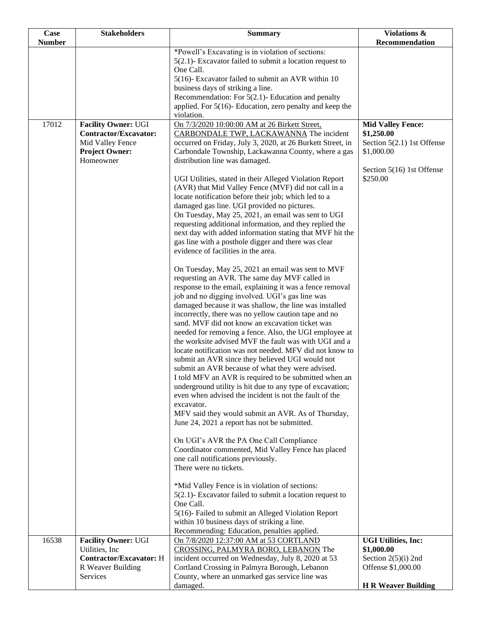| Case          | <b>Stakeholders</b>            | <b>Summary</b>                                                                                                      | Violations &                           |
|---------------|--------------------------------|---------------------------------------------------------------------------------------------------------------------|----------------------------------------|
| <b>Number</b> |                                |                                                                                                                     | Recommendation                         |
|               |                                | *Powell's Excavating is in violation of sections:                                                                   |                                        |
|               |                                | 5(2.1)- Excavator failed to submit a location request to<br>One Call.                                               |                                        |
|               |                                | 5(16)- Excavator failed to submit an AVR within 10                                                                  |                                        |
|               |                                | business days of striking a line.                                                                                   |                                        |
|               |                                | Recommendation: For $5(2.1)$ - Education and penalty                                                                |                                        |
|               |                                | applied. For $5(16)$ - Education, zero penalty and keep the                                                         |                                        |
| 17012         | <b>Facility Owner: UGI</b>     | violation.<br>On 7/3/2020 10:00:00 AM at 26 Birkett Street,                                                         |                                        |
|               | Contractor/Excavator:          | CARBONDALE TWP, LACKAWANNA The incident                                                                             | <b>Mid Valley Fence:</b><br>\$1,250.00 |
|               | Mid Valley Fence               | occurred on Friday, July 3, 2020, at 26 Burkett Street, in                                                          | Section 5(2.1) 1st Offense             |
|               | <b>Project Owner:</b>          | Carbondale Township, Lackawanna County, where a gas                                                                 | \$1,000.00                             |
|               | Homeowner                      | distribution line was damaged.                                                                                      |                                        |
|               |                                |                                                                                                                     | Section 5(16) 1st Offense              |
|               |                                | UGI Utilities, stated in their Alleged Violation Report<br>(AVR) that Mid Valley Fence (MVF) did not call in a      | \$250.00                               |
|               |                                | locate notification before their job; which led to a                                                                |                                        |
|               |                                | damaged gas line. UGI provided no pictures.                                                                         |                                        |
|               |                                | On Tuesday, May 25, 2021, an email was sent to UGI                                                                  |                                        |
|               |                                | requesting additional information, and they replied the                                                             |                                        |
|               |                                | next day with added information stating that MVF hit the                                                            |                                        |
|               |                                | gas line with a posthole digger and there was clear<br>evidence of facilities in the area.                          |                                        |
|               |                                |                                                                                                                     |                                        |
|               |                                | On Tuesday, May 25, 2021 an email was sent to MVF                                                                   |                                        |
|               |                                | requesting an AVR. The same day MVF called in                                                                       |                                        |
|               |                                | response to the email, explaining it was a fence removal                                                            |                                        |
|               |                                | job and no digging involved. UGI's gas line was                                                                     |                                        |
|               |                                | damaged because it was shallow, the line was installed                                                              |                                        |
|               |                                | incorrectly, there was no yellow caution tape and no<br>sand. MVF did not know an excavation ticket was             |                                        |
|               |                                | needed for removing a fence. Also, the UGI employee at                                                              |                                        |
|               |                                | the worksite advised MVF the fault was with UGI and a                                                               |                                        |
|               |                                | locate notification was not needed. MFV did not know to                                                             |                                        |
|               |                                | submit an AVR since they believed UGI would not                                                                     |                                        |
|               |                                | submit an AVR because of what they were advised.                                                                    |                                        |
|               |                                | I told MFV an AVR is required to be submitted when an                                                               |                                        |
|               |                                | underground utility is hit due to any type of excavation;<br>even when advised the incident is not the fault of the |                                        |
|               |                                | excavator.                                                                                                          |                                        |
|               |                                | MFV said they would submit an AVR. As of Thursday,                                                                  |                                        |
|               |                                | June 24, 2021 a report has not be submitted.                                                                        |                                        |
|               |                                |                                                                                                                     |                                        |
|               |                                | On UGI's AVR the PA One Call Compliance                                                                             |                                        |
|               |                                | Coordinator commented, Mid Valley Fence has placed<br>one call notifications previously.                            |                                        |
|               |                                | There were no tickets.                                                                                              |                                        |
|               |                                |                                                                                                                     |                                        |
|               |                                | *Mid Valley Fence is in violation of sections:                                                                      |                                        |
|               |                                | $5(2.1)$ - Excavator failed to submit a location request to                                                         |                                        |
|               |                                | One Call.                                                                                                           |                                        |
|               |                                | 5(16)- Failed to submit an Alleged Violation Report<br>within 10 business days of striking a line.                  |                                        |
|               |                                | Recommending: Education, penalties applied.                                                                         |                                        |
| 16538         | <b>Facility Owner: UGI</b>     | On 7/8/2020 12:37:00 AM at 53 CORTLAND                                                                              | <b>UGI Utilities, Inc:</b>             |
|               | Utilities, Inc.                | CROSSING, PALMYRA BORO, LEBANON The                                                                                 | \$1,000.00                             |
|               | <b>Contractor/Excavator: H</b> | incident occurred on Wednesday, July 8, 2020 at 53                                                                  | Section $2(5)(i)$ 2nd                  |
|               | R Weaver Building              | Cortland Crossing in Palmyra Borough, Lebanon                                                                       | Offense \$1,000.00                     |
|               | Services                       | County, where an unmarked gas service line was<br>damaged.                                                          | <b>H R Weaver Building</b>             |
|               |                                |                                                                                                                     |                                        |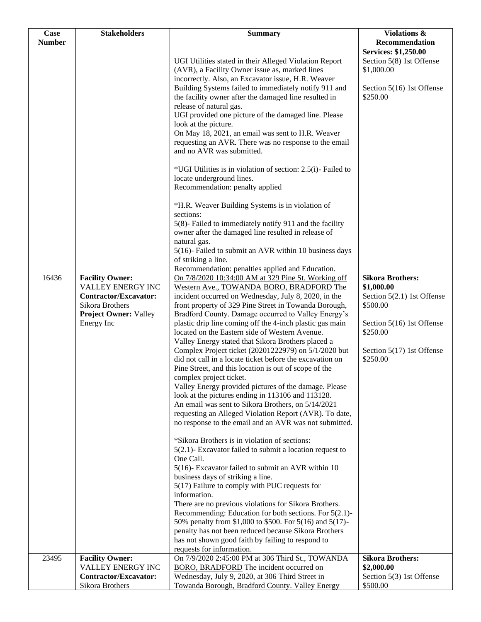| Case          | <b>Stakeholders</b>                                                                                                                   | <b>Summary</b>                                                                                                                                                                                                                                                                                                                                                                                                                                                                                                                                                                                                                                                                                                                                                                                                                                                                                                                                                                                                                                                                                                                                                                                                                                                                                                                                                                                                                                                                                                                                                  | Violations &                                                                                                                                                      |
|---------------|---------------------------------------------------------------------------------------------------------------------------------------|-----------------------------------------------------------------------------------------------------------------------------------------------------------------------------------------------------------------------------------------------------------------------------------------------------------------------------------------------------------------------------------------------------------------------------------------------------------------------------------------------------------------------------------------------------------------------------------------------------------------------------------------------------------------------------------------------------------------------------------------------------------------------------------------------------------------------------------------------------------------------------------------------------------------------------------------------------------------------------------------------------------------------------------------------------------------------------------------------------------------------------------------------------------------------------------------------------------------------------------------------------------------------------------------------------------------------------------------------------------------------------------------------------------------------------------------------------------------------------------------------------------------------------------------------------------------|-------------------------------------------------------------------------------------------------------------------------------------------------------------------|
|               |                                                                                                                                       |                                                                                                                                                                                                                                                                                                                                                                                                                                                                                                                                                                                                                                                                                                                                                                                                                                                                                                                                                                                                                                                                                                                                                                                                                                                                                                                                                                                                                                                                                                                                                                 |                                                                                                                                                                   |
| <b>Number</b> |                                                                                                                                       | UGI Utilities stated in their Alleged Violation Report<br>(AVR), a Facility Owner issue as, marked lines<br>incorrectly. Also, an Excavator issue, H.R. Weaver<br>Building Systems failed to immediately notify 911 and<br>the facility owner after the damaged line resulted in<br>release of natural gas.<br>UGI provided one picture of the damaged line. Please<br>look at the picture.<br>On May 18, 2021, an email was sent to H.R. Weaver<br>requesting an AVR. There was no response to the email<br>and no AVR was submitted.<br>*UGI Utilities is in violation of section: 2.5(i)- Failed to<br>locate underground lines.<br>Recommendation: penalty applied                                                                                                                                                                                                                                                                                                                                                                                                                                                                                                                                                                                                                                                                                                                                                                                                                                                                                          | Recommendation<br><b>Services: \$1,250.00</b><br>Section 5(8) 1st Offense<br>\$1,000.00<br>Section 5(16) 1st Offense<br>\$250.00                                  |
|               |                                                                                                                                       | *H.R. Weaver Building Systems is in violation of<br>sections:<br>5(8)- Failed to immediately notify 911 and the facility<br>owner after the damaged line resulted in release of<br>natural gas.<br>5(16)- Failed to submit an AVR within 10 business days<br>of striking a line.<br>Recommendation: penalties applied and Education.                                                                                                                                                                                                                                                                                                                                                                                                                                                                                                                                                                                                                                                                                                                                                                                                                                                                                                                                                                                                                                                                                                                                                                                                                            |                                                                                                                                                                   |
| 16436         | <b>Facility Owner:</b><br>VALLEY ENERGY INC<br>Contractor/Excavator:<br>Sikora Brothers<br><b>Project Owner: Valley</b><br>Energy Inc | On 7/8/2020 10:34:00 AM at 329 Pine St. Working off<br>Western Ave., TOWANDA BORO, BRADFORD The<br>incident occurred on Wednesday, July 8, 2020, in the<br>front property of 329 Pine Street in Towanda Borough,<br>Bradford County. Damage occurred to Valley Energy's<br>plastic drip line coming off the 4-inch plastic gas main<br>located on the Eastern side of Western Avenue.<br>Valley Energy stated that Sikora Brothers placed a<br>Complex Project ticket (20201222979) on 5/1/2020 but<br>did not call in a locate ticket before the excavation on<br>Pine Street, and this location is out of scope of the<br>complex project ticket.<br>Valley Energy provided pictures of the damage. Please<br>look at the pictures ending in 113106 and 113128.<br>An email was sent to Sikora Brothers, on 5/14/2021<br>requesting an Alleged Violation Report (AVR). To date,<br>no response to the email and an AVR was not submitted.<br>*Sikora Brothers is in violation of sections:<br>$5(2.1)$ - Excavator failed to submit a location request to<br>One Call.<br>5(16)- Excavator failed to submit an AVR within 10<br>business days of striking a line.<br>5(17) Failure to comply with PUC requests for<br>information.<br>There are no previous violations for Sikora Brothers.<br>Recommending: Education for both sections. For $5(2.1)$ -<br>50% penalty from \$1,000 to \$500. For 5(16) and 5(17)-<br>penalty has not been reduced because Sikora Brothers<br>has not shown good faith by failing to respond to<br>requests for information. | <b>Sikora Brothers:</b><br>\$1,000.00<br>Section 5(2.1) 1st Offense<br>\$500.00<br>Section 5(16) 1st Offense<br>\$250.00<br>Section 5(17) 1st Offense<br>\$250.00 |
| 23495         | <b>Facility Owner:</b><br>VALLEY ENERGY INC<br>Contractor/Excavator:<br>Sikora Brothers                                               | On 7/9/2020 2:45:00 PM at 306 Third St., TOWANDA<br><b>BORO, BRADFORD</b> The incident occurred on<br>Wednesday, July 9, 2020, at 306 Third Street in<br>Towanda Borough, Bradford County. Valley Energy                                                                                                                                                                                                                                                                                                                                                                                                                                                                                                                                                                                                                                                                                                                                                                                                                                                                                                                                                                                                                                                                                                                                                                                                                                                                                                                                                        | <b>Sikora Brothers:</b><br>\$2,000.00<br>Section 5(3) 1st Offense<br>\$500.00                                                                                     |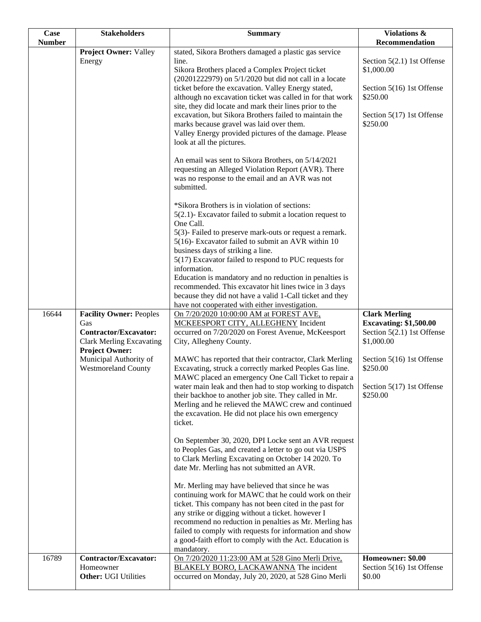| Case<br><b>Number</b> | <b>Stakeholders</b>                                                                                                                                                                       | <b>Summary</b>                                                                                                                                                                                                                                                                                                                                                                                                                                                                                                                                                                                                                                                                                                                                                                                                                                                                                                                                                                                                                                                                                                                                                                                                                                                                                                                     | Violations &<br>Recommendation                                                                                                                                                        |
|-----------------------|-------------------------------------------------------------------------------------------------------------------------------------------------------------------------------------------|------------------------------------------------------------------------------------------------------------------------------------------------------------------------------------------------------------------------------------------------------------------------------------------------------------------------------------------------------------------------------------------------------------------------------------------------------------------------------------------------------------------------------------------------------------------------------------------------------------------------------------------------------------------------------------------------------------------------------------------------------------------------------------------------------------------------------------------------------------------------------------------------------------------------------------------------------------------------------------------------------------------------------------------------------------------------------------------------------------------------------------------------------------------------------------------------------------------------------------------------------------------------------------------------------------------------------------|---------------------------------------------------------------------------------------------------------------------------------------------------------------------------------------|
|                       | <b>Project Owner: Valley</b><br>Energy                                                                                                                                                    | stated, Sikora Brothers damaged a plastic gas service<br>line.<br>Sikora Brothers placed a Complex Project ticket<br>(20201222979) on 5/1/2020 but did not call in a locate<br>ticket before the excavation. Valley Energy stated,<br>although no excavation ticket was called in for that work<br>site, they did locate and mark their lines prior to the<br>excavation, but Sikora Brothers failed to maintain the<br>marks because gravel was laid over them.<br>Valley Energy provided pictures of the damage. Please<br>look at all the pictures.<br>An email was sent to Sikora Brothers, on 5/14/2021<br>requesting an Alleged Violation Report (AVR). There<br>was no response to the email and an AVR was not<br>submitted.<br>*Sikora Brothers is in violation of sections:<br>$5(2.1)$ - Excavator failed to submit a location request to<br>One Call.<br>5(3)- Failed to preserve mark-outs or request a remark.<br>5(16)- Excavator failed to submit an AVR within 10<br>business days of striking a line.<br>5(17) Excavator failed to respond to PUC requests for<br>information.<br>Education is mandatory and no reduction in penalties is<br>recommended. This excavator hit lines twice in 3 days<br>because they did not have a valid 1-Call ticket and they<br>have not cooperated with either investigation. | Section 5(2.1) 1st Offense<br>\$1,000.00<br>Section 5(16) 1st Offense<br>\$250.00<br>Section 5(17) 1st Offense<br>\$250.00                                                            |
| 16644                 | <b>Facility Owner: Peoples</b><br>Gas<br><b>Contractor/Excavator:</b><br><b>Clark Merling Excavating</b><br><b>Project Owner:</b><br>Municipal Authority of<br><b>Westmoreland County</b> | On 7/20/2020 10:00:00 AM at FOREST AVE,<br>MCKEESPORT CITY, ALLEGHENY Incident<br>occurred on 7/20/2020 on Forest Avenue, McKeesport<br>City, Allegheny County.<br>MAWC has reported that their contractor, Clark Merling<br>Excavating, struck a correctly marked Peoples Gas line.<br>MAWC placed an emergency One Call Ticket to repair a<br>water main leak and then had to stop working to dispatch<br>their backhoe to another job site. They called in Mr.<br>Merling and he relieved the MAWC crew and continued<br>the excavation. He did not place his own emergency<br>ticket.<br>On September 30, 2020, DPI Locke sent an AVR request<br>to Peoples Gas, and created a letter to go out via USPS<br>to Clark Merling Excavating on October 14 2020. To<br>date Mr. Merling has not submitted an AVR.<br>Mr. Merling may have believed that since he was<br>continuing work for MAWC that he could work on their<br>ticket. This company has not been cited in the past for<br>any strike or digging without a ticket. however I<br>recommend no reduction in penalties as Mr. Merling has<br>failed to comply with requests for information and show<br>a good-faith effort to comply with the Act. Education is                                                                                                       | <b>Clark Merling</b><br><b>Excavating: \$1,500.00</b><br>Section $5(2.1)$ 1st Offense<br>\$1,000.00<br>Section 5(16) 1st Offense<br>\$250.00<br>Section 5(17) 1st Offense<br>\$250.00 |
| 16789                 | <b>Contractor/Excavator:</b><br>Homeowner<br><b>Other: UGI Utilities</b>                                                                                                                  | mandatory.<br>On 7/20/2020 11:23:00 AM at 528 Gino Merli Drive.<br><b>BLAKELY BORO, LACKAWANNA</b> The incident<br>occurred on Monday, July 20, 2020, at 528 Gino Merli                                                                                                                                                                                                                                                                                                                                                                                                                                                                                                                                                                                                                                                                                                                                                                                                                                                                                                                                                                                                                                                                                                                                                            | Homeowner: \$0.00<br>Section 5(16) 1st Offense<br>\$0.00                                                                                                                              |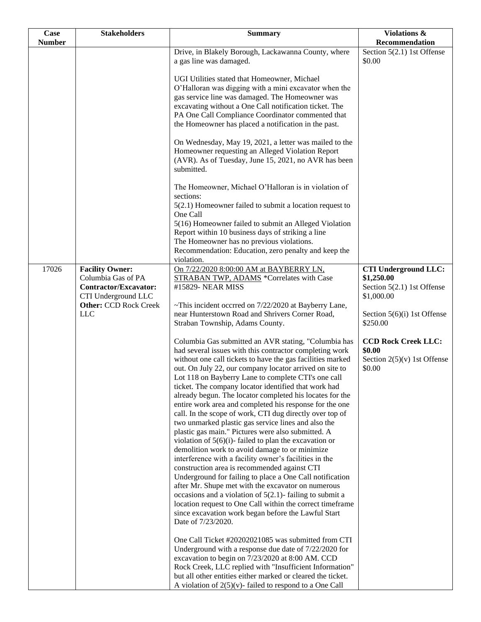| <b>Case</b>   | <b>Stakeholders</b>                                                                                                          | <b>Summary</b>                                                                                                                                                                                                                                                                                                                                                                                                                                                                                                                                                                                                                                                                                                                                                                                                                                                                                                                                                                                                                                                                                                                                                                                             | Violations &                                                                          |
|---------------|------------------------------------------------------------------------------------------------------------------------------|------------------------------------------------------------------------------------------------------------------------------------------------------------------------------------------------------------------------------------------------------------------------------------------------------------------------------------------------------------------------------------------------------------------------------------------------------------------------------------------------------------------------------------------------------------------------------------------------------------------------------------------------------------------------------------------------------------------------------------------------------------------------------------------------------------------------------------------------------------------------------------------------------------------------------------------------------------------------------------------------------------------------------------------------------------------------------------------------------------------------------------------------------------------------------------------------------------|---------------------------------------------------------------------------------------|
| <b>Number</b> |                                                                                                                              |                                                                                                                                                                                                                                                                                                                                                                                                                                                                                                                                                                                                                                                                                                                                                                                                                                                                                                                                                                                                                                                                                                                                                                                                            | Recommendation                                                                        |
|               |                                                                                                                              | Drive, in Blakely Borough, Lackawanna County, where<br>a gas line was damaged.                                                                                                                                                                                                                                                                                                                                                                                                                                                                                                                                                                                                                                                                                                                                                                                                                                                                                                                                                                                                                                                                                                                             | Section $5(2.1)$ 1st Offense<br>\$0.00                                                |
|               |                                                                                                                              | UGI Utilities stated that Homeowner, Michael<br>O'Halloran was digging with a mini excavator when the<br>gas service line was damaged. The Homeowner was<br>excavating without a One Call notification ticket. The<br>PA One Call Compliance Coordinator commented that<br>the Homeowner has placed a notification in the past.                                                                                                                                                                                                                                                                                                                                                                                                                                                                                                                                                                                                                                                                                                                                                                                                                                                                            |                                                                                       |
|               |                                                                                                                              | On Wednesday, May 19, 2021, a letter was mailed to the<br>Homeowner requesting an Alleged Violation Report<br>(AVR). As of Tuesday, June 15, 2021, no AVR has been<br>submitted.                                                                                                                                                                                                                                                                                                                                                                                                                                                                                                                                                                                                                                                                                                                                                                                                                                                                                                                                                                                                                           |                                                                                       |
|               |                                                                                                                              | The Homeowner, Michael O'Halloran is in violation of<br>sections:<br>$5(2.1)$ Homeowner failed to submit a location request to<br>One Call                                                                                                                                                                                                                                                                                                                                                                                                                                                                                                                                                                                                                                                                                                                                                                                                                                                                                                                                                                                                                                                                 |                                                                                       |
|               |                                                                                                                              | 5(16) Homeowner failed to submit an Alleged Violation<br>Report within 10 business days of striking a line<br>The Homeowner has no previous violations.<br>Recommendation: Education, zero penalty and keep the<br>violation.                                                                                                                                                                                                                                                                                                                                                                                                                                                                                                                                                                                                                                                                                                                                                                                                                                                                                                                                                                              |                                                                                       |
| 17026         | <b>Facility Owner:</b><br>Columbia Gas of PA<br>Contractor/Excavator:<br>CTI Underground LLC<br><b>Other: CCD Rock Creek</b> | On 7/22/2020 8:00:00 AM at BAYBERRY LN,<br>STRABAN TWP, ADAMS *Correlates with Case<br>#15829- NEAR MISS<br>~This incident occrred on 7/22/2020 at Bayberry Lane,                                                                                                                                                                                                                                                                                                                                                                                                                                                                                                                                                                                                                                                                                                                                                                                                                                                                                                                                                                                                                                          | <b>CTI Underground LLC:</b><br>\$1,250.00<br>Section 5(2.1) 1st Offense<br>\$1,000.00 |
|               | <b>LLC</b>                                                                                                                   | near Hunterstown Road and Shrivers Corner Road,<br>Straban Township, Adams County.                                                                                                                                                                                                                                                                                                                                                                                                                                                                                                                                                                                                                                                                                                                                                                                                                                                                                                                                                                                                                                                                                                                         | Section 5(6)(i) 1st Offense<br>\$250.00                                               |
|               |                                                                                                                              | Columbia Gas submitted an AVR stating, "Columbia has<br>had several issues with this contractor completing work<br>without one call tickets to have the gas facilities marked<br>out. On July 22, our company locator arrived on site to<br>Lot 118 on Bayberry Lane to complete CTI's one call<br>ticket. The company locator identified that work had<br>already begun. The locator completed his locates for the<br>entire work area and completed his response for the one<br>call. In the scope of work, CTI dug directly over top of<br>two unmarked plastic gas service lines and also the<br>plastic gas main." Pictures were also submitted. A<br>violation of $5(6)(i)$ - failed to plan the excavation or<br>demolition work to avoid damage to or minimize<br>interference with a facility owner's facilities in the<br>construction area is recommended against CTI<br>Underground for failing to place a One Call notification<br>after Mr. Shupe met with the excavator on numerous<br>occasions and a violation of $5(2.1)$ -failing to submit a<br>location request to One Call within the correct timeframe<br>since excavation work began before the Lawful Start<br>Date of 7/23/2020. | <b>CCD Rock Creek LLC:</b><br>\$0.00<br>Section $2(5)(v)$ 1st Offense<br>\$0.00       |
|               |                                                                                                                              | One Call Ticket #20202021085 was submitted from CTI<br>Underground with a response due date of 7/22/2020 for<br>excavation to begin on 7/23/2020 at 8:00 AM. CCD<br>Rock Creek, LLC replied with "Insufficient Information"<br>but all other entities either marked or cleared the ticket.<br>A violation of $2(5)(v)$ - failed to respond to a One Call                                                                                                                                                                                                                                                                                                                                                                                                                                                                                                                                                                                                                                                                                                                                                                                                                                                   |                                                                                       |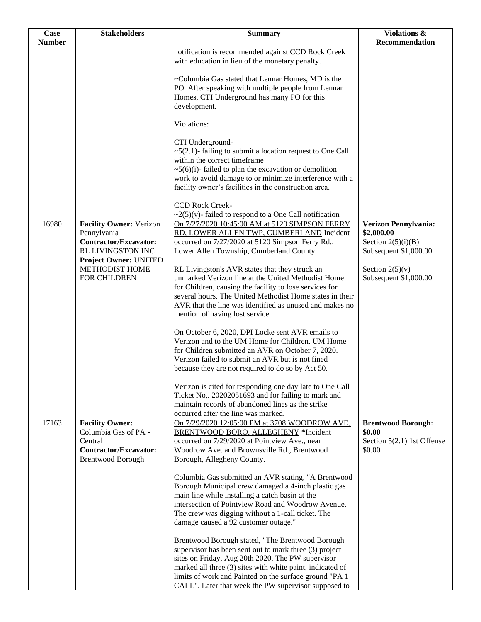| Case          | <b>Stakeholders</b>                                                                                                         | <b>Summary</b>                                                                                                                                                                                                                                                                                                                                 | <b>Violations &amp;</b>                                                             |
|---------------|-----------------------------------------------------------------------------------------------------------------------------|------------------------------------------------------------------------------------------------------------------------------------------------------------------------------------------------------------------------------------------------------------------------------------------------------------------------------------------------|-------------------------------------------------------------------------------------|
| <b>Number</b> |                                                                                                                             |                                                                                                                                                                                                                                                                                                                                                | Recommendation                                                                      |
|               |                                                                                                                             | notification is recommended against CCD Rock Creek<br>with education in lieu of the monetary penalty.                                                                                                                                                                                                                                          |                                                                                     |
|               |                                                                                                                             | ~Columbia Gas stated that Lennar Homes, MD is the<br>PO. After speaking with multiple people from Lennar<br>Homes, CTI Underground has many PO for this<br>development.                                                                                                                                                                        |                                                                                     |
|               |                                                                                                                             | Violations:                                                                                                                                                                                                                                                                                                                                    |                                                                                     |
|               |                                                                                                                             | CTI Underground-<br>$\sim$ 5(2.1)-failing to submit a location request to One Call<br>within the correct timeframe<br>$\sim$ 5(6)(i)-failed to plan the excavation or demolition<br>work to avoid damage to or minimize interference with a<br>facility owner's facilities in the construction area.                                           |                                                                                     |
|               |                                                                                                                             | <b>CCD Rock Creek-</b>                                                                                                                                                                                                                                                                                                                         |                                                                                     |
| 16980         | <b>Facility Owner: Verizon</b><br>Pennylvania<br><b>Contractor/Excavator:</b><br>RL LIVINGSTON INC<br>Project Owner: UNITED | $\sim$ 2(5)(v)-failed to respond to a One Call notification<br>On 7/27/2020 10:45:00 AM at 5120 SIMPSON FERRY<br>RD, LOWER ALLEN TWP, CUMBERLAND Incident<br>occurred on 7/27/2020 at 5120 Simpson Ferry Rd.,<br>Lower Allen Township, Cumberland County.                                                                                      | Verizon Pennylvania:<br>\$2,000.00<br>Section $2(5)(i)(B)$<br>Subsequent \$1,000.00 |
|               | <b>METHODIST HOME</b><br>FOR CHILDREN                                                                                       | RL Livingston's AVR states that they struck an<br>unmarked Verizon line at the United Methodist Home<br>for Children, causing the facility to lose services for<br>several hours. The United Methodist Home states in their<br>AVR that the line was identified as unused and makes no<br>mention of having lost service.                      | Section $2(5)(v)$<br>Subsequent \$1,000.00                                          |
|               |                                                                                                                             | On October 6, 2020, DPI Locke sent AVR emails to<br>Verizon and to the UM Home for Children. UM Home<br>for Children submitted an AVR on October 7, 2020.<br>Verizon failed to submit an AVR but is not fined<br>because they are not required to do so by Act 50.                                                                             |                                                                                     |
|               |                                                                                                                             | Verizon is cited for responding one day late to One Call<br>Ticket No,. 20202051693 and for failing to mark and<br>maintain records of abandoned lines as the strike<br>occurred after the line was marked.                                                                                                                                    |                                                                                     |
| 17163         | <b>Facility Owner:</b><br>Columbia Gas of PA -<br>Central<br><b>Contractor/Excavator:</b><br><b>Brentwood Borough</b>       | On 7/29/2020 12:05:00 PM at 3708 WOODROW AVE,<br>BRENTWOOD BORO, ALLEGHENY *Incident<br>occurred on 7/29/2020 at Pointview Ave., near<br>Woodrow Ave. and Brownsville Rd., Brentwood<br>Borough, Allegheny County.                                                                                                                             | <b>Brentwood Borough:</b><br>\$0.00<br>Section $5(2.1)$ 1st Offense<br>\$0.00       |
|               |                                                                                                                             | Columbia Gas submitted an AVR stating, "A Brentwood<br>Borough Municipal crew damaged a 4-inch plastic gas<br>main line while installing a catch basin at the<br>intersection of Pointview Road and Woodrow Avenue.<br>The crew was digging without a 1-call ticket. The<br>damage caused a 92 customer outage."                               |                                                                                     |
|               |                                                                                                                             | Brentwood Borough stated, "The Brentwood Borough<br>supervisor has been sent out to mark three (3) project<br>sites on Friday, Aug 20th 2020. The PW supervisor<br>marked all three (3) sites with white paint, indicated of<br>limits of work and Painted on the surface ground "PA 1<br>CALL". Later that week the PW supervisor supposed to |                                                                                     |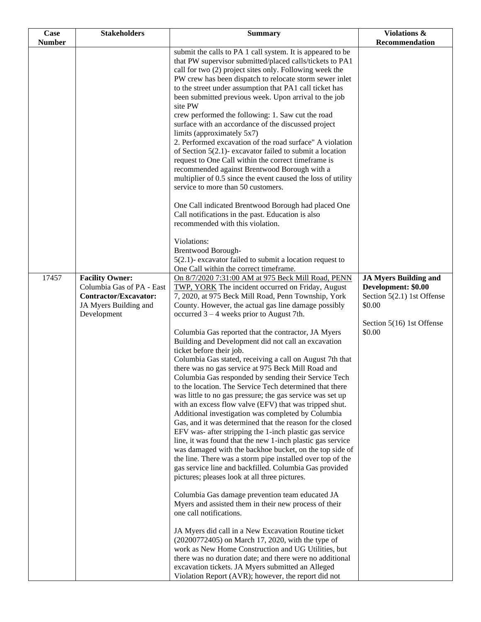| Case          | <b>Stakeholders</b>                                                                                          | <b>Summary</b>                                                                                                                                                                                                                                                                                                                                                                                                                                                                                                                                                                                                                                                                                                                                                                                                                                                                                                                                                                                                                                                                                                                                                                                                                                                                                                                               | Violations &                                                                                |
|---------------|--------------------------------------------------------------------------------------------------------------|----------------------------------------------------------------------------------------------------------------------------------------------------------------------------------------------------------------------------------------------------------------------------------------------------------------------------------------------------------------------------------------------------------------------------------------------------------------------------------------------------------------------------------------------------------------------------------------------------------------------------------------------------------------------------------------------------------------------------------------------------------------------------------------------------------------------------------------------------------------------------------------------------------------------------------------------------------------------------------------------------------------------------------------------------------------------------------------------------------------------------------------------------------------------------------------------------------------------------------------------------------------------------------------------------------------------------------------------|---------------------------------------------------------------------------------------------|
| <b>Number</b> |                                                                                                              |                                                                                                                                                                                                                                                                                                                                                                                                                                                                                                                                                                                                                                                                                                                                                                                                                                                                                                                                                                                                                                                                                                                                                                                                                                                                                                                                              | Recommendation                                                                              |
|               |                                                                                                              | submit the calls to PA 1 call system. It is appeared to be<br>that PW supervisor submitted/placed calls/tickets to PA1<br>call for two (2) project sites only. Following week the<br>PW crew has been dispatch to relocate storm sewer inlet<br>to the street under assumption that PA1 call ticket has<br>been submitted previous week. Upon arrival to the job<br>site PW                                                                                                                                                                                                                                                                                                                                                                                                                                                                                                                                                                                                                                                                                                                                                                                                                                                                                                                                                                  |                                                                                             |
|               |                                                                                                              | crew performed the following: 1. Saw cut the road<br>surface with an accordance of the discussed project<br>limits (approximately 5x7)<br>2. Performed excavation of the road surface" A violation<br>of Section $5(2.1)$ - excavator failed to submit a location<br>request to One Call within the correct timeframe is<br>recommended against Brentwood Borough with a<br>multiplier of 0.5 since the event caused the loss of utility<br>service to more than 50 customers.                                                                                                                                                                                                                                                                                                                                                                                                                                                                                                                                                                                                                                                                                                                                                                                                                                                               |                                                                                             |
|               |                                                                                                              | One Call indicated Brentwood Borough had placed One<br>Call notifications in the past. Education is also<br>recommended with this violation.                                                                                                                                                                                                                                                                                                                                                                                                                                                                                                                                                                                                                                                                                                                                                                                                                                                                                                                                                                                                                                                                                                                                                                                                 |                                                                                             |
|               |                                                                                                              | Violations:<br>Brentwood Borough-<br>$5(2.1)$ - excavator failed to submit a location request to                                                                                                                                                                                                                                                                                                                                                                                                                                                                                                                                                                                                                                                                                                                                                                                                                                                                                                                                                                                                                                                                                                                                                                                                                                             |                                                                                             |
|               |                                                                                                              | One Call within the correct timeframe.                                                                                                                                                                                                                                                                                                                                                                                                                                                                                                                                                                                                                                                                                                                                                                                                                                                                                                                                                                                                                                                                                                                                                                                                                                                                                                       |                                                                                             |
| 17457         | <b>Facility Owner:</b><br>Columbia Gas of PA - East<br><b>Contractor/Excavator:</b><br>JA Myers Building and | On 8/7/2020 7:31:00 AM at 975 Beck Mill Road, PENN<br>TWP, YORK The incident occurred on Friday, August<br>7, 2020, at 975 Beck Mill Road, Penn Township, York<br>County. However, the actual gas line damage possibly                                                                                                                                                                                                                                                                                                                                                                                                                                                                                                                                                                                                                                                                                                                                                                                                                                                                                                                                                                                                                                                                                                                       | <b>JA Myers Building and</b><br>Development: \$0.00<br>Section 5(2.1) 1st Offense<br>\$0.00 |
|               | Development                                                                                                  | occurred $3 - 4$ weeks prior to August 7th.<br>Columbia Gas reported that the contractor, JA Myers<br>Building and Development did not call an excavation<br>ticket before their job.<br>Columbia Gas stated, receiving a call on August 7th that<br>there was no gas service at 975 Beck Mill Road and<br>Columbia Gas responded by sending their Service Tech<br>to the location. The Service Tech determined that there<br>was little to no gas pressure; the gas service was set up<br>with an excess flow valve (EFV) that was tripped shut.<br>Additional investigation was completed by Columbia<br>Gas, and it was determined that the reason for the closed<br>EFV was- after stripping the 1-inch plastic gas service<br>line, it was found that the new 1-inch plastic gas service<br>was damaged with the backhoe bucket, on the top side of<br>the line. There was a storm pipe installed over top of the<br>gas service line and backfilled. Columbia Gas provided<br>pictures; pleases look at all three pictures.<br>Columbia Gas damage prevention team educated JA<br>Myers and assisted them in their new process of their<br>one call notifications.<br>JA Myers did call in a New Excavation Routine ticket<br>(20200772405) on March 17, 2020, with the type of<br>work as New Home Construction and UG Utilities, but | Section 5(16) 1st Offense<br>\$0.00                                                         |
|               |                                                                                                              | there was no duration date; and there were no additional<br>excavation tickets. JA Myers submitted an Alleged<br>Violation Report (AVR); however, the report did not                                                                                                                                                                                                                                                                                                                                                                                                                                                                                                                                                                                                                                                                                                                                                                                                                                                                                                                                                                                                                                                                                                                                                                         |                                                                                             |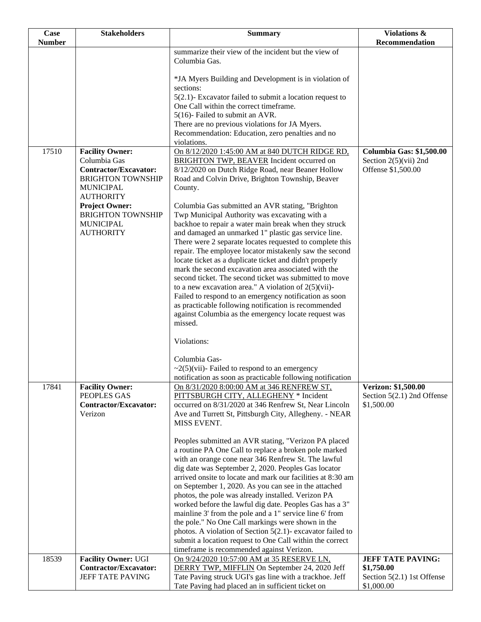| <b>Case</b>   | <b>Stakeholders</b>                                                                                                                                                                                                 | <b>Summary</b>                                                                                                                                                                                                                                                                                                                                                                                                                                                                                                                                                                                                                                                                                                                                                | Violations &                                                                     |
|---------------|---------------------------------------------------------------------------------------------------------------------------------------------------------------------------------------------------------------------|---------------------------------------------------------------------------------------------------------------------------------------------------------------------------------------------------------------------------------------------------------------------------------------------------------------------------------------------------------------------------------------------------------------------------------------------------------------------------------------------------------------------------------------------------------------------------------------------------------------------------------------------------------------------------------------------------------------------------------------------------------------|----------------------------------------------------------------------------------|
| <b>Number</b> |                                                                                                                                                                                                                     |                                                                                                                                                                                                                                                                                                                                                                                                                                                                                                                                                                                                                                                                                                                                                               | Recommendation                                                                   |
|               |                                                                                                                                                                                                                     | summarize their view of the incident but the view of<br>Columbia Gas.                                                                                                                                                                                                                                                                                                                                                                                                                                                                                                                                                                                                                                                                                         |                                                                                  |
|               |                                                                                                                                                                                                                     | *JA Myers Building and Development is in violation of<br>sections:                                                                                                                                                                                                                                                                                                                                                                                                                                                                                                                                                                                                                                                                                            |                                                                                  |
|               |                                                                                                                                                                                                                     | $5(2.1)$ - Excavator failed to submit a location request to<br>One Call within the correct timeframe.                                                                                                                                                                                                                                                                                                                                                                                                                                                                                                                                                                                                                                                         |                                                                                  |
|               |                                                                                                                                                                                                                     | 5(16)- Failed to submit an AVR.                                                                                                                                                                                                                                                                                                                                                                                                                                                                                                                                                                                                                                                                                                                               |                                                                                  |
|               |                                                                                                                                                                                                                     | There are no previous violations for JA Myers.                                                                                                                                                                                                                                                                                                                                                                                                                                                                                                                                                                                                                                                                                                                |                                                                                  |
|               |                                                                                                                                                                                                                     | Recommendation: Education, zero penalties and no<br>violations.                                                                                                                                                                                                                                                                                                                                                                                                                                                                                                                                                                                                                                                                                               |                                                                                  |
| 17510         | <b>Facility Owner:</b><br>Columbia Gas<br><b>Contractor/Excavator:</b><br><b>BRIGHTON TOWNSHIP</b><br><b>MUNICIPAL</b><br><b>AUTHORITY</b><br><b>Project Owner:</b><br><b>BRIGHTON TOWNSHIP</b><br><b>MUNICIPAL</b> | On 8/12/2020 1:45:00 AM at 840 DUTCH RIDGE RD,<br><b>BRIGHTON TWP, BEAVER Incident occurred on</b><br>8/12/2020 on Dutch Ridge Road, near Beaner Hollow<br>Road and Colvin Drive, Brighton Township, Beaver<br>County.<br>Columbia Gas submitted an AVR stating, "Brighton<br>Twp Municipal Authority was excavating with a<br>backhoe to repair a water main break when they struck                                                                                                                                                                                                                                                                                                                                                                          | <b>Columbia Gas: \$1,500.00</b><br>Section $2(5)(vii)$ 2nd<br>Offense \$1,500.00 |
|               | <b>AUTHORITY</b>                                                                                                                                                                                                    | and damaged an unmarked 1" plastic gas service line.<br>There were 2 separate locates requested to complete this<br>repair. The employee locator mistakenly saw the second<br>locate ticket as a duplicate ticket and didn't properly<br>mark the second excavation area associated with the<br>second ticket. The second ticket was submitted to move<br>to a new excavation area." A violation of $2(5)(vii)$ -<br>Failed to respond to an emergency notification as soon<br>as practicable following notification is recommended<br>against Columbia as the emergency locate request was<br>missed.                                                                                                                                                        |                                                                                  |
|               |                                                                                                                                                                                                                     | Violations:                                                                                                                                                                                                                                                                                                                                                                                                                                                                                                                                                                                                                                                                                                                                                   |                                                                                  |
|               |                                                                                                                                                                                                                     | Columbia Gas-<br>$\sim$ 2(5)(vii)- Failed to respond to an emergency<br>notification as soon as practicable following notification                                                                                                                                                                                                                                                                                                                                                                                                                                                                                                                                                                                                                            |                                                                                  |
| 17841         | <b>Facility Owner:</b><br>PEOPLES GAS<br><b>Contractor/Excavator:</b><br>Verizon                                                                                                                                    | On 8/31/2020 8:00:00 AM at 346 RENFREW ST,<br>PITTSBURGH CITY, ALLEGHENY * Incident<br>occurred on 8/31/2020 at 346 Renfrew St, Near Lincoln<br>Ave and Turrett St, Pittsburgh City, Allegheny. - NEAR<br>MISS EVENT.                                                                                                                                                                                                                                                                                                                                                                                                                                                                                                                                         | Verizon: \$1,500.00<br>Section 5(2.1) 2nd Offense<br>\$1,500.00                  |
|               |                                                                                                                                                                                                                     | Peoples submitted an AVR stating, "Verizon PA placed<br>a routine PA One Call to replace a broken pole marked<br>with an orange cone near 346 Renfrew St. The lawful<br>dig date was September 2, 2020. Peoples Gas locator<br>arrived onsite to locate and mark our facilities at 8:30 am<br>on September 1, 2020. As you can see in the attached<br>photos, the pole was already installed. Verizon PA<br>worked before the lawful dig date. Peoples Gas has a 3"<br>mainline 3' from the pole and a 1" service line 6' from<br>the pole." No One Call markings were shown in the<br>photos. A violation of Section $5(2.1)$ - excavator failed to<br>submit a location request to One Call within the correct<br>timeframe is recommended against Verizon. |                                                                                  |
| 18539         | <b>Facility Owner: UGI</b><br><b>Contractor/Excavator:</b>                                                                                                                                                          | On 9/24/2020 10:57:00 AM at 35 RESERVE LN,<br>DERRY TWP, MIFFLIN On September 24, 2020 Jeff                                                                                                                                                                                                                                                                                                                                                                                                                                                                                                                                                                                                                                                                   | <b>JEFF TATE PAVING:</b><br>\$1,750.00                                           |
|               | JEFF TATE PAVING                                                                                                                                                                                                    | Tate Paving struck UGI's gas line with a trackhoe. Jeff<br>Tate Paving had placed an in sufficient ticket on                                                                                                                                                                                                                                                                                                                                                                                                                                                                                                                                                                                                                                                  | Section $5(2.1)$ 1st Offense<br>\$1,000.00                                       |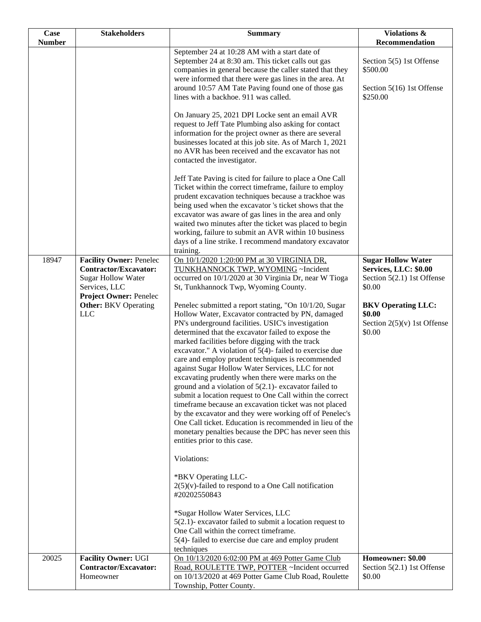| Case          | <b>Stakeholders</b>                                                                                                                    | <b>Summary</b>                                                                                                                                                                                                                                                                                                                                                                                                                                                                                                                                                                                                                                                                                                                                                                                                                                                                                                                                                                                                                                                                                                                                                                                                                                  | <b>Violations &amp;</b>                                                                      |
|---------------|----------------------------------------------------------------------------------------------------------------------------------------|-------------------------------------------------------------------------------------------------------------------------------------------------------------------------------------------------------------------------------------------------------------------------------------------------------------------------------------------------------------------------------------------------------------------------------------------------------------------------------------------------------------------------------------------------------------------------------------------------------------------------------------------------------------------------------------------------------------------------------------------------------------------------------------------------------------------------------------------------------------------------------------------------------------------------------------------------------------------------------------------------------------------------------------------------------------------------------------------------------------------------------------------------------------------------------------------------------------------------------------------------|----------------------------------------------------------------------------------------------|
| <b>Number</b> |                                                                                                                                        |                                                                                                                                                                                                                                                                                                                                                                                                                                                                                                                                                                                                                                                                                                                                                                                                                                                                                                                                                                                                                                                                                                                                                                                                                                                 | Recommendation                                                                               |
|               |                                                                                                                                        | September 24 at 10:28 AM with a start date of<br>September 24 at 8:30 am. This ticket calls out gas<br>companies in general because the caller stated that they<br>were informed that there were gas lines in the area. At<br>around 10:57 AM Tate Paving found one of those gas<br>lines with a backhoe. 911 was called.                                                                                                                                                                                                                                                                                                                                                                                                                                                                                                                                                                                                                                                                                                                                                                                                                                                                                                                       | Section 5(5) 1st Offense<br>\$500.00<br>Section 5(16) 1st Offense<br>\$250.00                |
|               |                                                                                                                                        | On January 25, 2021 DPI Locke sent an email AVR<br>request to Jeff Tate Plumbing also asking for contact<br>information for the project owner as there are several<br>businesses located at this job site. As of March 1, 2021<br>no AVR has been received and the excavator has not<br>contacted the investigator.                                                                                                                                                                                                                                                                                                                                                                                                                                                                                                                                                                                                                                                                                                                                                                                                                                                                                                                             |                                                                                              |
|               |                                                                                                                                        | Jeff Tate Paving is cited for failure to place a One Call<br>Ticket within the correct timeframe, failure to employ<br>prudent excavation techniques because a trackhoe was<br>being used when the excavator 's ticket shows that the<br>excavator was aware of gas lines in the area and only<br>waited two minutes after the ticket was placed to begin<br>working, failure to submit an AVR within 10 business<br>days of a line strike. I recommend mandatory excavator<br>training.                                                                                                                                                                                                                                                                                                                                                                                                                                                                                                                                                                                                                                                                                                                                                        |                                                                                              |
| 18947         | <b>Facility Owner: Penelec</b><br>Contractor/Excavator:<br><b>Sugar Hollow Water</b><br>Services, LLC<br><b>Project Owner: Penelec</b> | On 10/1/2020 1:20:00 PM at 30 VIRGINIA DR,<br>TUNKHANNOCK TWP, WYOMING ~Incident<br>occurred on 10/1/2020 at 30 Virginia Dr, near W Tioga<br>St, Tunkhannock Twp, Wyoming County.                                                                                                                                                                                                                                                                                                                                                                                                                                                                                                                                                                                                                                                                                                                                                                                                                                                                                                                                                                                                                                                               | <b>Sugar Hollow Water</b><br>Services, LLC: \$0.00<br>Section $5(2.1)$ 1st Offense<br>\$0.00 |
|               | <b>Other:</b> BKV Operating<br><b>LLC</b>                                                                                              | Penelec submitted a report stating, "On 10/1/20, Sugar<br>Hollow Water, Excavator contracted by PN, damaged<br>PN's underground facilities. USIC's investigation<br>determined that the excavator failed to expose the<br>marked facilities before digging with the track<br>excavator." A violation of $5(4)$ - failed to exercise due<br>care and employ prudent techniques is recommended<br>against Sugar Hollow Water Services, LLC for not<br>excavating prudently when there were marks on the<br>ground and a violation of $5(2.1)$ - excavator failed to<br>submit a location request to One Call within the correct<br>timeframe because an excavation ticket was not placed<br>by the excavator and they were working off of Penelec's<br>One Call ticket. Education is recommended in lieu of the<br>monetary penalties because the DPC has never seen this<br>entities prior to this case.<br>Violations:<br>*BKV Operating LLC-<br>$2(5)(v)$ -failed to respond to a One Call notification<br>#20202550843<br>*Sugar Hollow Water Services, LLC<br>$5(2.1)$ - excavator failed to submit a location request to<br>One Call within the correct timeframe.<br>$5(4)$ - failed to exercise due care and employ prudent<br>techniques | <b>BKV Operating LLC:</b><br>\$0.00<br>Section $2(5)(v)$ 1st Offense<br>\$0.00               |
| 20025         | <b>Facility Owner: UGI</b><br><b>Contractor/Excavator:</b>                                                                             | On 10/13/2020 6:02:00 PM at 469 Potter Game Club<br>Road, ROULETTE TWP, POTTER ~Incident occurred                                                                                                                                                                                                                                                                                                                                                                                                                                                                                                                                                                                                                                                                                                                                                                                                                                                                                                                                                                                                                                                                                                                                               | Homeowner: \$0.00<br>Section $5(2.1)$ 1st Offense                                            |
|               | Homeowner                                                                                                                              | on 10/13/2020 at 469 Potter Game Club Road, Roulette<br>Township, Potter County.                                                                                                                                                                                                                                                                                                                                                                                                                                                                                                                                                                                                                                                                                                                                                                                                                                                                                                                                                                                                                                                                                                                                                                | \$0.00                                                                                       |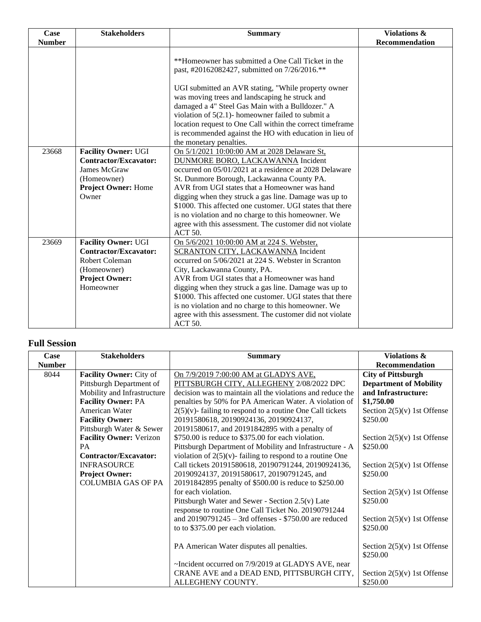| Case          | <b>Stakeholders</b>                                                                                                               | <b>Summary</b>                                                                                                                                                                                                                                                                                                                                                                                                                                                                                                                   | <b>Violations &amp;</b> |
|---------------|-----------------------------------------------------------------------------------------------------------------------------------|----------------------------------------------------------------------------------------------------------------------------------------------------------------------------------------------------------------------------------------------------------------------------------------------------------------------------------------------------------------------------------------------------------------------------------------------------------------------------------------------------------------------------------|-------------------------|
| <b>Number</b> |                                                                                                                                   |                                                                                                                                                                                                                                                                                                                                                                                                                                                                                                                                  | Recommendation          |
|               |                                                                                                                                   | **Homeowner has submitted a One Call Ticket in the<br>past, #20162082427, submitted on 7/26/2016.**                                                                                                                                                                                                                                                                                                                                                                                                                              |                         |
|               |                                                                                                                                   | UGI submitted an AVR stating, "While property owner<br>was moving trees and landscaping he struck and<br>damaged a 4" Steel Gas Main with a Bulldozer." A<br>violation of $5(2.1)$ - homeowner failed to submit a<br>location request to One Call within the correct timeframe                                                                                                                                                                                                                                                   |                         |
|               |                                                                                                                                   | is recommended against the HO with education in lieu of                                                                                                                                                                                                                                                                                                                                                                                                                                                                          |                         |
| 23668         | <b>Facility Owner: UGI</b><br>Contractor/Excavator:<br><b>James McGraw</b><br>(Homeowner)<br><b>Project Owner: Home</b><br>Owner  | the monetary penalties.<br>On 5/1/2021 10:00:00 AM at 2028 Delaware St,<br>DUNMORE BORO, LACKAWANNA Incident<br>occurred on 05/01/2021 at a residence at 2028 Delaware<br>St. Dunmore Borough, Lackawanna County PA.<br>AVR from UGI states that a Homeowner was hand<br>digging when they struck a gas line. Damage was up to<br>\$1000. This affected one customer. UGI states that there<br>is no violation and no charge to this homeowner. We<br>agree with this assessment. The customer did not violate<br><b>ACT 50.</b> |                         |
| 23669         | <b>Facility Owner: UGI</b><br>Contractor/Excavator:<br><b>Robert Coleman</b><br>(Homeowner)<br><b>Project Owner:</b><br>Homeowner | On 5/6/2021 10:00:00 AM at 224 S. Webster,<br>SCRANTON CITY, LACKAWANNA Incident<br>occurred on 5/06/2021 at 224 S. Webster in Scranton<br>City, Lackawanna County, PA.<br>AVR from UGI states that a Homeowner was hand<br>digging when they struck a gas line. Damage was up to<br>\$1000. This affected one customer. UGI states that there<br>is no violation and no charge to this homeowner. We<br>agree with this assessment. The customer did not violate<br>ACT 50.                                                     |                         |

## **Full Session**

| Case          | <b>Stakeholders</b>            | <b>Summary</b>                                               | <b>Violations &amp;</b>       |
|---------------|--------------------------------|--------------------------------------------------------------|-------------------------------|
| <b>Number</b> |                                |                                                              | <b>Recommendation</b>         |
| 8044          | Facility Owner: City of        | On 7/9/2019 7:00:00 AM at GLADYS AVE,                        | <b>City of Pittsburgh</b>     |
|               | Pittsburgh Department of       | PITTSBURGH CITY, ALLEGHENY 2/08/2022 DPC                     | <b>Department of Mobility</b> |
|               | Mobility and Infrastructure    | decision was to maintain all the violations and reduce the   | and Infrastructure:           |
|               | <b>Facility Owner: PA</b>      | penalties by 50% for PA American Water. A violation of       | \$1,750.00                    |
|               | American Water                 | $2(5)(v)$ - failing to respond to a routine One Call tickets | Section $2(5)(v)$ 1st Offense |
|               | <b>Facility Owner:</b>         | 20191580618, 20190924136, 20190924137,                       | \$250.00                      |
|               | Pittsburgh Water & Sewer       | 20191580617, and 20191842895 with a penalty of               |                               |
|               | <b>Facility Owner: Verizon</b> | \$750.00 is reduce to \$375.00 for each violation.           | Section $2(5)(v)$ 1st Offense |
|               | <b>PA</b>                      | Pittsburgh Department of Mobility and Infrastructure - A     | \$250.00                      |
|               | <b>Contractor/Excavator:</b>   | violation of $2(5)(v)$ -failing to respond to a routine One  |                               |
|               | <b>INFRASOURCE</b>             | Call tickets 20191580618, 20190791244, 20190924136,          | Section $2(5)(v)$ 1st Offense |
|               | <b>Project Owner:</b>          | 20190924137, 20191580617, 20190791245, and                   | \$250.00                      |
|               | <b>COLUMBIA GAS OF PA</b>      | 20191842895 penalty of \$500.00 is reduce to \$250.00        |                               |
|               |                                | for each violation.                                          | Section $2(5)(v)$ 1st Offense |
|               |                                | Pittsburgh Water and Sewer - Section 2.5(v) Late             | \$250.00                      |
|               |                                | response to routine One Call Ticket No. 20190791244          |                               |
|               |                                | and $20190791245 - 3$ rd offenses - \$750.00 are reduced     | Section $2(5)(v)$ 1st Offense |
|               |                                | to to \$375.00 per each violation.                           | \$250.00                      |
|               |                                |                                                              |                               |
|               |                                | PA American Water disputes all penalties.                    | Section $2(5)(v)$ 1st Offense |
|               |                                |                                                              | \$250.00                      |
|               |                                | ~Incident occurred on 7/9/2019 at GLADYS AVE, near           |                               |
|               |                                | CRANE AVE and a DEAD END, PITTSBURGH CITY,                   | Section $2(5)(v)$ 1st Offense |
|               |                                | ALLEGHENY COUNTY.                                            | \$250.00                      |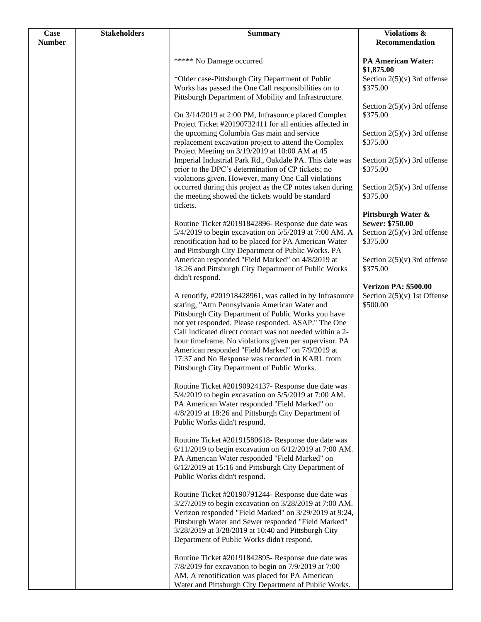| <b>Case</b>   | <b>Stakeholders</b> | <b>Summary</b>                                                                                                                                                                                                                                                                                                                                                                                                                                                                                      | Violations &                                                             |
|---------------|---------------------|-----------------------------------------------------------------------------------------------------------------------------------------------------------------------------------------------------------------------------------------------------------------------------------------------------------------------------------------------------------------------------------------------------------------------------------------------------------------------------------------------------|--------------------------------------------------------------------------|
| <b>Number</b> |                     |                                                                                                                                                                                                                                                                                                                                                                                                                                                                                                     | Recommendation                                                           |
|               |                     | ***** No Damage occurred                                                                                                                                                                                                                                                                                                                                                                                                                                                                            | <b>PA American Water:</b><br>\$1,875.00                                  |
|               |                     | *Older case-Pittsburgh City Department of Public<br>Works has passed the One Call responsibilities on to<br>Pittsburgh Department of Mobility and Infrastructure.                                                                                                                                                                                                                                                                                                                                   | Section $2(5)(v)$ 3rd offense<br>\$375.00                                |
|               |                     | On 3/14/2019 at 2:00 PM, Infrasource placed Complex<br>Project Ticket #20190732411 for all entities affected in                                                                                                                                                                                                                                                                                                                                                                                     | Section $2(5)(v)$ 3rd offense<br>\$375.00                                |
|               |                     | the upcoming Columbia Gas main and service<br>replacement excavation project to attend the Complex<br>Project Meeting on 3/19/2019 at 10:00 AM at 45                                                                                                                                                                                                                                                                                                                                                | Section $2(5)(v)$ 3rd offense<br>\$375.00                                |
|               |                     | Imperial Industrial Park Rd., Oakdale PA. This date was<br>prior to the DPC's determination of CP tickets; no<br>violations given. However, many One Call violations                                                                                                                                                                                                                                                                                                                                | Section $2(5)(v)$ 3rd offense<br>\$375.00                                |
|               |                     | occurred during this project as the CP notes taken during<br>the meeting showed the tickets would be standard<br>tickets.                                                                                                                                                                                                                                                                                                                                                                           | Section $2(5)(v)$ 3rd offense<br>\$375.00                                |
|               |                     | Routine Ticket #20191842896- Response due date was                                                                                                                                                                                                                                                                                                                                                                                                                                                  | Pittsburgh Water &<br>Sewer: \$750.00                                    |
|               |                     | 5/4/2019 to begin excavation on 5/5/2019 at 7:00 AM. A<br>renotification had to be placed for PA American Water<br>and Pittsburgh City Department of Public Works. PA                                                                                                                                                                                                                                                                                                                               | Section $2(5)(v)$ 3rd offense<br>\$375.00                                |
|               |                     | American responded "Field Marked" on 4/8/2019 at<br>18:26 and Pittsburgh City Department of Public Works<br>didn't respond.                                                                                                                                                                                                                                                                                                                                                                         | Section $2(5)(v)$ 3rd offense<br>\$375.00                                |
|               |                     | A renotify, #201918428961, was called in by Infrasource<br>stating, "Attn Pennsylvania American Water and<br>Pittsburgh City Department of Public Works you have<br>not yet responded. Please responded. ASAP." The One<br>Call indicated direct contact was not needed within a 2-<br>hour timeframe. No violations given per supervisor. PA<br>American responded "Field Marked" on 7/9/2019 at<br>17:37 and No Response was recorded in KARL from<br>Pittsburgh City Department of Public Works. | <b>Verizon PA: \$500.00</b><br>Section $2(5)(v)$ 1st Offense<br>\$500.00 |
|               |                     | Routine Ticket #20190924137- Response due date was<br>5/4/2019 to begin excavation on 5/5/2019 at 7:00 AM.<br>PA American Water responded "Field Marked" on<br>4/8/2019 at 18:26 and Pittsburgh City Department of<br>Public Works didn't respond.                                                                                                                                                                                                                                                  |                                                                          |
|               |                     | Routine Ticket #20191580618- Response due date was<br>$6/11/2019$ to begin excavation on $6/12/2019$ at 7:00 AM.<br>PA American Water responded "Field Marked" on<br>6/12/2019 at 15:16 and Pittsburgh City Department of<br>Public Works didn't respond.                                                                                                                                                                                                                                           |                                                                          |
|               |                     | Routine Ticket #20190791244- Response due date was<br>3/27/2019 to begin excavation on 3/28/2019 at 7:00 AM.<br>Verizon responded "Field Marked" on 3/29/2019 at 9:24,<br>Pittsburgh Water and Sewer responded "Field Marked"<br>3/28/2019 at 3/28/2019 at 10:40 and Pittsburgh City<br>Department of Public Works didn't respond.                                                                                                                                                                  |                                                                          |
|               |                     | Routine Ticket #20191842895- Response due date was<br>7/8/2019 for excavation to begin on 7/9/2019 at 7:00<br>AM. A renotification was placed for PA American<br>Water and Pittsburgh City Department of Public Works.                                                                                                                                                                                                                                                                              |                                                                          |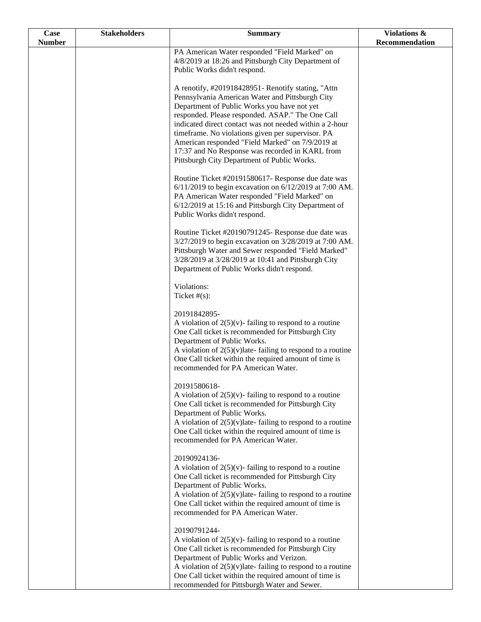| <b>Case</b>   | <b>Stakeholders</b> | <b>Summary</b>                                                                                                                                                                                                                                                                                                                                       | Violations &   |
|---------------|---------------------|------------------------------------------------------------------------------------------------------------------------------------------------------------------------------------------------------------------------------------------------------------------------------------------------------------------------------------------------------|----------------|
| <b>Number</b> |                     |                                                                                                                                                                                                                                                                                                                                                      | Recommendation |
|               |                     | PA American Water responded "Field Marked" on<br>4/8/2019 at 18:26 and Pittsburgh City Department of                                                                                                                                                                                                                                                 |                |
|               |                     | Public Works didn't respond.                                                                                                                                                                                                                                                                                                                         |                |
|               |                     | A renotify, #201918428951- Renotify stating, "Attn<br>Pennsylvania American Water and Pittsburgh City<br>Department of Public Works you have not yet                                                                                                                                                                                                 |                |
|               |                     | responded. Please responded. ASAP." The One Call<br>indicated direct contact was not needed within a 2-hour<br>timeframe. No violations given per supervisor. PA<br>American responded "Field Marked" on 7/9/2019 at<br>17:37 and No Response was recorded in KARL from<br>Pittsburgh City Department of Public Works.                               |                |
|               |                     | Routine Ticket #20191580617- Response due date was<br>$6/11/2019$ to begin excavation on $6/12/2019$ at 7:00 AM.<br>PA American Water responded "Field Marked" on<br>6/12/2019 at 15:16 and Pittsburgh City Department of<br>Public Works didn't respond.                                                                                            |                |
|               |                     | Routine Ticket #20190791245- Response due date was<br>3/27/2019 to begin excavation on 3/28/2019 at 7:00 AM.<br>Pittsburgh Water and Sewer responded "Field Marked"<br>3/28/2019 at 3/28/2019 at 10:41 and Pittsburgh City<br>Department of Public Works didn't respond.                                                                             |                |
|               |                     | Violations:<br>Ticket $#(s)$ :                                                                                                                                                                                                                                                                                                                       |                |
|               |                     | 20191842895-<br>A violation of $2(5)(v)$ - failing to respond to a routine<br>One Call ticket is recommended for Pittsburgh City<br>Department of Public Works.<br>A violation of $2(5)(v)$ late-failing to respond to a routine<br>One Call ticket within the required amount of time is<br>recommended for PA American Water.                      |                |
|               |                     | 20191580618-<br>A violation of $2(5)(v)$ - failing to respond to a routine<br>One Call ticket is recommended for Pittsburgh City<br>Department of Public Works.<br>A violation of $2(5)(v)$ late-failing to respond to a routine<br>One Call ticket within the required amount of time is<br>recommended for PA American Water.                      |                |
|               |                     | 20190924136-<br>A violation of $2(5)(v)$ - failing to respond to a routine<br>One Call ticket is recommended for Pittsburgh City<br>Department of Public Works.<br>A violation of $2(5)(v)$ late-failing to respond to a routine<br>One Call ticket within the required amount of time is<br>recommended for PA American Water.                      |                |
|               |                     | 20190791244-<br>A violation of $2(5)(v)$ - failing to respond to a routine<br>One Call ticket is recommended for Pittsburgh City<br>Department of Public Works and Verizon.<br>A violation of $2(5)(v)$ late-failing to respond to a routine<br>One Call ticket within the required amount of time is<br>recommended for Pittsburgh Water and Sewer. |                |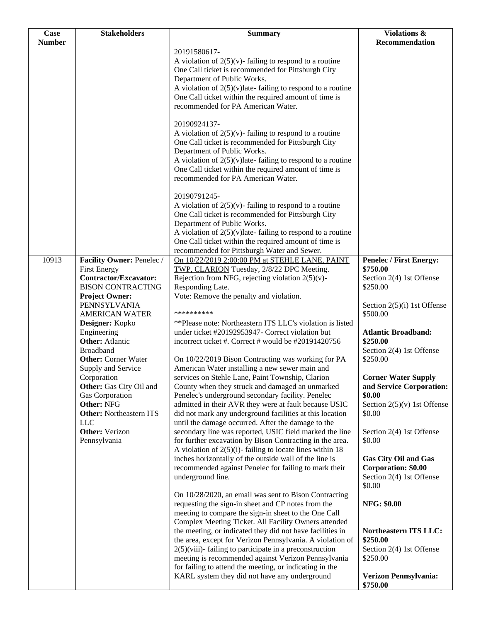| Case          | <b>Stakeholders</b>                                                                                                                           | <b>Summary</b>                                                                                                                                                                                                                                                                                                                                                                                                                                                                                                                                                                        | Violations &                                                                                                                                   |
|---------------|-----------------------------------------------------------------------------------------------------------------------------------------------|---------------------------------------------------------------------------------------------------------------------------------------------------------------------------------------------------------------------------------------------------------------------------------------------------------------------------------------------------------------------------------------------------------------------------------------------------------------------------------------------------------------------------------------------------------------------------------------|------------------------------------------------------------------------------------------------------------------------------------------------|
| <b>Number</b> |                                                                                                                                               |                                                                                                                                                                                                                                                                                                                                                                                                                                                                                                                                                                                       | Recommendation                                                                                                                                 |
|               |                                                                                                                                               | 20191580617-<br>A violation of $2(5)(v)$ - failing to respond to a routine<br>One Call ticket is recommended for Pittsburgh City<br>Department of Public Works.<br>A violation of $2(5)(v)$ late-failing to respond to a routine<br>One Call ticket within the required amount of time is<br>recommended for PA American Water.                                                                                                                                                                                                                                                       |                                                                                                                                                |
|               |                                                                                                                                               | 20190924137-<br>A violation of $2(5)(v)$ -failing to respond to a routine<br>One Call ticket is recommended for Pittsburgh City<br>Department of Public Works.<br>A violation of $2(5)(v)$ late-failing to respond to a routine<br>One Call ticket within the required amount of time is<br>recommended for PA American Water.<br>20190791245-<br>A violation of $2(5)(v)$ -failing to respond to a routine<br>One Call ticket is recommended for Pittsburgh City<br>Department of Public Works.                                                                                      |                                                                                                                                                |
|               |                                                                                                                                               | A violation of $2(5)(v)$ late-failing to respond to a routine<br>One Call ticket within the required amount of time is<br>recommended for Pittsburgh Water and Sewer.                                                                                                                                                                                                                                                                                                                                                                                                                 |                                                                                                                                                |
| 10913         | Facility Owner: Penelec /<br><b>First Energy</b><br><b>Contractor/Excavator:</b><br><b>BISON CONTRACTING</b>                                  | On 10/22/2019 2:00:00 PM at STEHLE LANE, PAINT<br>TWP, CLARION Tuesday, 2/8/22 DPC Meeting.<br>Rejection from NFG, rejecting violation $2(5)(v)$ -<br>Responding Late.                                                                                                                                                                                                                                                                                                                                                                                                                | <b>Penelec / First Energy:</b><br>\$750.00<br>Section 2(4) 1st Offense<br>\$250.00                                                             |
|               | <b>Project Owner:</b><br>PENNSYLVANIA<br><b>AMERICAN WATER</b><br>Designer: Kopko                                                             | Vote: Remove the penalty and violation.<br>**********<br>**Please note: Northeastern ITS LLC's violation is listed                                                                                                                                                                                                                                                                                                                                                                                                                                                                    | Section $2(5)(i)$ 1st Offense<br>\$500.00                                                                                                      |
|               | Engineering<br><b>Other:</b> Atlantic<br><b>Broadband</b><br><b>Other:</b> Corner Water                                                       | under ticket #20192953947- Correct violation but<br>incorrect ticket #. Correct # would be #20191420756<br>On 10/22/2019 Bison Contracting was working for PA                                                                                                                                                                                                                                                                                                                                                                                                                         | <b>Atlantic Broadband:</b><br>\$250.00<br>Section 2(4) 1st Offense<br>\$250.00                                                                 |
|               | Supply and Service<br>Corporation<br>Other: Gas City Oil and<br>Gas Corporation<br>Other: NFG<br><b>Other: Northeastern ITS</b><br><b>LLC</b> | American Water installing a new sewer main and<br>services on Stehle Lane, Paint Township, Clarion<br>County when they struck and damaged an unmarked<br>Penelec's underground secondary facility. Penelec<br>admitted in their AVR they were at fault because USIC<br>did not mark any underground facilities at this location<br>until the damage occurred. After the damage to the                                                                                                                                                                                                 | <b>Corner Water Supply</b><br>and Service Corporation:<br>\$0.00<br>Section $2(5)(v)$ 1st Offense<br>\$0.00                                    |
|               | <b>Other:</b> Verizon<br>Pennsylvania                                                                                                         | secondary line was reported, USIC field marked the line<br>for further excavation by Bison Contracting in the area.<br>A violation of $2(5)(i)$ - failing to locate lines within 18<br>inches horizontally of the outside wall of the line is<br>recommended against Penelec for failing to mark their<br>underground line.                                                                                                                                                                                                                                                           | Section 2(4) 1st Offense<br>\$0.00<br><b>Gas City Oil and Gas</b><br>Corporation: \$0.00<br>Section 2(4) 1st Offense                           |
|               |                                                                                                                                               | On 10/28/2020, an email was sent to Bison Contracting<br>requesting the sign-in sheet and CP notes from the<br>meeting to compare the sign-in sheet to the One Call<br>Complex Meeting Ticket. All Facility Owners attended<br>the meeting, or indicated they did not have facilities in<br>the area, except for Verizon Pennsylvania. A violation of<br>$2(5)$ (viii)-failing to participate in a preconstruction<br>meeting is recommended against Verizon Pennsylvania<br>for failing to attend the meeting, or indicating in the<br>KARL system they did not have any underground | \$0.00<br><b>NFG: \$0.00</b><br>Northeastern ITS LLC:<br>\$250.00<br>Section 2(4) 1st Offense<br>\$250.00<br>Verizon Pennsylvania:<br>\$750.00 |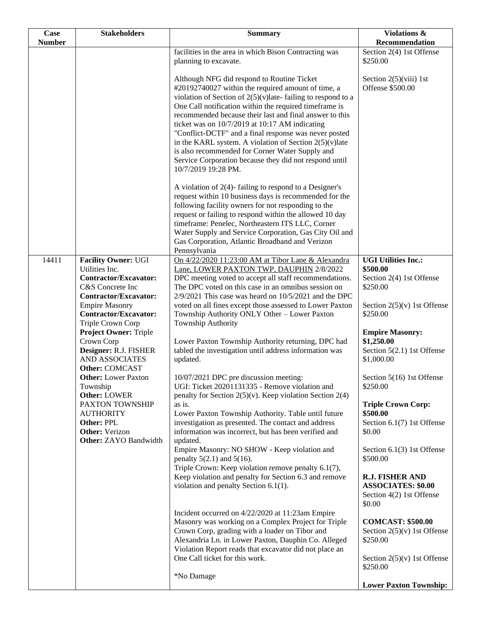| Case<br><b>Number</b> | <b>Stakeholders</b>                                                                                                   | <b>Summary</b>                                                                                                                                                                                                                                                                                                                                                                                                                                                                                                                                                                                      | <b>Violations &amp;</b><br>Recommendation                                                 |
|-----------------------|-----------------------------------------------------------------------------------------------------------------------|-----------------------------------------------------------------------------------------------------------------------------------------------------------------------------------------------------------------------------------------------------------------------------------------------------------------------------------------------------------------------------------------------------------------------------------------------------------------------------------------------------------------------------------------------------------------------------------------------------|-------------------------------------------------------------------------------------------|
|                       |                                                                                                                       | facilities in the area in which Bison Contracting was<br>planning to excavate.                                                                                                                                                                                                                                                                                                                                                                                                                                                                                                                      | Section 2(4) 1st Offense<br>\$250.00                                                      |
|                       |                                                                                                                       | Although NFG did respond to Routine Ticket<br>#20192740027 within the required amount of time, a<br>violation of Section of $2(5)(v)$ late-failing to respond to a<br>One Call notification within the required timeframe is<br>recommended because their last and final answer to this<br>ticket was on 10/7/2019 at 10:17 AM indicating<br>"Conflict-DCTF" and a final response was never posted<br>in the KARL system. A violation of Section $2(5)(v)$ late<br>is also recommended for Corner Water Supply and<br>Service Corporation because they did not respond until<br>10/7/2019 19:28 PM. | Section $2(5)(viii)$ 1st<br>Offense \$500.00                                              |
|                       |                                                                                                                       | A violation of $2(4)$ - failing to respond to a Designer's<br>request within 10 business days is recommended for the<br>following facility owners for not responding to the<br>request or failing to respond within the allowed 10 day<br>timeframe: Penelec, Northeastern ITS LLC, Corner<br>Water Supply and Service Corporation, Gas City Oil and<br>Gas Corporation, Atlantic Broadband and Verizon<br>Pennsylvania                                                                                                                                                                             |                                                                                           |
| 14411                 | <b>Facility Owner: UGI</b><br>Utilities Inc.<br>Contractor/Excavator:<br>C&S Concrete Inc<br>Contractor/Excavator:    | On 4/22/2020 11:23:00 AM at Tibor Lane & Alexandra<br>Lane, LOWER PAXTON TWP, DAUPHIN 2/8/2022<br>DPC meeting voted to accept all staff recommendations.<br>The DPC voted on this case in an omnibus session on<br>$2/9/2021$ This case was heard on $10/5/2021$ and the DPC                                                                                                                                                                                                                                                                                                                        | <b>UGI Utilities Inc.:</b><br>\$500.00<br>Section 2(4) 1st Offense<br>\$250.00            |
|                       | <b>Empire Masonry</b><br><b>Contractor/Excavator:</b><br>Triple Crown Corp                                            | voted on all fines except those assessed to Lower Paxton<br>Township Authority ONLY Other - Lower Paxton<br>Township Authority                                                                                                                                                                                                                                                                                                                                                                                                                                                                      | Section $2(5)(v)$ 1st Offense<br>\$250.00                                                 |
|                       | <b>Project Owner: Triple</b><br>Crown Corp<br>Designer: R.J. FISHER<br><b>AND ASSOCIATES</b><br><b>Other: COMCAST</b> | Lower Paxton Township Authority returning, DPC had<br>tabled the investigation until address information was<br>updated.                                                                                                                                                                                                                                                                                                                                                                                                                                                                            | <b>Empire Masonry:</b><br>\$1,250.00<br>Section 5(2.1) 1st Offense<br>\$1,000.00          |
|                       | <b>Other:</b> Lower Paxton<br>Township<br><b>Other: LOWER</b>                                                         | 10/07/2021 DPC pre discussion meeting:<br>UGI: Ticket 20201131335 - Remove violation and<br>penalty for Section $2(5)(v)$ . Keep violation Section 2(4)                                                                                                                                                                                                                                                                                                                                                                                                                                             | Section 5(16) 1st Offense<br>\$250.00                                                     |
|                       | PAXTON TOWNSHIP<br><b>AUTHORITY</b><br>Other: PPL                                                                     | as is.<br>Lower Paxton Township Authority. Table until future<br>investigation as presented. The contact and address                                                                                                                                                                                                                                                                                                                                                                                                                                                                                | <b>Triple Crown Corp:</b><br>\$500.00<br>Section 6.1(7) 1st Offense                       |
|                       | <b>Other:</b> Verizon<br><b>Other: ZAYO Bandwidth</b>                                                                 | information was incorrect, but has been verified and<br>updated.<br>Empire Masonry: NO SHOW - Keep violation and<br>penalty $5(2.1)$ and $5(16)$ .                                                                                                                                                                                                                                                                                                                                                                                                                                                  | \$0.00<br>Section 6.1(3) 1st Offense<br>\$500.00                                          |
|                       |                                                                                                                       | Triple Crown: Keep violation remove penalty 6.1(7),<br>Keep violation and penalty for Section 6.3 and remove<br>violation and penalty Section 6.1(1).                                                                                                                                                                                                                                                                                                                                                                                                                                               | <b>R.J. FISHER AND</b><br><b>ASSOCIATES: \$0.00</b><br>Section 4(2) 1st Offense<br>\$0.00 |
|                       |                                                                                                                       | Incident occurred on 4/22/2020 at 11:23am Empire<br>Masonry was working on a Complex Project for Triple<br>Crown Corp, grading with a loader on Tibor and<br>Alexandria Ln. in Lower Paxton, Dauphin Co. Alleged<br>Violation Report reads that excavator did not place an                                                                                                                                                                                                                                                                                                                          | <b>COMCAST: \$500.00</b><br>Section $2(5)(v)$ 1st Offense<br>\$250.00                     |
|                       |                                                                                                                       | One Call ticket for this work.<br>*No Damage                                                                                                                                                                                                                                                                                                                                                                                                                                                                                                                                                        | Section $2(5)(v)$ 1st Offense<br>\$250.00                                                 |
|                       |                                                                                                                       |                                                                                                                                                                                                                                                                                                                                                                                                                                                                                                                                                                                                     | <b>Lower Paxton Township:</b>                                                             |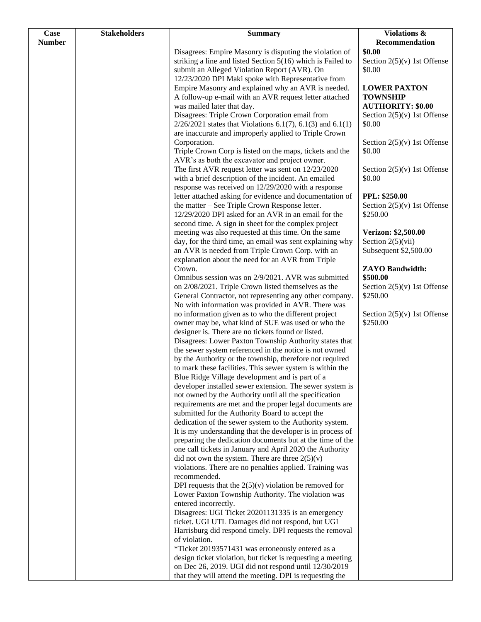| Case          | <b>Stakeholders</b> | <b>Summary</b>                                                                                             | Violations &                                   |
|---------------|---------------------|------------------------------------------------------------------------------------------------------------|------------------------------------------------|
| <b>Number</b> |                     |                                                                                                            | Recommendation                                 |
|               |                     | Disagrees: Empire Masonry is disputing the violation of                                                    | \$0.00                                         |
|               |                     | striking a line and listed Section $5(16)$ which is Failed to                                              | Section $2(5)(v)$ 1st Offense                  |
|               |                     | submit an Alleged Violation Report (AVR). On                                                               | \$0.00                                         |
|               |                     | 12/23/2020 DPI Maki spoke with Representative from<br>Empire Masonry and explained why an AVR is needed.   | <b>LOWER PAXTON</b>                            |
|               |                     | A follow-up e-mail with an AVR request letter attached                                                     | <b>TOWNSHIP</b>                                |
|               |                     | was mailed later that day.                                                                                 | <b>AUTHORITY: \$0.00</b>                       |
|               |                     | Disagrees: Triple Crown Corporation email from                                                             | Section $2(5)(v)$ 1st Offense                  |
|               |                     | $2/26/2021$ states that Violations 6.1(7), 6.1(3) and 6.1(1)                                               | \$0.00                                         |
|               |                     | are inaccurate and improperly applied to Triple Crown                                                      |                                                |
|               |                     | Corporation.                                                                                               | Section $2(5)(v)$ 1st Offense                  |
|               |                     | Triple Crown Corp is listed on the maps, tickets and the                                                   | \$0.00                                         |
|               |                     | AVR's as both the excavator and project owner.                                                             |                                                |
|               |                     | The first AVR request letter was sent on 12/23/2020                                                        | Section $2(5)(v)$ 1st Offense                  |
|               |                     | with a brief description of the incident. An emailed                                                       | \$0.00                                         |
|               |                     | response was received on 12/29/2020 with a response                                                        |                                                |
|               |                     | letter attached asking for evidence and documentation of                                                   | PPL: \$250.00<br>Section $2(5)(v)$ 1st Offense |
|               |                     | the matter – See Triple Crown Response letter.<br>12/29/2020 DPI asked for an AVR in an email for the      | \$250.00                                       |
|               |                     | second time. A sign in sheet for the complex project                                                       |                                                |
|               |                     | meeting was also requested at this time. On the same                                                       | Verizon: \$2,500.00                            |
|               |                     | day, for the third time, an email was sent explaining why                                                  | Section $2(5)(vii)$                            |
|               |                     | an AVR is needed from Triple Crown Corp. with an                                                           | Subsequent \$2,500.00                          |
|               |                     | explanation about the need for an AVR from Triple                                                          |                                                |
|               |                     | Crown.                                                                                                     | <b>ZAYO Bandwidth:</b>                         |
|               |                     | Omnibus session was on 2/9/2021. AVR was submitted                                                         | \$500.00                                       |
|               |                     | on 2/08/2021. Triple Crown listed themselves as the                                                        | Section $2(5)(v)$ 1st Offense                  |
|               |                     | General Contractor, not representing any other company.                                                    | \$250.00                                       |
|               |                     | No with information was provided in AVR. There was                                                         |                                                |
|               |                     | no information given as to who the different project<br>owner may be, what kind of SUE was used or who the | Section $2(5)(v)$ 1st Offense<br>\$250.00      |
|               |                     | designer is. There are no tickets found or listed.                                                         |                                                |
|               |                     | Disagrees: Lower Paxton Township Authority states that                                                     |                                                |
|               |                     | the sewer system referenced in the notice is not owned                                                     |                                                |
|               |                     | by the Authority or the township, therefore not required                                                   |                                                |
|               |                     | to mark these facilities. This sewer system is within the                                                  |                                                |
|               |                     | Blue Ridge Village development and is part of a                                                            |                                                |
|               |                     | developer installed sewer extension. The sewer system is                                                   |                                                |
|               |                     | not owned by the Authority until all the specification                                                     |                                                |
|               |                     | requirements are met and the proper legal documents are                                                    |                                                |
|               |                     | submitted for the Authority Board to accept the<br>dedication of the sewer system to the Authority system. |                                                |
|               |                     | It is my understanding that the developer is in process of                                                 |                                                |
|               |                     | preparing the dedication documents but at the time of the                                                  |                                                |
|               |                     | one call tickets in January and April 2020 the Authority                                                   |                                                |
|               |                     | did not own the system. There are three $2(5)(v)$                                                          |                                                |
|               |                     | violations. There are no penalties applied. Training was                                                   |                                                |
|               |                     | recommended.                                                                                               |                                                |
|               |                     | DPI requests that the $2(5)(v)$ violation be removed for                                                   |                                                |
|               |                     | Lower Paxton Township Authority. The violation was<br>entered incorrectly.                                 |                                                |
|               |                     | Disagrees: UGI Ticket 20201131335 is an emergency                                                          |                                                |
|               |                     | ticket. UGI UTL Damages did not respond, but UGI                                                           |                                                |
|               |                     | Harrisburg did respond timely. DPI requests the removal                                                    |                                                |
|               |                     | of violation.                                                                                              |                                                |
|               |                     | *Ticket 20193571431 was erroneously entered as a                                                           |                                                |
|               |                     | design ticket violation, but ticket is requesting a meeting                                                |                                                |
|               |                     | on Dec 26, 2019. UGI did not respond until 12/30/2019                                                      |                                                |
|               |                     | that they will attend the meeting. DPI is requesting the                                                   |                                                |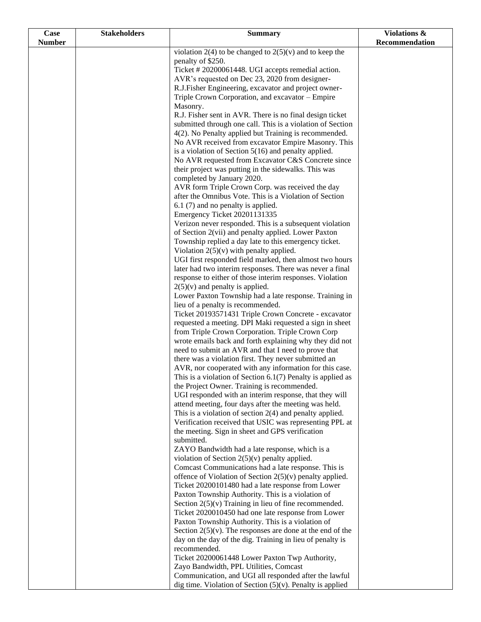| Case          | <b>Stakeholders</b> | <b>Summary</b>                                                                                                        | Violations &   |
|---------------|---------------------|-----------------------------------------------------------------------------------------------------------------------|----------------|
| <b>Number</b> |                     |                                                                                                                       | Recommendation |
|               |                     | violation 2(4) to be changed to $2(5)(v)$ and to keep the                                                             |                |
|               |                     | penalty of \$250.                                                                                                     |                |
|               |                     | Ticket #20200061448. UGI accepts remedial action.                                                                     |                |
|               |                     | AVR's requested on Dec 23, 2020 from designer-                                                                        |                |
|               |                     | R.J.Fisher Engineering, excavator and project owner-<br>Triple Crown Corporation, and excavator - Empire              |                |
|               |                     | Masonry.                                                                                                              |                |
|               |                     | R.J. Fisher sent in AVR. There is no final design ticket                                                              |                |
|               |                     | submitted through one call. This is a violation of Section                                                            |                |
|               |                     | 4(2). No Penalty applied but Training is recommended.                                                                 |                |
|               |                     | No AVR received from excavator Empire Masonry. This                                                                   |                |
|               |                     | is a violation of Section $5(16)$ and penalty applied.                                                                |                |
|               |                     | No AVR requested from Excavator C&S Concrete since                                                                    |                |
|               |                     | their project was putting in the sidewalks. This was                                                                  |                |
|               |                     | completed by January 2020.                                                                                            |                |
|               |                     | AVR form Triple Crown Corp. was received the day                                                                      |                |
|               |                     | after the Omnibus Vote. This is a Violation of Section                                                                |                |
|               |                     | 6.1 (7) and no penalty is applied.                                                                                    |                |
|               |                     | Emergency Ticket 20201131335                                                                                          |                |
|               |                     | Verizon never responded. This is a subsequent violation<br>of Section 2(vii) and penalty applied. Lower Paxton        |                |
|               |                     | Township replied a day late to this emergency ticket.                                                                 |                |
|               |                     | Violation $2(5)(v)$ with penalty applied.                                                                             |                |
|               |                     | UGI first responded field marked, then almost two hours                                                               |                |
|               |                     | later had two interim responses. There was never a final                                                              |                |
|               |                     | response to either of those interim responses. Violation                                                              |                |
|               |                     | $2(5)(v)$ and penalty is applied.                                                                                     |                |
|               |                     | Lower Paxton Township had a late response. Training in                                                                |                |
|               |                     | lieu of a penalty is recommended.                                                                                     |                |
|               |                     | Ticket 20193571431 Triple Crown Concrete - excavator                                                                  |                |
|               |                     | requested a meeting. DPI Maki requested a sign in sheet                                                               |                |
|               |                     | from Triple Crown Corporation. Triple Crown Corp                                                                      |                |
|               |                     | wrote emails back and forth explaining why they did not<br>need to submit an AVR and that I need to prove that        |                |
|               |                     | there was a violation first. They never submitted an                                                                  |                |
|               |                     | AVR, nor cooperated with any information for this case.                                                               |                |
|               |                     | This is a violation of Section $6.1(7)$ Penalty is applied as                                                         |                |
|               |                     | the Project Owner. Training is recommended.                                                                           |                |
|               |                     | UGI responded with an interim response, that they will                                                                |                |
|               |                     | attend meeting, four days after the meeting was held.                                                                 |                |
|               |                     | This is a violation of section $2(4)$ and penalty applied.                                                            |                |
|               |                     | Verification received that USIC was representing PPL at                                                               |                |
|               |                     | the meeting. Sign in sheet and GPS verification                                                                       |                |
|               |                     | submitted.                                                                                                            |                |
|               |                     | ZAYO Bandwidth had a late response, which is a                                                                        |                |
|               |                     | violation of Section $2(5)(v)$ penalty applied.<br>Comcast Communications had a late response. This is                |                |
|               |                     | offence of Violation of Section $2(5)(v)$ penalty applied.                                                            |                |
|               |                     | Ticket 20200101480 had a late response from Lower                                                                     |                |
|               |                     | Paxton Township Authority. This is a violation of                                                                     |                |
|               |                     | Section $2(5)(v)$ Training in lieu of fine recommended.                                                               |                |
|               |                     | Ticket 2020010450 had one late response from Lower                                                                    |                |
|               |                     | Paxton Township Authority. This is a violation of                                                                     |                |
|               |                     | Section $2(5)(v)$ . The responses are done at the end of the                                                          |                |
|               |                     | day on the day of the dig. Training in lieu of penalty is                                                             |                |
|               |                     | recommended.                                                                                                          |                |
|               |                     | Ticket 20200061448 Lower Paxton Twp Authority,                                                                        |                |
|               |                     | Zayo Bandwidth, PPL Utilities, Comcast                                                                                |                |
|               |                     | Communication, and UGI all responded after the lawful<br>dig time. Violation of Section $(5)(v)$ . Penalty is applied |                |
|               |                     |                                                                                                                       |                |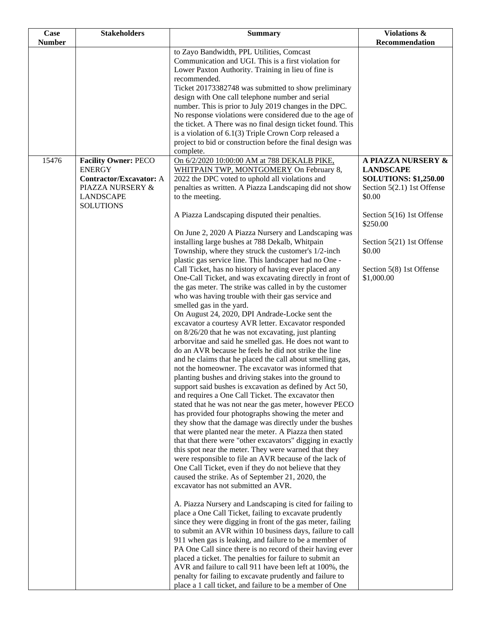| <b>Case</b>   | <b>Stakeholders</b>                             | <b>Summary</b>                                                                                                       | Violations &                                     |
|---------------|-------------------------------------------------|----------------------------------------------------------------------------------------------------------------------|--------------------------------------------------|
| <b>Number</b> |                                                 |                                                                                                                      | <b>Recommendation</b>                            |
|               |                                                 | to Zayo Bandwidth, PPL Utilities, Comcast                                                                            |                                                  |
|               |                                                 | Communication and UGI. This is a first violation for<br>Lower Paxton Authority. Training in lieu of fine is          |                                                  |
|               |                                                 | recommended.                                                                                                         |                                                  |
|               |                                                 | Ticket 20173382748 was submitted to show preliminary                                                                 |                                                  |
|               |                                                 | design with One call telephone number and serial                                                                     |                                                  |
|               |                                                 | number. This is prior to July 2019 changes in the DPC.                                                               |                                                  |
|               |                                                 | No response violations were considered due to the age of                                                             |                                                  |
|               |                                                 | the ticket. A There was no final design ticket found. This                                                           |                                                  |
|               |                                                 | is a violation of 6.1(3) Triple Crown Corp released a                                                                |                                                  |
|               |                                                 | project to bid or construction before the final design was                                                           |                                                  |
|               |                                                 | complete.                                                                                                            |                                                  |
| 15476         | <b>Facility Owner: PECO</b>                     | On 6/2/2020 10:00:00 AM at 788 DEKALB PIKE,                                                                          | A PIAZZA NURSERY &                               |
|               | <b>ENERGY</b><br><b>Contractor/Excavator: A</b> | WHITPAIN TWP, MONTGOMERY On February 8,<br>2022 the DPC voted to uphold all violations and                           | <b>LANDSCAPE</b><br><b>SOLUTIONS: \$1,250.00</b> |
|               | PIAZZA NURSERY &                                | penalties as written. A Piazza Landscaping did not show                                                              | Section $5(2.1)$ 1st Offense                     |
|               | <b>LANDSCAPE</b>                                | to the meeting.                                                                                                      | \$0.00                                           |
|               | <b>SOLUTIONS</b>                                |                                                                                                                      |                                                  |
|               |                                                 | A Piazza Landscaping disputed their penalties.                                                                       | Section 5(16) 1st Offense<br>\$250.00            |
|               |                                                 | On June 2, 2020 A Piazza Nursery and Landscaping was                                                                 |                                                  |
|               |                                                 | installing large bushes at 788 Dekalb, Whitpain                                                                      | Section 5(21) 1st Offense                        |
|               |                                                 | Township, where they struck the customer's 1/2-inch                                                                  | \$0.00                                           |
|               |                                                 | plastic gas service line. This landscaper had no One -                                                               |                                                  |
|               |                                                 | Call Ticket, has no history of having ever placed any                                                                | Section 5(8) 1st Offense                         |
|               |                                                 | One-Call Ticket, and was excavating directly in front of<br>the gas meter. The strike was called in by the customer  | \$1,000.00                                       |
|               |                                                 | who was having trouble with their gas service and                                                                    |                                                  |
|               |                                                 | smelled gas in the yard.                                                                                             |                                                  |
|               |                                                 | On August 24, 2020, DPI Andrade-Locke sent the                                                                       |                                                  |
|               |                                                 | excavator a courtesy AVR letter. Excavator responded                                                                 |                                                  |
|               |                                                 | on 8/26/20 that he was not excavating, just planting                                                                 |                                                  |
|               |                                                 | arborvitae and said he smelled gas. He does not want to                                                              |                                                  |
|               |                                                 | do an AVR because he feels he did not strike the line                                                                |                                                  |
|               |                                                 | and he claims that he placed the call about smelling gas,                                                            |                                                  |
|               |                                                 | not the homeowner. The excavator was informed that                                                                   |                                                  |
|               |                                                 | planting bushes and driving stakes into the ground to<br>support said bushes is excavation as defined by Act 50,     |                                                  |
|               |                                                 | and requires a One Call Ticket. The excavator then                                                                   |                                                  |
|               |                                                 | stated that he was not near the gas meter, however PECO                                                              |                                                  |
|               |                                                 | has provided four photographs showing the meter and                                                                  |                                                  |
|               |                                                 | they show that the damage was directly under the bushes                                                              |                                                  |
|               |                                                 | that were planted near the meter. A Piazza then stated                                                               |                                                  |
|               |                                                 | that that there were "other excavators" digging in exactly                                                           |                                                  |
|               |                                                 | this spot near the meter. They were warned that they                                                                 |                                                  |
|               |                                                 | were responsible to file an AVR because of the lack of                                                               |                                                  |
|               |                                                 | One Call Ticket, even if they do not believe that they                                                               |                                                  |
|               |                                                 | caused the strike. As of September 21, 2020, the                                                                     |                                                  |
|               |                                                 | excavator has not submitted an AVR.                                                                                  |                                                  |
|               |                                                 | A. Piazza Nursery and Landscaping is cited for failing to                                                            |                                                  |
|               |                                                 | place a One Call Ticket, failing to excavate prudently                                                               |                                                  |
|               |                                                 | since they were digging in front of the gas meter, failing                                                           |                                                  |
|               |                                                 | to submit an AVR within 10 business days, failure to call                                                            |                                                  |
|               |                                                 | 911 when gas is leaking, and failure to be a member of                                                               |                                                  |
|               |                                                 | PA One Call since there is no record of their having ever                                                            |                                                  |
|               |                                                 | placed a ticket. The penalties for failure to submit an                                                              |                                                  |
|               |                                                 | AVR and failure to call 911 have been left at 100%, the                                                              |                                                  |
|               |                                                 | penalty for failing to excavate prudently and failure to<br>place a 1 call ticket, and failure to be a member of One |                                                  |
|               |                                                 |                                                                                                                      |                                                  |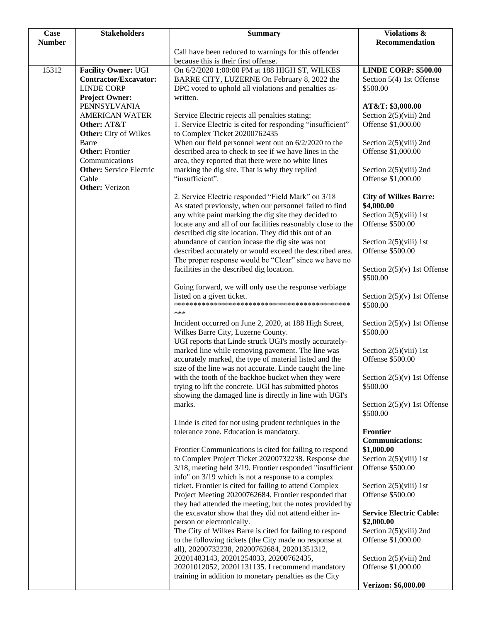| Case<br><b>Number</b> | <b>Stakeholders</b>                                                                                           | <b>Summary</b>                                                                                                                                                                                                                          | <b>Violations &amp;</b><br>Recommendation                                    |
|-----------------------|---------------------------------------------------------------------------------------------------------------|-----------------------------------------------------------------------------------------------------------------------------------------------------------------------------------------------------------------------------------------|------------------------------------------------------------------------------|
|                       |                                                                                                               | Call have been reduced to warnings for this offender                                                                                                                                                                                    |                                                                              |
|                       |                                                                                                               | because this is their first offense.                                                                                                                                                                                                    |                                                                              |
| 15312                 | <b>Facility Owner: UGI</b><br>Contractor/Excavator:<br><b>LINDE CORP</b>                                      | On 6/2/2020 1:00:00 PM at 188 HIGH ST, WILKES<br>BARRE CITY, LUZERNE On February 8, 2022 the<br>DPC voted to uphold all violations and penalties as-                                                                                    | <b>LINDE CORP: \$500.00</b><br>Section 5(4) 1st Offense<br>\$500.00          |
|                       | <b>Project Owner:</b><br>PENNSYLVANIA<br><b>AMERICAN WATER</b><br>Other: AT&T<br><b>Other:</b> City of Wilkes | written.<br>Service Electric rejects all penalties stating:<br>1. Service Electric is cited for responding "insufficient"<br>to Complex Ticket 20200762435                                                                              | AT&T: \$3,000.00<br>Section $2(5)$ (viii) 2nd<br>Offense \$1,000.00          |
|                       | Barre<br><b>Other: Frontier</b><br>Communications<br><b>Other:</b> Service Electric                           | When our field personnel went out on 6/2/2020 to the<br>described area to check to see if we have lines in the<br>area, they reported that there were no white lines<br>marking the dig site. That is why they replied                  | Section $2(5)$ (viii) 2nd<br>Offense \$1,000.00<br>Section $2(5)$ (viii) 2nd |
|                       | Cable<br><b>Other:</b> Verizon                                                                                | "insufficient".<br>2. Service Electric responded "Field Mark" on 3/18                                                                                                                                                                   | Offense \$1,000.00<br><b>City of Wilkes Barre:</b>                           |
|                       |                                                                                                               | As stated previously, when our personnel failed to find<br>any white paint marking the dig site they decided to<br>locate any and all of our facilities reasonably close to the<br>described dig site location. They did this out of an | \$4,000.00<br>Section $2(5)$ (viii) 1st<br>Offense \$500.00                  |
|                       |                                                                                                               | abundance of caution incase the dig site was not<br>described accurately or would exceed the described area.<br>The proper response would be "Clear" since we have no                                                                   | Section $2(5)(viii)$ 1st<br>Offense \$500.00                                 |
|                       |                                                                                                               | facilities in the described dig location.<br>Going forward, we will only use the response verbiage                                                                                                                                      | Section $2(5)(v)$ 1st Offense<br>\$500.00                                    |
|                       |                                                                                                               | listed on a given ticket.<br>***                                                                                                                                                                                                        | Section $2(5)(v)$ 1st Offense<br>\$500.00                                    |
|                       |                                                                                                               | Incident occurred on June 2, 2020, at 188 High Street,<br>Wilkes Barre City, Luzerne County.<br>UGI reports that Linde struck UGI's mostly accurately-                                                                                  | Section $2(5)(v)$ 1st Offense<br>\$500.00                                    |
|                       |                                                                                                               | marked line while removing pavement. The line was<br>accurately marked, the type of material listed and the<br>size of the line was not accurate. Linde caught the line                                                                 | Section $2(5)(viii)$ 1st<br>Offense \$500.00                                 |
|                       |                                                                                                               | with the tooth of the backhoe bucket when they were<br>trying to lift the concrete. UGI has submitted photos<br>showing the damaged line is directly in line with UGI's                                                                 | Section $2(5)(v)$ 1st Offense<br>\$500.00                                    |
|                       |                                                                                                               | marks.<br>Linde is cited for not using prudent techniques in the                                                                                                                                                                        | Section $2(5)(v)$ 1st Offense<br>\$500.00                                    |
|                       |                                                                                                               | tolerance zone. Education is mandatory.<br>Frontier Communications is cited for failing to respond                                                                                                                                      | Frontier<br><b>Communications:</b><br>\$1,000.00                             |
|                       |                                                                                                               | to Complex Project Ticket 20200732238. Response due<br>3/18, meeting held 3/19. Frontier responded "insufficient<br>info" on 3/19 which is not a response to a complex                                                                  | Section $2(5)(viii)$ 1st<br>Offense \$500.00                                 |
|                       |                                                                                                               | ticket. Frontier is cited for failing to attend Complex<br>Project Meeting 20200762684. Frontier responded that<br>they had attended the meeting, but the notes provided by                                                             | Section $2(5)(viii)$ 1st<br>Offense \$500.00                                 |
|                       |                                                                                                               | the excavator show that they did not attend either in-<br>person or electronically.<br>The City of Wilkes Barre is cited for failing to respond                                                                                         | <b>Service Electric Cable:</b><br>\$2,000.00<br>Section $2(5)$ (viii) 2nd    |
|                       |                                                                                                               | to the following tickets (the City made no response at<br>all), 20200732238, 20200762684, 20201351312,<br>20201483143, 20201254033, 20200762435,                                                                                        | Offense \$1,000.00<br>Section $2(5)(viii)$ 2nd                               |
|                       |                                                                                                               | 20201012052, 20201131135. I recommend mandatory<br>training in addition to monetary penalties as the City                                                                                                                               | Offense \$1,000.00                                                           |
|                       |                                                                                                               |                                                                                                                                                                                                                                         | Verizon: \$6,000.00                                                          |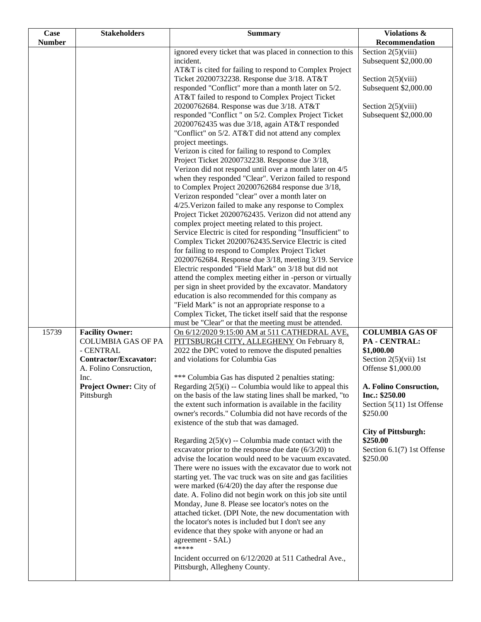| Case          | <b>Stakeholders</b>                  | <b>Summary</b>                                                                                                          | Violations &                             |
|---------------|--------------------------------------|-------------------------------------------------------------------------------------------------------------------------|------------------------------------------|
| <b>Number</b> |                                      |                                                                                                                         | Recommendation                           |
|               |                                      | ignored every ticket that was placed in connection to this                                                              | Section $2(5)(viii)$                     |
|               |                                      | incident.<br>AT&T is cited for failing to respond to Complex Project                                                    | Subsequent \$2,000.00                    |
|               |                                      | Ticket 20200732238. Response due 3/18. AT&T                                                                             | Section $2(5)(viii)$                     |
|               |                                      | responded "Conflict" more than a month later on 5/2.                                                                    | Subsequent \$2,000.00                    |
|               |                                      | AT&T failed to respond to Complex Project Ticket                                                                        |                                          |
|               |                                      | 20200762684. Response was due 3/18. AT&T                                                                                | Section $2(5)(viii)$                     |
|               |                                      | responded "Conflict " on 5/2. Complex Project Ticket                                                                    | Subsequent \$2,000.00                    |
|               |                                      | 20200762435 was due 3/18, again AT&T responded                                                                          |                                          |
|               |                                      | "Conflict" on 5/2. AT&T did not attend any complex                                                                      |                                          |
|               |                                      | project meetings.                                                                                                       |                                          |
|               |                                      | Verizon is cited for failing to respond to Complex                                                                      |                                          |
|               |                                      | Project Ticket 20200732238. Response due 3/18,                                                                          |                                          |
|               |                                      | Verizon did not respond until over a month later on 4/5                                                                 |                                          |
|               |                                      | when they responded "Clear". Verizon failed to respond                                                                  |                                          |
|               |                                      | to Complex Project 20200762684 response due 3/18,                                                                       |                                          |
|               |                                      | Verizon responded "clear" over a month later on<br>4/25. Verizon failed to make any response to Complex                 |                                          |
|               |                                      | Project Ticket 20200762435. Verizon did not attend any                                                                  |                                          |
|               |                                      | complex project meeting related to this project.                                                                        |                                          |
|               |                                      | Service Electric is cited for responding "Insufficient" to                                                              |                                          |
|               |                                      | Complex Ticket 20200762435. Service Electric is cited                                                                   |                                          |
|               |                                      | for failing to respond to Complex Project Ticket                                                                        |                                          |
|               |                                      | 20200762684. Response due 3/18, meeting 3/19. Service                                                                   |                                          |
|               |                                      | Electric responded "Field Mark" on 3/18 but did not                                                                     |                                          |
|               |                                      | attend the complex meeting either in -person or virtually                                                               |                                          |
|               |                                      | per sign in sheet provided by the excavator. Mandatory                                                                  |                                          |
|               |                                      | education is also recommended for this company as<br>"Field Mark" is not an appropriate response to a                   |                                          |
|               |                                      | Complex Ticket, The ticket itself said that the response                                                                |                                          |
|               |                                      | must be "Clear" or that the meeting must be attended.                                                                   |                                          |
| 15739         | <b>Facility Owner:</b>               | On 6/12/2020 9:15:00 AM at 511 CATHEDRAL AVE,                                                                           | <b>COLUMBIA GAS OF</b>                   |
|               | <b>COLUMBIA GAS OF PA</b>            | PITTSBURGH CITY, ALLEGHENY On February 8,                                                                               | PA - CENTRAL:                            |
|               | - CENTRAL                            | 2022 the DPC voted to remove the disputed penalties                                                                     | \$1,000.00                               |
|               | Contractor/Excavator:                | and violations for Columbia Gas                                                                                         | Section $2(5)(vii)$ 1st                  |
|               | A. Folino Consruction,               |                                                                                                                         | Offense \$1,000.00                       |
|               | Inc.                                 | *** Columbia Gas has disputed 2 penalties stating:                                                                      |                                          |
|               | Project Owner: City of<br>Pittsburgh | Regarding $2(5)(i)$ -- Columbia would like to appeal this<br>on the basis of the law stating lines shall be marked, "to | A. Folino Consruction,<br>Inc.: \$250.00 |
|               |                                      | the extent such information is available in the facility                                                                | Section 5(11) 1st Offense                |
|               |                                      | owner's records." Columbia did not have records of the                                                                  | \$250.00                                 |
|               |                                      | existence of the stub that was damaged.                                                                                 |                                          |
|               |                                      |                                                                                                                         | <b>City of Pittsburgh:</b>               |
|               |                                      | Regarding $2(5)(v)$ -- Columbia made contact with the                                                                   | \$250.00                                 |
|               |                                      | excavator prior to the response due date $(6/3/20)$ to                                                                  | Section 6.1(7) 1st Offense               |
|               |                                      | advise the location would need to be vacuum excavated.                                                                  | \$250.00                                 |
|               |                                      | There were no issues with the excavator due to work not                                                                 |                                          |
|               |                                      | starting yet. The vac truck was on site and gas facilities<br>were marked $(6/4/20)$ the day after the response due     |                                          |
|               |                                      | date. A. Folino did not begin work on this job site until                                                               |                                          |
|               |                                      | Monday, June 8. Please see locator's notes on the                                                                       |                                          |
|               |                                      | attached ticket. (DPI Note, the new documentation with                                                                  |                                          |
|               |                                      | the locator's notes is included but I don't see any                                                                     |                                          |
|               |                                      | evidence that they spoke with anyone or had an                                                                          |                                          |
|               |                                      | agreement - SAL)                                                                                                        |                                          |
|               |                                      | *****                                                                                                                   |                                          |
|               |                                      | Incident occurred on 6/12/2020 at 511 Cathedral Ave.,<br>Pittsburgh, Allegheny County.                                  |                                          |
|               |                                      |                                                                                                                         |                                          |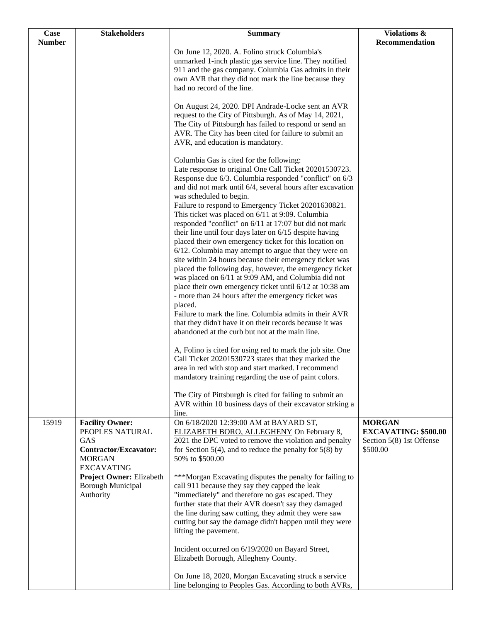| Case          | <b>Stakeholders</b>                                                                                             | <b>Summary</b>                                                                                                                                                                                                                                                                                                                                                        | Violations &                                                                         |
|---------------|-----------------------------------------------------------------------------------------------------------------|-----------------------------------------------------------------------------------------------------------------------------------------------------------------------------------------------------------------------------------------------------------------------------------------------------------------------------------------------------------------------|--------------------------------------------------------------------------------------|
| <b>Number</b> |                                                                                                                 |                                                                                                                                                                                                                                                                                                                                                                       | Recommendation                                                                       |
|               |                                                                                                                 | On June 12, 2020. A. Folino struck Columbia's<br>unmarked 1-inch plastic gas service line. They notified<br>911 and the gas company. Columbia Gas admits in their<br>own AVR that they did not mark the line because they<br>had no record of the line.                                                                                                               |                                                                                      |
|               |                                                                                                                 | On August 24, 2020. DPI Andrade-Locke sent an AVR<br>request to the City of Pittsburgh. As of May 14, 2021,<br>The City of Pittsburgh has failed to respond or send an<br>AVR. The City has been cited for failure to submit an<br>AVR, and education is mandatory.                                                                                                   |                                                                                      |
|               |                                                                                                                 | Columbia Gas is cited for the following:<br>Late response to original One Call Ticket 20201530723.<br>Response due 6/3. Columbia responded "conflict" on 6/3<br>and did not mark until 6/4, several hours after excavation<br>was scheduled to begin.<br>Failure to respond to Emergency Ticket 20201630821.<br>This ticket was placed on 6/11 at 9:09. Columbia      |                                                                                      |
|               |                                                                                                                 | responded "conflict" on 6/11 at 17:07 but did not mark<br>their line until four days later on 6/15 despite having<br>placed their own emergency ticket for this location on<br>6/12. Columbia may attempt to argue that they were on<br>site within 24 hours because their emergency ticket was<br>placed the following day, however, the emergency ticket            |                                                                                      |
|               |                                                                                                                 | was placed on 6/11 at 9:09 AM, and Columbia did not<br>place their own emergency ticket until 6/12 at 10:38 am<br>- more than 24 hours after the emergency ticket was<br>placed.<br>Failure to mark the line. Columbia admits in their AVR<br>that they didn't have it on their records because it was                                                                |                                                                                      |
|               |                                                                                                                 | abandoned at the curb but not at the main line.<br>A, Folino is cited for using red to mark the job site. One<br>Call Ticket 20201530723 states that they marked the<br>area in red with stop and start marked. I recommend                                                                                                                                           |                                                                                      |
|               |                                                                                                                 | mandatory training regarding the use of paint colors.<br>The City of Pittsburgh is cited for failing to submit an<br>AVR within 10 business days of their excavator strking a<br>line.                                                                                                                                                                                |                                                                                      |
| 15919         | <b>Facility Owner:</b><br>PEOPLES NATURAL<br>GAS<br>Contractor/Excavator:<br><b>MORGAN</b><br><b>EXCAVATING</b> | On 6/18/2020 12:39:00 AM at BAYARD ST,<br>ELIZABETH BORO, ALLEGHENY On February 8,<br>2021 the DPC voted to remove the violation and penalty<br>for Section 5(4), and to reduce the penalty for 5(8) by<br>50% to \$500.00                                                                                                                                            | <b>MORGAN</b><br><b>EXCAVATING: \$500.00</b><br>Section 5(8) 1st Offense<br>\$500.00 |
|               | Project Owner: Elizabeth<br><b>Borough Municipal</b><br>Authority                                               | ***Morgan Excavating disputes the penalty for failing to<br>call 911 because they say they capped the leak<br>"immediately" and therefore no gas escaped. They<br>further state that their AVR doesn't say they damaged<br>the line during saw cutting, they admit they were saw<br>cutting but say the damage didn't happen until they were<br>lifting the pavement. |                                                                                      |
|               |                                                                                                                 | Incident occurred on 6/19/2020 on Bayard Street,<br>Elizabeth Borough, Allegheny County.<br>On June 18, 2020, Morgan Excavating struck a service<br>line belonging to Peoples Gas. According to both AVRs,                                                                                                                                                            |                                                                                      |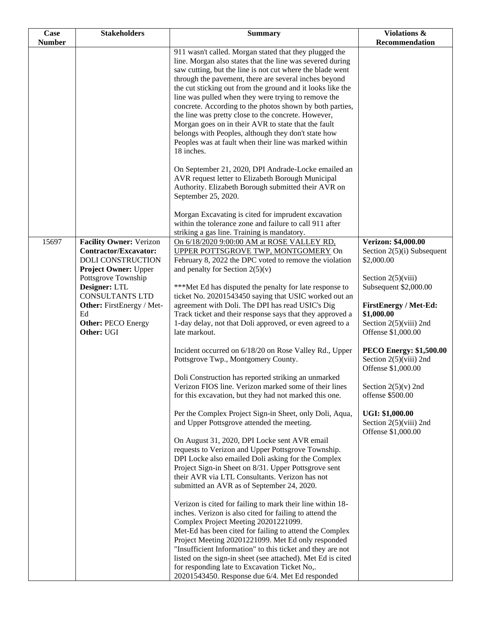| Case          | <b>Stakeholders</b>                                                                                                                                                         | <b>Summary</b>                                                                                                                                                                                                                                                                                                                                                                                                                                                                                                                                                                                                                                                                                                                 | Violations &                                                                                                                                   |
|---------------|-----------------------------------------------------------------------------------------------------------------------------------------------------------------------------|--------------------------------------------------------------------------------------------------------------------------------------------------------------------------------------------------------------------------------------------------------------------------------------------------------------------------------------------------------------------------------------------------------------------------------------------------------------------------------------------------------------------------------------------------------------------------------------------------------------------------------------------------------------------------------------------------------------------------------|------------------------------------------------------------------------------------------------------------------------------------------------|
| <b>Number</b> |                                                                                                                                                                             |                                                                                                                                                                                                                                                                                                                                                                                                                                                                                                                                                                                                                                                                                                                                | Recommendation                                                                                                                                 |
|               |                                                                                                                                                                             | 911 wasn't called. Morgan stated that they plugged the<br>line. Morgan also states that the line was severed during<br>saw cutting, but the line is not cut where the blade went<br>through the pavement, there are several inches beyond<br>the cut sticking out from the ground and it looks like the<br>line was pulled when they were trying to remove the<br>concrete. According to the photos shown by both parties,<br>the line was pretty close to the concrete. However,<br>Morgan goes on in their AVR to state that the fault<br>belongs with Peoples, although they don't state how<br>Peoples was at fault when their line was marked within<br>18 inches.<br>On September 21, 2020, DPI Andrade-Locke emailed an |                                                                                                                                                |
|               |                                                                                                                                                                             | AVR request letter to Elizabeth Borough Municipal<br>Authority. Elizabeth Borough submitted their AVR on<br>September 25, 2020.<br>Morgan Excavating is cited for imprudent excavation<br>within the tolerance zone and failure to call 911 after                                                                                                                                                                                                                                                                                                                                                                                                                                                                              |                                                                                                                                                |
|               |                                                                                                                                                                             | striking a gas line. Training is mandatory.                                                                                                                                                                                                                                                                                                                                                                                                                                                                                                                                                                                                                                                                                    |                                                                                                                                                |
| 15697         | <b>Facility Owner: Verizon</b><br><b>Contractor/Excavator:</b><br><b>DOLI CONSTRUCTION</b>                                                                                  | On 6/18/2020 9:00:00 AM at ROSE VALLEY RD,<br>UPPER POTTSGROVE TWP, MONTGOMERY On<br>February 8, 2022 the DPC voted to remove the violation                                                                                                                                                                                                                                                                                                                                                                                                                                                                                                                                                                                    | Verizon: \$4,000.00<br>Section $2(5)(i)$ Subsequent<br>\$2,000.00                                                                              |
|               | <b>Project Owner: Upper</b><br>Pottsgrove Township<br>Designer: LTL<br><b>CONSULTANTS LTD</b><br>Other: FirstEnergy / Met-<br>Ed<br><b>Other: PECO Energy</b><br>Other: UGI | and penalty for Section $2(5)(v)$<br>***Met Ed has disputed the penalty for late response to<br>ticket No. 20201543450 saying that USIC worked out an<br>agreement with Doli. The DPI has read USIC's Dig<br>Track ticket and their response says that they approved a<br>1-day delay, not that Doli approved, or even agreed to a<br>late markout.                                                                                                                                                                                                                                                                                                                                                                            | Section $2(5)(viii)$<br>Subsequent \$2,000.00<br><b>FirstEnergy / Met-Ed:</b><br>\$1,000.00<br>Section $2(5)$ (viii) 2nd<br>Offense \$1,000.00 |
|               |                                                                                                                                                                             | Incident occurred on 6/18/20 on Rose Valley Rd., Upper<br>Pottsgrove Twp., Montgomery County.                                                                                                                                                                                                                                                                                                                                                                                                                                                                                                                                                                                                                                  | <b>PECO Energy: \$1,500.00</b><br>Section $2(5)$ (viii) 2nd<br>Offense \$1,000.00                                                              |
|               |                                                                                                                                                                             | Doli Construction has reported striking an unmarked<br>Verizon FIOS line. Verizon marked some of their lines<br>for this excavation, but they had not marked this one.                                                                                                                                                                                                                                                                                                                                                                                                                                                                                                                                                         | Section $2(5)(v)$ 2nd<br>offense \$500.00                                                                                                      |
|               |                                                                                                                                                                             | Per the Complex Project Sign-in Sheet, only Doli, Aqua,<br>and Upper Pottsgrove attended the meeting.                                                                                                                                                                                                                                                                                                                                                                                                                                                                                                                                                                                                                          | <b>UGI: \$1,000.00</b><br>Section $2(5)$ (viii) 2nd<br>Offense \$1,000.00                                                                      |
|               |                                                                                                                                                                             | On August 31, 2020, DPI Locke sent AVR email<br>requests to Verizon and Upper Pottsgrove Township.<br>DPI Locke also emailed Doli asking for the Complex<br>Project Sign-in Sheet on 8/31. Upper Pottsgrove sent<br>their AVR via LTL Consultants. Verizon has not<br>submitted an AVR as of September 24, 2020.                                                                                                                                                                                                                                                                                                                                                                                                               |                                                                                                                                                |
|               |                                                                                                                                                                             | Verizon is cited for failing to mark their line within 18-<br>inches. Verizon is also cited for failing to attend the<br>Complex Project Meeting 20201221099.<br>Met-Ed has been cited for failing to attend the Complex<br>Project Meeting 20201221099. Met Ed only responded<br>"Insufficient Information" to this ticket and they are not<br>listed on the sign-in sheet (see attached). Met Ed is cited<br>for responding late to Excavation Ticket No,.<br>20201543450. Response due 6/4. Met Ed responded                                                                                                                                                                                                                |                                                                                                                                                |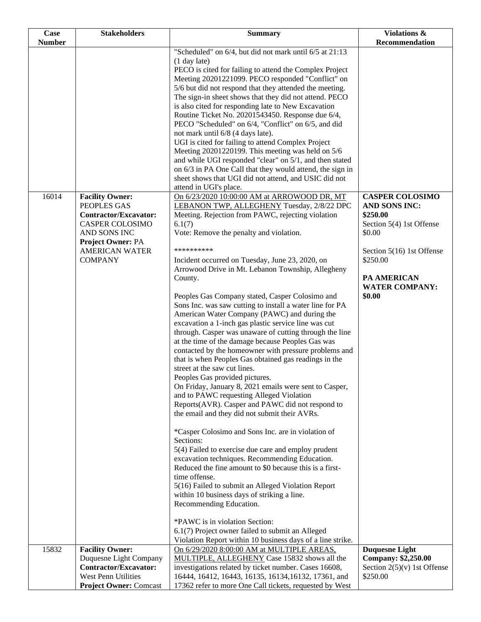| Case          | <b>Stakeholders</b>                                                                                                                                   | <b>Summary</b>                                                                                                                                                                                                                                                                                                                                                                                                                                                                                                                                                                                                                                                                                                                                                                                                                                                                                                                                                                                                                                                                                                                                                                                                                                                                                                                                                                                                                                                                                                                                                          | Violations &                                                                                                                                                      |
|---------------|-------------------------------------------------------------------------------------------------------------------------------------------------------|-------------------------------------------------------------------------------------------------------------------------------------------------------------------------------------------------------------------------------------------------------------------------------------------------------------------------------------------------------------------------------------------------------------------------------------------------------------------------------------------------------------------------------------------------------------------------------------------------------------------------------------------------------------------------------------------------------------------------------------------------------------------------------------------------------------------------------------------------------------------------------------------------------------------------------------------------------------------------------------------------------------------------------------------------------------------------------------------------------------------------------------------------------------------------------------------------------------------------------------------------------------------------------------------------------------------------------------------------------------------------------------------------------------------------------------------------------------------------------------------------------------------------------------------------------------------------|-------------------------------------------------------------------------------------------------------------------------------------------------------------------|
| <b>Number</b> |                                                                                                                                                       |                                                                                                                                                                                                                                                                                                                                                                                                                                                                                                                                                                                                                                                                                                                                                                                                                                                                                                                                                                                                                                                                                                                                                                                                                                                                                                                                                                                                                                                                                                                                                                         | Recommendation                                                                                                                                                    |
| 16014         | <b>Facility Owner:</b>                                                                                                                                | "Scheduled" on 6/4, but did not mark until 6/5 at 21:13<br>$(1$ day late)<br>PECO is cited for failing to attend the Complex Project<br>Meeting 20201221099. PECO responded "Conflict" on<br>5/6 but did not respond that they attended the meeting.<br>The sign-in sheet shows that they did not attend. PECO<br>is also cited for responding late to New Excavation<br>Routine Ticket No. 20201543450. Response due 6/4,<br>PECO "Scheduled" on 6/4, "Conflict" on 6/5, and did<br>not mark until 6/8 (4 days late).<br>UGI is cited for failing to attend Complex Project<br>Meeting 20201220199. This meeting was held on 5/6<br>and while UGI responded "clear" on 5/1, and then stated<br>on 6/3 in PA One Call that they would attend, the sign in<br>sheet shows that UGI did not attend, and USIC did not<br>attend in UGI's place.<br>On 6/23/2020 10:00:00 AM at ARROWOOD DR, MT                                                                                                                                                                                                                                                                                                                                                                                                                                                                                                                                                                                                                                                                             | <b>CASPER COLOSIMO</b>                                                                                                                                            |
|               | PEOPLES GAS<br>Contractor/Excavator:<br><b>CASPER COLOSIMO</b><br>AND SONS INC<br><b>Project Owner: PA</b><br><b>AMERICAN WATER</b><br><b>COMPANY</b> | LEBANON TWP, ALLEGHENY Tuesday, 2/8/22 DPC<br>Meeting. Rejection from PAWC, rejecting violation<br>6.1(7)<br>Vote: Remove the penalty and violation.<br>**********<br>Incident occurred on Tuesday, June 23, 2020, on<br>Arrowood Drive in Mt. Lebanon Township, Allegheny<br>County.<br>Peoples Gas Company stated, Casper Colosimo and<br>Sons Inc. was saw cutting to install a water line for PA<br>American Water Company (PAWC) and during the<br>excavation a 1-inch gas plastic service line was cut<br>through. Casper was unaware of cutting through the line<br>at the time of the damage because Peoples Gas was<br>contacted by the homeowner with pressure problems and<br>that is when Peoples Gas obtained gas readings in the<br>street at the saw cut lines.<br>Peoples Gas provided pictures.<br>On Friday, January 8, 2021 emails were sent to Casper,<br>and to PAWC requesting Alleged Violation<br>Reports(AVR). Casper and PAWC did not respond to<br>the email and they did not submit their AVRs.<br>*Casper Colosimo and Sons Inc. are in violation of<br>Sections:<br>5(4) Failed to exercise due care and employ prudent<br>excavation techniques. Recommending Education.<br>Reduced the fine amount to \$0 because this is a first-<br>time offense.<br>5(16) Failed to submit an Alleged Violation Report<br>within 10 business days of striking a line.<br>Recommending Education.<br>*PAWC is in violation Section:<br>6.1(7) Project owner failed to submit an Alleged<br>Violation Report within 10 business days of a line strike. | AND SONS INC:<br>\$250.00<br>Section 5(4) 1st Offense<br>\$0.00<br>Section 5(16) 1st Offense<br>\$250.00<br><b>PA AMERICAN</b><br><b>WATER COMPANY:</b><br>\$0.00 |
| 15832         | <b>Facility Owner:</b><br>Duquesne Light Company<br><b>Contractor/Excavator:</b><br>West Penn Utilities<br><b>Project Owner: Comcast</b>              | On 6/29/2020 8:00:00 AM at MULTIPLE AREAS,<br>MULTIPLE, ALLEGHENY Case 15832 shows all the<br>investigations related by ticket number. Cases 16608,<br>16444, 16412, 16443, 16135, 16134, 16132, 17361, and<br>17362 refer to more One Call tickets, requested by West                                                                                                                                                                                                                                                                                                                                                                                                                                                                                                                                                                                                                                                                                                                                                                                                                                                                                                                                                                                                                                                                                                                                                                                                                                                                                                  | <b>Duquesne Light</b><br>Company: \$2,250.00<br>Section $2(5)(v)$ 1st Offense<br>\$250.00                                                                         |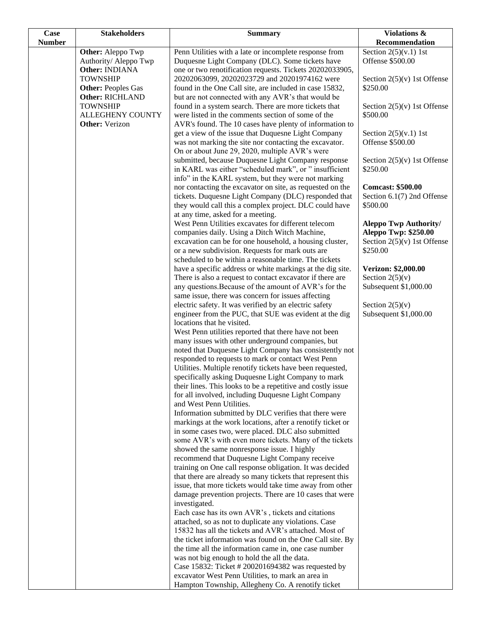| <b>Case</b>   | <b>Stakeholders</b>                                 | <b>Summary</b>                                                                                                     | Violations &                                           |
|---------------|-----------------------------------------------------|--------------------------------------------------------------------------------------------------------------------|--------------------------------------------------------|
| <b>Number</b> |                                                     |                                                                                                                    | Recommendation                                         |
|               | Other: Aleppo Twp                                   | Penn Utilities with a late or incomplete response from                                                             | Section $2(5)(v.1)$ 1st                                |
|               | Authority/ Aleppo Twp                               | Duquesne Light Company (DLC). Some tickets have                                                                    | Offense \$500.00                                       |
|               | Other: INDIANA                                      | one or two renotification requests. Tickets 20202033905,                                                           |                                                        |
|               | <b>TOWNSHIP</b>                                     | 20202063099, 20202023729 and 20201974162 were                                                                      | Section $2(5)(v)$ 1st Offense<br>\$250.00              |
|               | <b>Other: Peoples Gas</b><br><b>Other: RICHLAND</b> | found in the One Call site, are included in case 15832,<br>but are not connected with any AVR's that would be      |                                                        |
|               | <b>TOWNSHIP</b>                                     | found in a system search. There are more tickets that                                                              | Section $2(5)(v)$ 1st Offense                          |
|               | <b>ALLEGHENY COUNTY</b>                             | were listed in the comments section of some of the                                                                 | \$500.00                                               |
|               | <b>Other:</b> Verizon                               | AVR's found. The 10 cases have plenty of information to                                                            |                                                        |
|               |                                                     | get a view of the issue that Duquesne Light Company                                                                | Section $2(5)(v.1)$ 1st                                |
|               |                                                     | was not marking the site nor contacting the excavator.                                                             | Offense \$500.00                                       |
|               |                                                     | On or about June 29, 2020, multiple AVR's were                                                                     |                                                        |
|               |                                                     | submitted, because Duquesne Light Company response                                                                 | Section $2(5)(v)$ 1st Offense                          |
|               |                                                     | in KARL was either "scheduled mark", or " insufficient                                                             | \$250.00                                               |
|               |                                                     | info" in the KARL system, but they were not marking                                                                |                                                        |
|               |                                                     | nor contacting the excavator on site, as requested on the<br>tickets. Duquesne Light Company (DLC) responded that  | <b>Comcast: \$500.00</b><br>Section 6.1(7) 2nd Offense |
|               |                                                     | they would call this a complex project. DLC could have                                                             | \$500.00                                               |
|               |                                                     | at any time, asked for a meeting.                                                                                  |                                                        |
|               |                                                     | West Penn Utilities excavates for different telecom                                                                | <b>Aleppo Twp Authority/</b>                           |
|               |                                                     | companies daily. Using a Ditch Witch Machine,                                                                      | <b>Aleppo Twp: \$250.00</b>                            |
|               |                                                     | excavation can be for one household, a housing cluster,                                                            | Section $2(5)(v)$ 1st Offense                          |
|               |                                                     | or a new subdivision. Requests for mark outs are                                                                   | \$250.00                                               |
|               |                                                     | scheduled to be within a reasonable time. The tickets                                                              |                                                        |
|               |                                                     | have a specific address or white markings at the dig site.                                                         | Verizon: \$2,000.00                                    |
|               |                                                     | There is also a request to contact excavator if there are<br>any questions. Because of the amount of AVR's for the | Section $2(5)(v)$<br>Subsequent \$1,000.00             |
|               |                                                     | same issue, there was concern for issues affecting                                                                 |                                                        |
|               |                                                     | electric safety. It was verified by an electric safety                                                             | Section $2(5)(v)$                                      |
|               |                                                     | engineer from the PUC, that SUE was evident at the dig                                                             | Subsequent \$1,000.00                                  |
|               |                                                     | locations that he visited.                                                                                         |                                                        |
|               |                                                     | West Penn utilities reported that there have not been                                                              |                                                        |
|               |                                                     | many issues with other underground companies, but                                                                  |                                                        |
|               |                                                     | noted that Duquesne Light Company has consistently not                                                             |                                                        |
|               |                                                     | responded to requests to mark or contact West Penn<br>Utilities. Multiple renotify tickets have been requested,    |                                                        |
|               |                                                     | specifically asking Duquesne Light Company to mark                                                                 |                                                        |
|               |                                                     | their lines. This looks to be a repetitive and costly issue                                                        |                                                        |
|               |                                                     | for all involved, including Duquesne Light Company                                                                 |                                                        |
|               |                                                     | and West Penn Utilities.                                                                                           |                                                        |
|               |                                                     | Information submitted by DLC verifies that there were                                                              |                                                        |
|               |                                                     | markings at the work locations, after a renotify ticket or                                                         |                                                        |
|               |                                                     | in some cases two, were placed. DLC also submitted                                                                 |                                                        |
|               |                                                     | some AVR's with even more tickets. Many of the tickets<br>showed the same nonresponse issue. I highly              |                                                        |
|               |                                                     | recommend that Duquesne Light Company receive                                                                      |                                                        |
|               |                                                     | training on One call response obligation. It was decided                                                           |                                                        |
|               |                                                     | that there are already so many tickets that represent this                                                         |                                                        |
|               |                                                     | issue, that more tickets would take time away from other                                                           |                                                        |
|               |                                                     | damage prevention projects. There are 10 cases that were                                                           |                                                        |
|               |                                                     | investigated.                                                                                                      |                                                        |
|               |                                                     | Each case has its own AVR's, tickets and citations                                                                 |                                                        |
|               |                                                     | attached, so as not to duplicate any violations. Case<br>15832 has all the tickets and AVR's attached. Most of     |                                                        |
|               |                                                     | the ticket information was found on the One Call site. By                                                          |                                                        |
|               |                                                     | the time all the information came in, one case number                                                              |                                                        |
|               |                                                     | was not big enough to hold the all the data.                                                                       |                                                        |
|               |                                                     | Case 15832: Ticket # 200201694382 was requested by                                                                 |                                                        |
|               |                                                     | excavator West Penn Utilities, to mark an area in                                                                  |                                                        |
|               |                                                     | Hampton Township, Allegheny Co. A renotify ticket                                                                  |                                                        |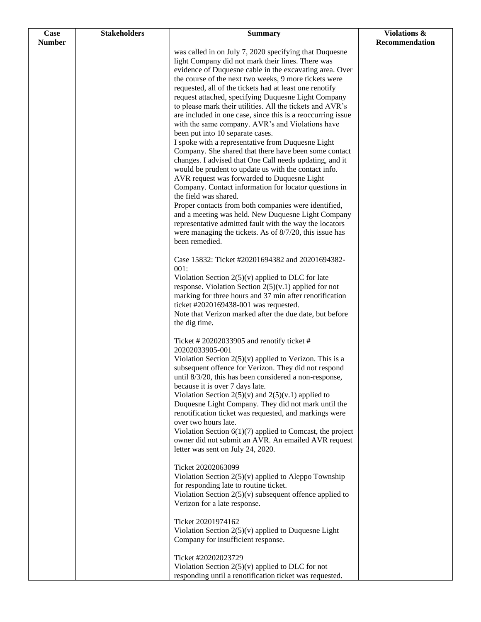| Case          | <b>Stakeholders</b> | <b>Summary</b>                                                                                                     | Violations &   |
|---------------|---------------------|--------------------------------------------------------------------------------------------------------------------|----------------|
| <b>Number</b> |                     |                                                                                                                    | Recommendation |
|               |                     | was called in on July 7, 2020 specifying that Duquesne                                                             |                |
|               |                     | light Company did not mark their lines. There was<br>evidence of Duquesne cable in the excavating area. Over       |                |
|               |                     | the course of the next two weeks, 9 more tickets were                                                              |                |
|               |                     | requested, all of the tickets had at least one renotify                                                            |                |
|               |                     | request attached, specifying Duquesne Light Company                                                                |                |
|               |                     | to please mark their utilities. All the tickets and AVR's                                                          |                |
|               |                     | are included in one case, since this is a reoccurring issue                                                        |                |
|               |                     | with the same company. AVR's and Violations have                                                                   |                |
|               |                     | been put into 10 separate cases.                                                                                   |                |
|               |                     | I spoke with a representative from Duquesne Light                                                                  |                |
|               |                     | Company. She shared that there have been some contact                                                              |                |
|               |                     | changes. I advised that One Call needs updating, and it<br>would be prudent to update us with the contact info.    |                |
|               |                     | AVR request was forwarded to Duquesne Light                                                                        |                |
|               |                     | Company. Contact information for locator questions in                                                              |                |
|               |                     | the field was shared.                                                                                              |                |
|               |                     | Proper contacts from both companies were identified,                                                               |                |
|               |                     | and a meeting was held. New Duquesne Light Company                                                                 |                |
|               |                     | representative admitted fault with the way the locators                                                            |                |
|               |                     | were managing the tickets. As of 8/7/20, this issue has                                                            |                |
|               |                     | been remedied.                                                                                                     |                |
|               |                     | Case 15832: Ticket #20201694382 and 20201694382-<br>001:                                                           |                |
|               |                     | Violation Section $2(5)(v)$ applied to DLC for late                                                                |                |
|               |                     | response. Violation Section $2(5)(v.1)$ applied for not                                                            |                |
|               |                     | marking for three hours and 37 min after renotification                                                            |                |
|               |                     | ticket #2020169438-001 was requested.                                                                              |                |
|               |                     | Note that Verizon marked after the due date, but before                                                            |                |
|               |                     | the dig time.                                                                                                      |                |
|               |                     | Ticket # 20202033905 and renotify ticket #                                                                         |                |
|               |                     | 20202033905-001                                                                                                    |                |
|               |                     | Violation Section $2(5)(v)$ applied to Verizon. This is a<br>subsequent offence for Verizon. They did not respond  |                |
|               |                     | until 8/3/20, this has been considered a non-response,                                                             |                |
|               |                     | because it is over 7 days late.                                                                                    |                |
|               |                     | Violation Section $2(5)(v)$ and $2(5)(v.1)$ applied to                                                             |                |
|               |                     | Duquesne Light Company. They did not mark until the                                                                |                |
|               |                     | renotification ticket was requested, and markings were                                                             |                |
|               |                     | over two hours late.                                                                                               |                |
|               |                     | Violation Section $6(1)(7)$ applied to Comcast, the project<br>owner did not submit an AVR. An emailed AVR request |                |
|               |                     | letter was sent on July 24, 2020.                                                                                  |                |
|               |                     | Ticket 20202063099                                                                                                 |                |
|               |                     | Violation Section $2(5)(v)$ applied to Aleppo Township                                                             |                |
|               |                     | for responding late to routine ticket.                                                                             |                |
|               |                     | Violation Section $2(5)(v)$ subsequent offence applied to                                                          |                |
|               |                     | Verizon for a late response.                                                                                       |                |
|               |                     | Ticket 20201974162                                                                                                 |                |
|               |                     | Violation Section $2(5)(v)$ applied to Duquesne Light                                                              |                |
|               |                     | Company for insufficient response.                                                                                 |                |
|               |                     | Ticket #20202023729                                                                                                |                |
|               |                     | Violation Section $2(5)(v)$ applied to DLC for not                                                                 |                |
|               |                     | responding until a renotification ticket was requested.                                                            |                |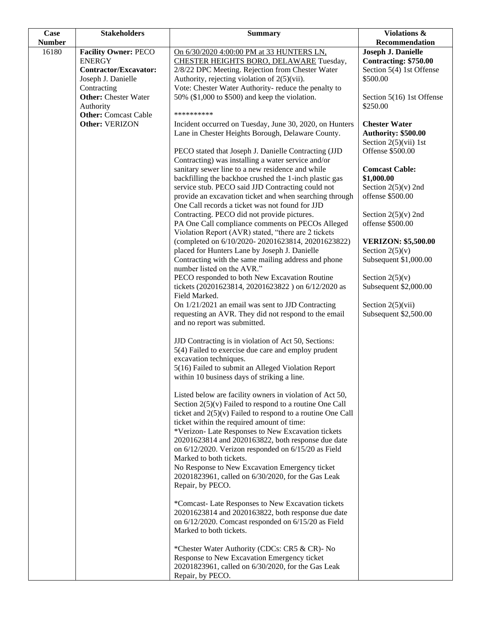| Case          | <b>Stakeholders</b>                      | <b>Summary</b>                                                                                           | Violations &                          |
|---------------|------------------------------------------|----------------------------------------------------------------------------------------------------------|---------------------------------------|
| <b>Number</b> |                                          |                                                                                                          | Recommendation                        |
| 16180         | <b>Facility Owner: PECO</b>              | On 6/30/2020 4:00:00 PM at 33 HUNTERS LN,                                                                | Joseph J. Danielle                    |
|               | <b>ENERGY</b>                            | CHESTER HEIGHTS BORO, DELAWARE Tuesday,                                                                  | <b>Contracting: \$750.00</b>          |
|               | Contractor/Excavator:                    | 2/8/22 DPC Meeting. Rejection from Chester Water                                                         | Section 5(4) 1st Offense              |
|               | Joseph J. Danielle                       | Authority, rejecting violation of $2(5)(\n{\rm vii}).$                                                   | \$500.00                              |
|               | Contracting                              | Vote: Chester Water Authority- reduce the penalty to                                                     |                                       |
|               | <b>Other:</b> Chester Water              | 50% (\$1,000 to \$500) and keep the violation.                                                           | Section 5(16) 1st Offense<br>\$250.00 |
|               | Authority<br><b>Other:</b> Comcast Cable | **********                                                                                               |                                       |
|               | Other: VERIZON                           | Incident occurred on Tuesday, June 30, 2020, on Hunters                                                  | <b>Chester Water</b>                  |
|               |                                          | Lane in Chester Heights Borough, Delaware County.                                                        | Authority: \$500.00                   |
|               |                                          |                                                                                                          | Section $2(5)(vii)$ 1st               |
|               |                                          | PECO stated that Joseph J. Danielle Contracting (JJD                                                     | Offense \$500.00                      |
|               |                                          | Contracting) was installing a water service and/or                                                       |                                       |
|               |                                          | sanitary sewer line to a new residence and while                                                         | <b>Comcast Cable:</b>                 |
|               |                                          | backfilling the backhoe crushed the 1-inch plastic gas                                                   | \$1,000.00                            |
|               |                                          | service stub. PECO said JJD Contracting could not                                                        | Section $2(5)(v)$ 2nd                 |
|               |                                          | provide an excavation ticket and when searching through                                                  | offense \$500.00                      |
|               |                                          | One Call records a ticket was not found for JJD                                                          |                                       |
|               |                                          | Contracting. PECO did not provide pictures.                                                              | Section $2(5)(v)$ 2nd                 |
|               |                                          | PA One Call compliance comments on PECOs Alleged                                                         | offense \$500.00                      |
|               |                                          | Violation Report (AVR) stated, "there are 2 tickets<br>(completed on 6/10/2020-20201623814, 20201623822) | <b>VERIZON: \$5,500.00</b>            |
|               |                                          | placed for Hunters Lane by Joseph J. Danielle                                                            | Section $2(5)(v)$                     |
|               |                                          | Contracting with the same mailing address and phone                                                      | Subsequent \$1,000.00                 |
|               |                                          | number listed on the AVR."                                                                               |                                       |
|               |                                          | PECO responded to both New Excavation Routine                                                            | Section $2(5)(v)$                     |
|               |                                          | tickets (20201623814, 20201623822) on 6/12/2020 as                                                       | Subsequent \$2,000.00                 |
|               |                                          | Field Marked.                                                                                            |                                       |
|               |                                          | On 1/21/2021 an email was sent to JJD Contracting                                                        | Section $2(5)(vii)$                   |
|               |                                          | requesting an AVR. They did not respond to the email                                                     | Subsequent \$2,500.00                 |
|               |                                          | and no report was submitted.                                                                             |                                       |
|               |                                          |                                                                                                          |                                       |
|               |                                          | JJD Contracting is in violation of Act 50, Sections:                                                     |                                       |
|               |                                          | 5(4) Failed to exercise due care and employ prudent                                                      |                                       |
|               |                                          | excavation techniques.<br>5(16) Failed to submit an Alleged Violation Report                             |                                       |
|               |                                          | within 10 business days of striking a line.                                                              |                                       |
|               |                                          |                                                                                                          |                                       |
|               |                                          | Listed below are facility owners in violation of Act 50,                                                 |                                       |
|               |                                          | Section $2(5)(v)$ Failed to respond to a routine One Call                                                |                                       |
|               |                                          | ticket and $2(5)(v)$ Failed to respond to a routine One Call                                             |                                       |
|               |                                          | ticket within the required amount of time:                                                               |                                       |
|               |                                          | *Verizon- Late Responses to New Excavation tickets                                                       |                                       |
|               |                                          | 20201623814 and 2020163822, both response due date                                                       |                                       |
|               |                                          | on $6/12/2020$ . Verizon responded on $6/15/20$ as Field                                                 |                                       |
|               |                                          | Marked to both tickets.                                                                                  |                                       |
|               |                                          | No Response to New Excavation Emergency ticket                                                           |                                       |
|               |                                          | 20201823961, called on 6/30/2020, for the Gas Leak<br>Repair, by PECO.                                   |                                       |
|               |                                          |                                                                                                          |                                       |
|               |                                          | *Comcast-Late Responses to New Excavation tickets                                                        |                                       |
|               |                                          | 20201623814 and 2020163822, both response due date                                                       |                                       |
|               |                                          | on 6/12/2020. Comcast responded on 6/15/20 as Field                                                      |                                       |
|               |                                          | Marked to both tickets.                                                                                  |                                       |
|               |                                          | *Chester Water Authority (CDCs: CR5 & CR)- No                                                            |                                       |
|               |                                          | Response to New Excavation Emergency ticket                                                              |                                       |
|               |                                          | 20201823961, called on 6/30/2020, for the Gas Leak                                                       |                                       |
|               |                                          | Repair, by PECO.                                                                                         |                                       |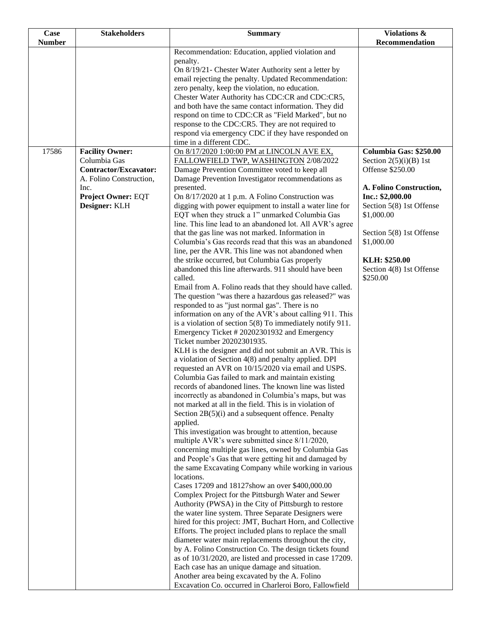| <b>Number</b><br>Recommendation<br>Recommendation: Education, applied violation and<br>penalty.<br>On 8/19/21- Chester Water Authority sent a letter by |
|---------------------------------------------------------------------------------------------------------------------------------------------------------|
|                                                                                                                                                         |
|                                                                                                                                                         |
|                                                                                                                                                         |
| email rejecting the penalty. Updated Recommendation:                                                                                                    |
| zero penalty, keep the violation, no education.                                                                                                         |
| Chester Water Authority has CDC:CR and CDC:CR5,                                                                                                         |
| and both have the same contact information. They did                                                                                                    |
| respond on time to CDC:CR as "Field Marked", but no                                                                                                     |
| response to the CDC:CR5. They are not required to                                                                                                       |
| respond via emergency CDC if they have responded on<br>time in a different CDC.                                                                         |
| 17586<br>Columbia Gas: \$250.00<br><b>Facility Owner:</b><br>On 8/17/2020 1:00:00 PM at LINCOLN AVE EX.                                                 |
| Columbia Gas<br>FALLOWFIELD TWP, WASHINGTON 2/08/2022<br>Section $2(5)(i)(B)$ 1st                                                                       |
| <b>Contractor/Excavator:</b><br>Damage Prevention Committee voted to keep all<br>Offense \$250.00                                                       |
| A. Folino Construction,<br>Damage Prevention Investigator recommendations as                                                                            |
| Inc.<br>presented.<br>A. Folino Construction,<br><b>Project Owner: EQT</b><br>Inc.: \$2,000.00<br>On 8/17/2020 at 1 p.m. A Folino Construction was      |
| Designer: KLH<br>Section 5(8) 1st Offense<br>digging with power equipment to install a water line for                                                   |
| EQT when they struck a 1" unmarked Columbia Gas<br>\$1,000.00                                                                                           |
| line. This line lead to an abandoned lot. All AVR's agree                                                                                               |
| that the gas line was not marked. Information in<br>Section 5(8) 1st Offense                                                                            |
| Columbia's Gas records read that this was an abandoned<br>\$1,000.00                                                                                    |
| line, per the AVR. This line was not abandoned when                                                                                                     |
| the strike occurred, but Columbia Gas properly<br>KLH: \$250.00                                                                                         |
| abandoned this line afterwards. 911 should have been<br>Section 4(8) 1st Offense<br>called.<br>\$250.00                                                 |
| Email from A. Folino reads that they should have called.                                                                                                |
| The question "was there a hazardous gas released?" was                                                                                                  |
| responded to as "just normal gas". There is no                                                                                                          |
| information on any of the AVR's about calling 911. This                                                                                                 |
| is a violation of section $5(8)$ To immediately notify 911.                                                                                             |
| Emergency Ticket #20202301932 and Emergency                                                                                                             |
| Ticket number 20202301935.                                                                                                                              |
| KLH is the designer and did not submit an AVR. This is<br>a violation of Section 4(8) and penalty applied. DPI                                          |
| requested an AVR on 10/15/2020 via email and USPS.                                                                                                      |
| Columbia Gas failed to mark and maintain existing                                                                                                       |
| records of abandoned lines. The known line was listed                                                                                                   |
| incorrectly as abandoned in Columbia's maps, but was                                                                                                    |
| not marked at all in the field. This is in violation of                                                                                                 |
| Section $2B(5)(i)$ and a subsequent offence. Penalty                                                                                                    |
| applied.<br>This investigation was brought to attention, because                                                                                        |
| multiple AVR's were submitted since 8/11/2020,                                                                                                          |
| concerning multiple gas lines, owned by Columbia Gas                                                                                                    |
| and People's Gas that were getting hit and damaged by                                                                                                   |
| the same Excavating Company while working in various                                                                                                    |
| locations.                                                                                                                                              |
| Cases 17209 and 18127show an over \$400,000.00                                                                                                          |
| Complex Project for the Pittsburgh Water and Sewer                                                                                                      |
| Authority (PWSA) in the City of Pittsburgh to restore<br>the water line system. Three Separate Designers were                                           |
| hired for this project: JMT, Buchart Horn, and Collective                                                                                               |
| Efforts. The project included plans to replace the small                                                                                                |
| diameter water main replacements throughout the city,                                                                                                   |
| by A. Folino Construction Co. The design tickets found                                                                                                  |
| as of 10/31/2020, are listed and processed in case 17209.                                                                                               |
| Each case has an unique damage and situation.                                                                                                           |
| Another area being excavated by the A. Folino<br>Excavation Co. occurred in Charleroi Boro, Fallowfield                                                 |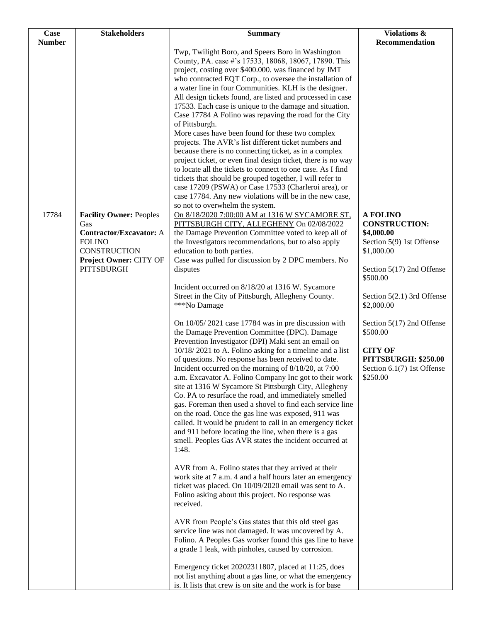| Twp, Twilight Boro, and Speers Boro in Washington<br>County, PA. case #'s 17533, 18068, 18067, 17890. This<br>project, costing over \$400.000. was financed by JMT<br>who contracted EQT Corp., to oversee the installation of<br>a water line in four Communities. KLH is the designer.<br>All design tickets found, are listed and processed in case<br>17533. Each case is unique to the damage and situation.<br>Case 17784 A Folino was repaving the road for the City<br>of Pittsburgh.<br>More cases have been found for these two complex<br>projects. The AVR's list different ticket numbers and<br>because there is no connecting ticket, as in a complex<br>project ticket, or even final design ticket, there is no way<br>to locate all the tickets to connect to one case. As I find<br>tickets that should be grouped together, I will refer to<br>case 17209 (PSWA) or Case 17533 (Charleroi area), or<br>case 17784. Any new violations will be in the new case,<br>so not to overwhelm the system.<br>17784<br>Facility Owner: Peoples<br><b>A FOLINO</b><br>On 8/18/2020 7:00:00 AM at 1316 W SYCAMORE ST,<br>PITTSBURGH CITY, ALLEGHENY On 02/08/2022<br><b>CONSTRUCTION:</b><br>Gas<br>the Damage Prevention Committee voted to keep all of<br>\$4,000.00<br><b>Contractor/Excavator:</b> A<br><b>FOLINO</b><br>the Investigators recommendations, but to also apply<br>Section 5(9) 1st Offense<br><b>CONSTRUCTION</b><br>education to both parties.<br>\$1,000.00<br>Project Owner: CITY OF<br>Case was pulled for discussion by 2 DPC members. No<br><b>PITTSBURGH</b><br>Section 5(17) 2nd Offense<br>disputes<br>\$500.00<br>Incident occurred on 8/18/20 at 1316 W. Sycamore<br>Street in the City of Pittsburgh, Allegheny County.<br>Section 5(2.1) 3rd Offense<br>***No Damage<br>\$2,000.00<br>On 10/05/2021 case 17784 was in pre discussion with<br>Section 5(17) 2nd Offense<br>the Damage Prevention Committee (DPC). Damage<br>\$500.00<br>Prevention Investigator (DPI) Maki sent an email on<br>10/18/2021 to A. Folino asking for a timeline and a list<br><b>CITY OF</b><br>of questions. No response has been received to date.<br>PITTSBURGH: \$250.00<br>Incident occurred on the morning of 8/18/20, at 7:00<br>Section 6.1(7) 1st Offense<br>a.m. Excavator A. Folino Company Inc got to their work<br>\$250.00<br>site at 1316 W Sycamore St Pittsburgh City, Allegheny<br>Co. PA to resurface the road, and immediately smelled<br>gas. Foreman then used a shovel to find each service line<br>on the road. Once the gas line was exposed, 911 was<br>called. It would be prudent to call in an emergency ticket<br>and 911 before locating the line, when there is a gas<br>smell. Peoples Gas AVR states the incident occurred at<br>1:48.<br>AVR from A. Folino states that they arrived at their<br>work site at 7 a.m. 4 and a half hours later an emergency<br>ticket was placed. On 10/09/2020 email was sent to A.<br>Folino asking about this project. No response was<br>received.<br>AVR from People's Gas states that this old steel gas | Case          | <b>Stakeholders</b> | <b>Summary</b>                                       | Violations &   |
|-------------------------------------------------------------------------------------------------------------------------------------------------------------------------------------------------------------------------------------------------------------------------------------------------------------------------------------------------------------------------------------------------------------------------------------------------------------------------------------------------------------------------------------------------------------------------------------------------------------------------------------------------------------------------------------------------------------------------------------------------------------------------------------------------------------------------------------------------------------------------------------------------------------------------------------------------------------------------------------------------------------------------------------------------------------------------------------------------------------------------------------------------------------------------------------------------------------------------------------------------------------------------------------------------------------------------------------------------------------------------------------------------------------------------------------------------------------------------------------------------------------------------------------------------------------------------------------------------------------------------------------------------------------------------------------------------------------------------------------------------------------------------------------------------------------------------------------------------------------------------------------------------------------------------------------------------------------------------------------------------------------------------------------------------------------------------------------------------------------------------------------------------------------------------------------------------------------------------------------------------------------------------------------------------------------------------------------------------------------------------------------------------------------------------------------------------------------------------------------------------------------------------------------------------------------------------------------------------------------------------------------------------------------------------------------------------------------------------------------------------------------------------------------------------------------------------------------------------------------------------------------------------------------------------------------------------------------------------------------------------------------------------------------------------------------------------------------------------------|---------------|---------------------|------------------------------------------------------|----------------|
|                                                                                                                                                                                                                                                                                                                                                                                                                                                                                                                                                                                                                                                                                                                                                                                                                                                                                                                                                                                                                                                                                                                                                                                                                                                                                                                                                                                                                                                                                                                                                                                                                                                                                                                                                                                                                                                                                                                                                                                                                                                                                                                                                                                                                                                                                                                                                                                                                                                                                                                                                                                                                                                                                                                                                                                                                                                                                                                                                                                                                                                                                                       | <b>Number</b> |                     |                                                      | Recommendation |
|                                                                                                                                                                                                                                                                                                                                                                                                                                                                                                                                                                                                                                                                                                                                                                                                                                                                                                                                                                                                                                                                                                                                                                                                                                                                                                                                                                                                                                                                                                                                                                                                                                                                                                                                                                                                                                                                                                                                                                                                                                                                                                                                                                                                                                                                                                                                                                                                                                                                                                                                                                                                                                                                                                                                                                                                                                                                                                                                                                                                                                                                                                       |               |                     |                                                      |                |
|                                                                                                                                                                                                                                                                                                                                                                                                                                                                                                                                                                                                                                                                                                                                                                                                                                                                                                                                                                                                                                                                                                                                                                                                                                                                                                                                                                                                                                                                                                                                                                                                                                                                                                                                                                                                                                                                                                                                                                                                                                                                                                                                                                                                                                                                                                                                                                                                                                                                                                                                                                                                                                                                                                                                                                                                                                                                                                                                                                                                                                                                                                       |               |                     |                                                      |                |
| Folino. A Peoples Gas worker found this gas line to have<br>a grade 1 leak, with pinholes, caused by corrosion.<br>Emergency ticket 20202311807, placed at 11:25, does                                                                                                                                                                                                                                                                                                                                                                                                                                                                                                                                                                                                                                                                                                                                                                                                                                                                                                                                                                                                                                                                                                                                                                                                                                                                                                                                                                                                                                                                                                                                                                                                                                                                                                                                                                                                                                                                                                                                                                                                                                                                                                                                                                                                                                                                                                                                                                                                                                                                                                                                                                                                                                                                                                                                                                                                                                                                                                                                |               |                     | service line was not damaged. It was uncovered by A. |                |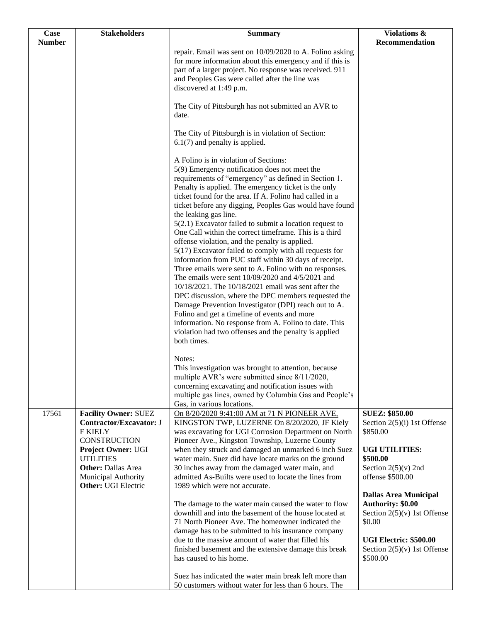| Case          | <b>Stakeholders</b>                                                                                                                                                                                                         | <b>Summary</b>                                                                                                                                                                                                                                                                                                                                                                                                                                                                                                                                                                                                                                                                                                                                                                                                                                                                                                                                                                                                                                                                                          | Violations &                                                                                                                                                               |
|---------------|-----------------------------------------------------------------------------------------------------------------------------------------------------------------------------------------------------------------------------|---------------------------------------------------------------------------------------------------------------------------------------------------------------------------------------------------------------------------------------------------------------------------------------------------------------------------------------------------------------------------------------------------------------------------------------------------------------------------------------------------------------------------------------------------------------------------------------------------------------------------------------------------------------------------------------------------------------------------------------------------------------------------------------------------------------------------------------------------------------------------------------------------------------------------------------------------------------------------------------------------------------------------------------------------------------------------------------------------------|----------------------------------------------------------------------------------------------------------------------------------------------------------------------------|
| <b>Number</b> |                                                                                                                                                                                                                             |                                                                                                                                                                                                                                                                                                                                                                                                                                                                                                                                                                                                                                                                                                                                                                                                                                                                                                                                                                                                                                                                                                         | Recommendation                                                                                                                                                             |
|               |                                                                                                                                                                                                                             | repair. Email was sent on 10/09/2020 to A. Folino asking<br>for more information about this emergency and if this is<br>part of a larger project. No response was received. 911<br>and Peoples Gas were called after the line was<br>discovered at 1:49 p.m.                                                                                                                                                                                                                                                                                                                                                                                                                                                                                                                                                                                                                                                                                                                                                                                                                                            |                                                                                                                                                                            |
|               |                                                                                                                                                                                                                             | The City of Pittsburgh has not submitted an AVR to<br>date.                                                                                                                                                                                                                                                                                                                                                                                                                                                                                                                                                                                                                                                                                                                                                                                                                                                                                                                                                                                                                                             |                                                                                                                                                                            |
|               |                                                                                                                                                                                                                             | The City of Pittsburgh is in violation of Section:<br>$6.1(7)$ and penalty is applied.                                                                                                                                                                                                                                                                                                                                                                                                                                                                                                                                                                                                                                                                                                                                                                                                                                                                                                                                                                                                                  |                                                                                                                                                                            |
|               |                                                                                                                                                                                                                             | A Folino is in violation of Sections:<br>5(9) Emergency notification does not meet the<br>requirements of "emergency" as defined in Section 1.<br>Penalty is applied. The emergency ticket is the only<br>ticket found for the area. If A. Folino had called in a<br>ticket before any digging, Peoples Gas would have found<br>the leaking gas line.<br>$5(2.1)$ Excavator failed to submit a location request to<br>One Call within the correct timeframe. This is a third<br>offense violation, and the penalty is applied.<br>5(17) Excavator failed to comply with all requests for<br>information from PUC staff within 30 days of receipt.<br>Three emails were sent to A. Folino with no responses.<br>The emails were sent 10/09/2020 and 4/5/2021 and<br>10/18/2021. The 10/18/2021 email was sent after the<br>DPC discussion, where the DPC members requested the<br>Damage Prevention Investigator (DPI) reach out to A.<br>Folino and get a timeline of events and more<br>information. No response from A. Folino to date. This<br>violation had two offenses and the penalty is applied |                                                                                                                                                                            |
|               |                                                                                                                                                                                                                             | both times.<br>Notes:<br>This investigation was brought to attention, because<br>multiple AVR's were submitted since 8/11/2020,<br>concerning excavating and notification issues with<br>multiple gas lines, owned by Columbia Gas and People's<br>Gas, in various locations.                                                                                                                                                                                                                                                                                                                                                                                                                                                                                                                                                                                                                                                                                                                                                                                                                           |                                                                                                                                                                            |
| 17561         | <b>Facility Owner: SUEZ</b><br><b>Contractor/Excavator: J</b><br><b>F KIELY</b><br>CONSTRUCTION<br>Project Owner: UGI<br><b>UTILITIES</b><br><b>Other: Dallas Area</b><br>Municipal Authority<br><b>Other: UGI Electric</b> | On 8/20/2020 9:41:00 AM at 71 N PIONEER AVE,<br>KINGSTON TWP, LUZERNE On 8/20/2020, JF Kiely<br>was excavating for UGI Corrosion Department on North<br>Pioneer Ave., Kingston Township, Luzerne County<br>when they struck and damaged an unmarked 6 inch Suez<br>water main. Suez did have locate marks on the ground<br>30 inches away from the damaged water main, and<br>admitted As-Builts were used to locate the lines from<br>1989 which were not accurate.                                                                                                                                                                                                                                                                                                                                                                                                                                                                                                                                                                                                                                    | <b>SUEZ: \$850.00</b><br>Section $2(5)(i)$ 1st Offense<br>\$850.00<br><b>UGI UTILITIES:</b><br>\$500.00<br>Section $2(5)(v)$ 2nd<br>offense \$500.00                       |
|               |                                                                                                                                                                                                                             | The damage to the water main caused the water to flow<br>downhill and into the basement of the house located at<br>71 North Pioneer Ave. The homeowner indicated the<br>damage has to be submitted to his insurance company<br>due to the massive amount of water that filled his<br>finished basement and the extensive damage this break<br>has caused to his home.                                                                                                                                                                                                                                                                                                                                                                                                                                                                                                                                                                                                                                                                                                                                   | <b>Dallas Area Municipal</b><br><b>Authority: \$0.00</b><br>Section $2(5)(v)$ 1st Offense<br>\$0.00<br>UGI Electric: \$500.00<br>Section $2(5)(v)$ 1st Offense<br>\$500.00 |
|               |                                                                                                                                                                                                                             | Suez has indicated the water main break left more than<br>50 customers without water for less than 6 hours. The                                                                                                                                                                                                                                                                                                                                                                                                                                                                                                                                                                                                                                                                                                                                                                                                                                                                                                                                                                                         |                                                                                                                                                                            |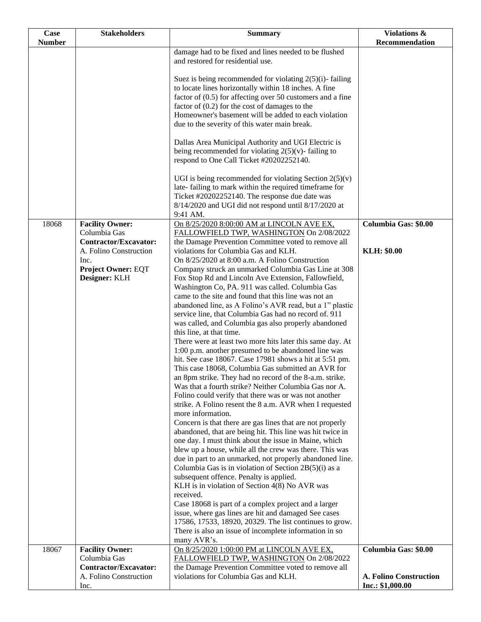| Case          | <b>Stakeholders</b>                                    | <b>Summary</b>                                                                                                         | <b>Violations &amp;</b> |
|---------------|--------------------------------------------------------|------------------------------------------------------------------------------------------------------------------------|-------------------------|
| <b>Number</b> |                                                        |                                                                                                                        | Recommendation          |
|               |                                                        | damage had to be fixed and lines needed to be flushed                                                                  |                         |
|               |                                                        | and restored for residential use.                                                                                      |                         |
|               |                                                        | Suez is being recommended for violating $2(5)(i)$ -failing                                                             |                         |
|               |                                                        | to locate lines horizontally within 18 inches. A fine                                                                  |                         |
|               |                                                        | factor of $(0.5)$ for affecting over 50 customers and a fine                                                           |                         |
|               |                                                        | factor of $(0.2)$ for the cost of damages to the                                                                       |                         |
|               |                                                        | Homeowner's basement will be added to each violation                                                                   |                         |
|               |                                                        | due to the severity of this water main break.                                                                          |                         |
|               |                                                        |                                                                                                                        |                         |
|               |                                                        | Dallas Area Municipal Authority and UGI Electric is<br>being recommended for violating $2(5)(v)$ - failing to          |                         |
|               |                                                        | respond to One Call Ticket #20202252140.                                                                               |                         |
|               |                                                        |                                                                                                                        |                         |
|               |                                                        | UGI is being recommended for violating Section $2(5)(v)$                                                               |                         |
|               |                                                        | late- failing to mark within the required timeframe for                                                                |                         |
|               |                                                        | Ticket #20202252140. The response due date was                                                                         |                         |
|               |                                                        | 8/14/2020 and UGI did not respond until 8/17/2020 at                                                                   |                         |
| 18068         | <b>Facility Owner:</b>                                 | 9:41 AM.<br>On 8/25/2020 8:00:00 AM at LINCOLN AVE EX,                                                                 | Columbia Gas: \$0.00    |
|               | Columbia Gas                                           | FALLOWFIELD TWP, WASHINGTON On 2/08/2022                                                                               |                         |
|               | <b>Contractor/Excavator:</b>                           | the Damage Prevention Committee voted to remove all                                                                    |                         |
|               | A. Folino Construction                                 | violations for Columbia Gas and KLH.                                                                                   | <b>KLH: \$0.00</b>      |
|               | Inc.                                                   | On 8/25/2020 at 8:00 a.m. A Folino Construction                                                                        |                         |
|               | <b>Project Owner: EQT</b>                              | Company struck an unmarked Columbia Gas Line at 308                                                                    |                         |
|               | Designer: KLH                                          | Fox Stop Rd and Lincoln Ave Extension, Fallowfield,                                                                    |                         |
|               |                                                        | Washington Co, PA. 911 was called. Columbia Gas<br>came to the site and found that this line was not an                |                         |
|               |                                                        | abandoned line, as A Folino's AVR read, but a 1" plastic                                                               |                         |
|               |                                                        | service line, that Columbia Gas had no record of. 911                                                                  |                         |
|               |                                                        | was called, and Columbia gas also properly abandoned                                                                   |                         |
|               |                                                        | this line, at that time.                                                                                               |                         |
|               |                                                        | There were at least two more hits later this same day. At                                                              |                         |
|               |                                                        | 1:00 p.m. another presumed to be abandoned line was                                                                    |                         |
|               |                                                        | hit. See case 18067. Case 17981 shows a hit at 5:51 pm.<br>This case 18068, Columbia Gas submitted an AVR for          |                         |
|               |                                                        | an 8pm strike. They had no record of the 8-a.m. strike.                                                                |                         |
|               |                                                        | Was that a fourth strike? Neither Columbia Gas nor A.                                                                  |                         |
|               |                                                        | Folino could verify that there was or was not another                                                                  |                         |
|               |                                                        | strike. A Folino resent the 8 a.m. AVR when I requested                                                                |                         |
|               |                                                        | more information.                                                                                                      |                         |
|               |                                                        | Concern is that there are gas lines that are not properly<br>abandoned, that are being hit. This line was hit twice in |                         |
|               |                                                        | one day. I must think about the issue in Maine, which                                                                  |                         |
|               |                                                        | blew up a house, while all the crew was there. This was                                                                |                         |
|               |                                                        | due in part to an unmarked, not properly abandoned line.                                                               |                         |
|               |                                                        | Columbia Gas is in violation of Section $2B(5)(i)$ as a                                                                |                         |
|               |                                                        | subsequent offence. Penalty is applied.                                                                                |                         |
|               |                                                        | KLH is in violation of Section 4(8) No AVR was                                                                         |                         |
|               |                                                        | received.<br>Case 18068 is part of a complex project and a larger                                                      |                         |
|               |                                                        | issue, where gas lines are hit and damaged See cases                                                                   |                         |
|               |                                                        | 17586, 17533, 18920, 20329. The list continues to grow.                                                                |                         |
|               |                                                        | There is also an issue of incomplete information in so                                                                 |                         |
|               |                                                        | many AVR's.                                                                                                            |                         |
| 18067         | <b>Facility Owner:</b>                                 | On 8/25/2020 1:00:00 PM at LINCOLN AVE EX,                                                                             | Columbia Gas: \$0.00    |
|               | Columbia Gas                                           | FALLOWFIELD TWP, WASHINGTON On 2/08/2022                                                                               |                         |
|               | <b>Contractor/Excavator:</b><br>A. Folino Construction | the Damage Prevention Committee voted to remove all<br>violations for Columbia Gas and KLH.                            | A. Folino Construction  |
|               | Inc.                                                   |                                                                                                                        | Inc.: \$1,000.00        |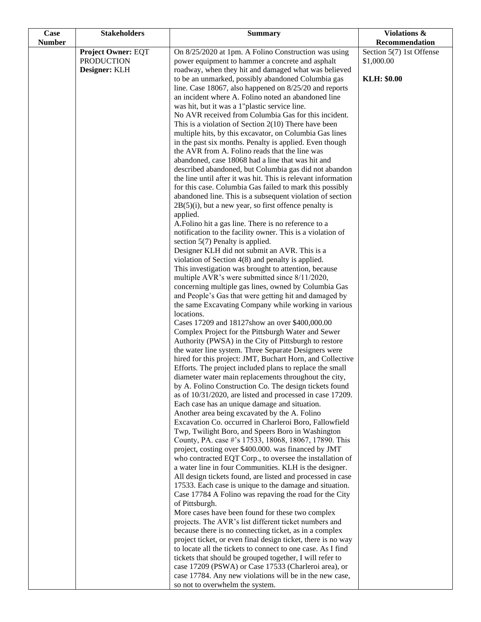| <b>Case</b>   | <b>Stakeholders</b>       | <b>Summary</b>                                                                                                    | Violations &             |
|---------------|---------------------------|-------------------------------------------------------------------------------------------------------------------|--------------------------|
| <b>Number</b> |                           |                                                                                                                   | Recommendation           |
|               | <b>Project Owner: EQT</b> | On 8/25/2020 at 1pm. A Folino Construction was using                                                              | Section 5(7) 1st Offense |
|               | <b>PRODUCTION</b>         | power equipment to hammer a concrete and asphalt                                                                  | \$1,000.00               |
|               | Designer: KLH             | roadway, when they hit and damaged what was believed                                                              |                          |
|               |                           | to be an unmarked, possibly abandoned Columbia gas                                                                | KLH: \$0.00              |
|               |                           | line. Case 18067, also happened on 8/25/20 and reports                                                            |                          |
|               |                           | an incident where A. Folino noted an abandoned line                                                               |                          |
|               |                           | was hit, but it was a 1"plastic service line.                                                                     |                          |
|               |                           | No AVR received from Columbia Gas for this incident.                                                              |                          |
|               |                           | This is a violation of Section $2(10)$ There have been<br>multiple hits, by this excavator, on Columbia Gas lines |                          |
|               |                           | in the past six months. Penalty is applied. Even though                                                           |                          |
|               |                           | the AVR from A. Folino reads that the line was                                                                    |                          |
|               |                           | abandoned, case 18068 had a line that was hit and                                                                 |                          |
|               |                           | described abandoned, but Columbia gas did not abandon                                                             |                          |
|               |                           | the line until after it was hit. This is relevant information                                                     |                          |
|               |                           | for this case. Columbia Gas failed to mark this possibly                                                          |                          |
|               |                           | abandoned line. This is a subsequent violation of section                                                         |                          |
|               |                           | $2B(5)(i)$ , but a new year, so first offence penalty is                                                          |                          |
|               |                           | applied.                                                                                                          |                          |
|               |                           | A. Folino hit a gas line. There is no reference to a                                                              |                          |
|               |                           | notification to the facility owner. This is a violation of                                                        |                          |
|               |                           | section $5(7)$ Penalty is applied.                                                                                |                          |
|               |                           | Designer KLH did not submit an AVR. This is a                                                                     |                          |
|               |                           | violation of Section $4(8)$ and penalty is applied.                                                               |                          |
|               |                           | This investigation was brought to attention, because                                                              |                          |
|               |                           | multiple AVR's were submitted since 8/11/2020,<br>concerning multiple gas lines, owned by Columbia Gas            |                          |
|               |                           | and People's Gas that were getting hit and damaged by                                                             |                          |
|               |                           | the same Excavating Company while working in various                                                              |                          |
|               |                           | locations.                                                                                                        |                          |
|               |                           | Cases 17209 and 18127show an over \$400,000.00                                                                    |                          |
|               |                           | Complex Project for the Pittsburgh Water and Sewer                                                                |                          |
|               |                           | Authority (PWSA) in the City of Pittsburgh to restore                                                             |                          |
|               |                           | the water line system. Three Separate Designers were                                                              |                          |
|               |                           | hired for this project: JMT, Buchart Horn, and Collective                                                         |                          |
|               |                           | Efforts. The project included plans to replace the small                                                          |                          |
|               |                           | diameter water main replacements throughout the city,                                                             |                          |
|               |                           | by A. Folino Construction Co. The design tickets found                                                            |                          |
|               |                           | as of 10/31/2020, are listed and processed in case 17209.                                                         |                          |
|               |                           | Each case has an unique damage and situation.                                                                     |                          |
|               |                           | Another area being excavated by the A. Folino<br>Excavation Co. occurred in Charleroi Boro, Fallowfield           |                          |
|               |                           | Twp, Twilight Boro, and Speers Boro in Washington                                                                 |                          |
|               |                           | County, PA. case #'s 17533, 18068, 18067, 17890. This                                                             |                          |
|               |                           | project, costing over \$400.000. was financed by JMT                                                              |                          |
|               |                           | who contracted EQT Corp., to oversee the installation of                                                          |                          |
|               |                           | a water line in four Communities. KLH is the designer.                                                            |                          |
|               |                           | All design tickets found, are listed and processed in case                                                        |                          |
|               |                           | 17533. Each case is unique to the damage and situation.                                                           |                          |
|               |                           | Case 17784 A Folino was repaving the road for the City                                                            |                          |
|               |                           | of Pittsburgh.                                                                                                    |                          |
|               |                           | More cases have been found for these two complex<br>projects. The AVR's list different ticket numbers and         |                          |
|               |                           | because there is no connecting ticket, as in a complex                                                            |                          |
|               |                           | project ticket, or even final design ticket, there is no way                                                      |                          |
|               |                           | to locate all the tickets to connect to one case. As I find                                                       |                          |
|               |                           | tickets that should be grouped together, I will refer to                                                          |                          |
|               |                           | case 17209 (PSWA) or Case 17533 (Charleroi area), or                                                              |                          |
|               |                           | case 17784. Any new violations will be in the new case,                                                           |                          |
|               |                           | so not to overwhelm the system.                                                                                   |                          |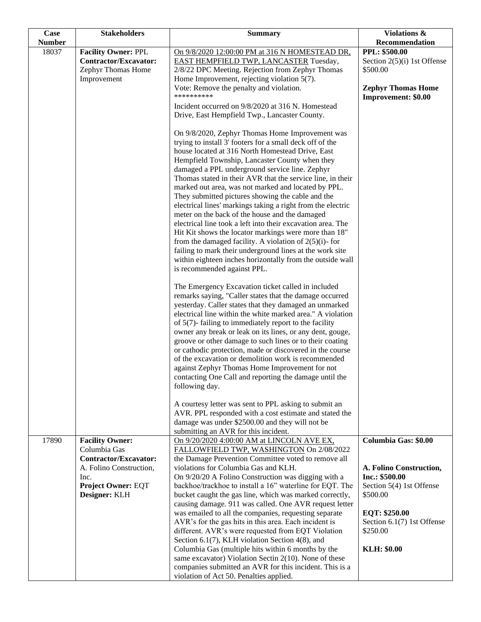| <b>Case</b>   | <b>Stakeholders</b>                                                                                                                                     | <b>Summary</b>                                                                                                                                                                                                                                                                                                                                                                                                                                                                                                                                                                                                                                                                                                                                                                                                                                                                                              | Violations &                                                                                                                                                                               |
|---------------|---------------------------------------------------------------------------------------------------------------------------------------------------------|-------------------------------------------------------------------------------------------------------------------------------------------------------------------------------------------------------------------------------------------------------------------------------------------------------------------------------------------------------------------------------------------------------------------------------------------------------------------------------------------------------------------------------------------------------------------------------------------------------------------------------------------------------------------------------------------------------------------------------------------------------------------------------------------------------------------------------------------------------------------------------------------------------------|--------------------------------------------------------------------------------------------------------------------------------------------------------------------------------------------|
| <b>Number</b> |                                                                                                                                                         |                                                                                                                                                                                                                                                                                                                                                                                                                                                                                                                                                                                                                                                                                                                                                                                                                                                                                                             | Recommendation                                                                                                                                                                             |
| 18037         | <b>Facility Owner: PPL</b><br>Contractor/Excavator:<br>Zephyr Thomas Home<br>Improvement                                                                | On 9/8/2020 12:00:00 PM at 316 N HOMESTEAD DR.<br><b>EAST HEMPFIELD TWP, LANCASTER Tuesday,</b><br>2/8/22 DPC Meeting. Rejection from Zephyr Thomas<br>Home Improvement, rejecting violation $5(7)$ .<br>Vote: Remove the penalty and violation.                                                                                                                                                                                                                                                                                                                                                                                                                                                                                                                                                                                                                                                            | PPL: \$500.00<br>Section $2(5)(i)$ 1st Offense<br>\$500.00<br><b>Zephyr Thomas Home</b>                                                                                                    |
|               |                                                                                                                                                         | **********<br>Incident occurred on 9/8/2020 at 316 N. Homestead<br>Drive, East Hempfield Twp., Lancaster County.                                                                                                                                                                                                                                                                                                                                                                                                                                                                                                                                                                                                                                                                                                                                                                                            | Improvement: \$0.00                                                                                                                                                                        |
|               |                                                                                                                                                         | On 9/8/2020, Zephyr Thomas Home Improvement was<br>trying to install 3' footers for a small deck off of the<br>house located at 316 North Homestead Drive, East<br>Hempfield Township, Lancaster County when they<br>damaged a PPL underground service line. Zephyr<br>Thomas stated in their AVR that the service line, in their<br>marked out area, was not marked and located by PPL.<br>They submitted pictures showing the cable and the<br>electrical lines' markings taking a right from the electric<br>meter on the back of the house and the damaged<br>electrical line took a left into their excavation area. The<br>Hit Kit shows the locator markings were more than 18"<br>from the damaged facility. A violation of $2(5)(i)$ - for<br>failing to mark their underground lines at the work site<br>within eighteen inches horizontally from the outside wall<br>is recommended against PPL. |                                                                                                                                                                                            |
|               |                                                                                                                                                         | The Emergency Excavation ticket called in included<br>remarks saying, "Caller states that the damage occurred<br>yesterday. Caller states that they damaged an unmarked<br>electrical line within the white marked area." A violation<br>of $5(7)$ - failing to immediately report to the facility<br>owner any break or leak on its lines, or any dent, gouge,<br>groove or other damage to such lines or to their coating<br>or cathodic protection, made or discovered in the course<br>of the excavation or demolition work is recommended<br>against Zephyr Thomas Home Improvement for not<br>contacting One Call and reporting the damage until the<br>following day.                                                                                                                                                                                                                                |                                                                                                                                                                                            |
|               |                                                                                                                                                         | A courtesy letter was sent to PPL asking to submit an<br>AVR. PPL responded with a cost estimate and stated the<br>damage was under \$2500.00 and they will not be<br>submitting an AVR for this incident.                                                                                                                                                                                                                                                                                                                                                                                                                                                                                                                                                                                                                                                                                                  |                                                                                                                                                                                            |
| 17890         | <b>Facility Owner:</b><br>Columbia Gas<br><b>Contractor/Excavator:</b><br>A. Folino Construction,<br>Inc.<br><b>Project Owner: EQT</b><br>Designer: KLH | On 9/20/2020 4:00:00 AM at LINCOLN AVE EX,<br>FALLOWFIELD TWP, WASHINGTON On 2/08/2022<br>the Damage Prevention Committee voted to remove all<br>violations for Columbia Gas and KLH.<br>On 9/20/20 A Folino Construction was digging with a<br>backhoe/trackhoe to install a 16" waterline for EQT. The<br>bucket caught the gas line, which was marked correctly,<br>causing damage. 911 was called. One AVR request letter<br>was emailed to all the companies, requesting separate<br>AVR's for the gas hits in this area. Each incident is<br>different. AVR's were requested from EQT Violation<br>Section 6.1(7), KLH violation Section 4(8), and<br>Columbia Gas (multiple hits within 6 months by the<br>same excavator) Violation Sectin 2(10). None of these<br>companies submitted an AVR for this incident. This is a                                                                          | Columbia Gas: \$0.00<br>A. Folino Construction,<br>Inc.: \$500.00<br>Section 5(4) 1st Offense<br>\$500.00<br>EQT: \$250.00<br>Section 6.1(7) 1st Offense<br>\$250.00<br><b>KLH: \$0.00</b> |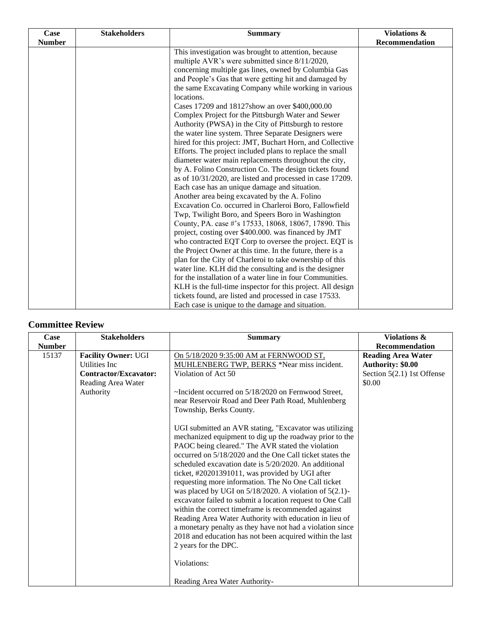| Case          | <b>Stakeholders</b> | <b>Summary</b>                                              | <b>Violations &amp;</b> |
|---------------|---------------------|-------------------------------------------------------------|-------------------------|
| <b>Number</b> |                     |                                                             | Recommendation          |
|               |                     | This investigation was brought to attention, because        |                         |
|               |                     | multiple AVR's were submitted since 8/11/2020,              |                         |
|               |                     | concerning multiple gas lines, owned by Columbia Gas        |                         |
|               |                     | and People's Gas that were getting hit and damaged by       |                         |
|               |                     | the same Excavating Company while working in various        |                         |
|               |                     | locations.                                                  |                         |
|               |                     | Cases 17209 and 18127show an over \$400,000.00              |                         |
|               |                     | Complex Project for the Pittsburgh Water and Sewer          |                         |
|               |                     | Authority (PWSA) in the City of Pittsburgh to restore       |                         |
|               |                     | the water line system. Three Separate Designers were        |                         |
|               |                     | hired for this project: JMT, Buchart Horn, and Collective   |                         |
|               |                     | Efforts. The project included plans to replace the small    |                         |
|               |                     | diameter water main replacements throughout the city,       |                         |
|               |                     | by A. Folino Construction Co. The design tickets found      |                         |
|               |                     | as of 10/31/2020, are listed and processed in case 17209.   |                         |
|               |                     | Each case has an unique damage and situation.               |                         |
|               |                     | Another area being excavated by the A. Folino               |                         |
|               |                     | Excavation Co. occurred in Charleroi Boro, Fallowfield      |                         |
|               |                     | Twp, Twilight Boro, and Speers Boro in Washington           |                         |
|               |                     | County, PA. case #'s 17533, 18068, 18067, 17890. This       |                         |
|               |                     | project, costing over \$400.000. was financed by JMT        |                         |
|               |                     | who contracted EQT Corp to oversee the project. EQT is      |                         |
|               |                     | the Project Owner at this time. In the future, there is a   |                         |
|               |                     | plan for the City of Charleroi to take ownership of this    |                         |
|               |                     | water line. KLH did the consulting and is the designer      |                         |
|               |                     | for the installation of a water line in four Communities.   |                         |
|               |                     | KLH is the full-time inspector for this project. All design |                         |
|               |                     | tickets found, are listed and processed in case 17533.      |                         |
|               |                     | Each case is unique to the damage and situation.            |                         |

## **Committee Review**

| Case                   | <b>Stakeholders</b>                                                                                      | <b>Summary</b>                                                                                                                                                                                                                                                                                                                                                                                                                                                                                                                                                                                                                                                                                                                                                                                                                                                                                                                                                                                                                                                                                                     | Violations &                                                                                                           |
|------------------------|----------------------------------------------------------------------------------------------------------|--------------------------------------------------------------------------------------------------------------------------------------------------------------------------------------------------------------------------------------------------------------------------------------------------------------------------------------------------------------------------------------------------------------------------------------------------------------------------------------------------------------------------------------------------------------------------------------------------------------------------------------------------------------------------------------------------------------------------------------------------------------------------------------------------------------------------------------------------------------------------------------------------------------------------------------------------------------------------------------------------------------------------------------------------------------------------------------------------------------------|------------------------------------------------------------------------------------------------------------------------|
| <b>Number</b><br>15137 | <b>Facility Owner: UGI</b><br>Utilities Inc.<br>Contractor/Excavator:<br>Reading Area Water<br>Authority | On 5/18/2020 9:35:00 AM at FERNWOOD ST,<br>MUHLENBERG TWP, BERKS *Near miss incident.<br>Violation of Act 50<br>$\sim$ Incident occurred on 5/18/2020 on Fernwood Street,<br>near Reservoir Road and Deer Path Road, Muhlenberg<br>Township, Berks County.<br>UGI submitted an AVR stating, "Excavator was utilizing<br>mechanized equipment to dig up the roadway prior to the<br>PAOC being cleared." The AVR stated the violation<br>occurred on 5/18/2020 and the One Call ticket states the<br>scheduled excavation date is 5/20/2020. An additional<br>ticket, #20201391011, was provided by UGI after<br>requesting more information. The No One Call ticket<br>was placed by UGI on $5/18/2020$ . A violation of $5(2.1)$ -<br>excavator failed to submit a location request to One Call<br>within the correct timeframe is recommended against<br>Reading Area Water Authority with education in lieu of<br>a monetary penalty as they have not had a violation since<br>2018 and education has not been acquired within the last<br>2 years for the DPC.<br>Violations:<br>Reading Area Water Authority- | <b>Recommendation</b><br><b>Reading Area Water</b><br><b>Authority: \$0.00</b><br>Section 5(2.1) 1st Offense<br>\$0.00 |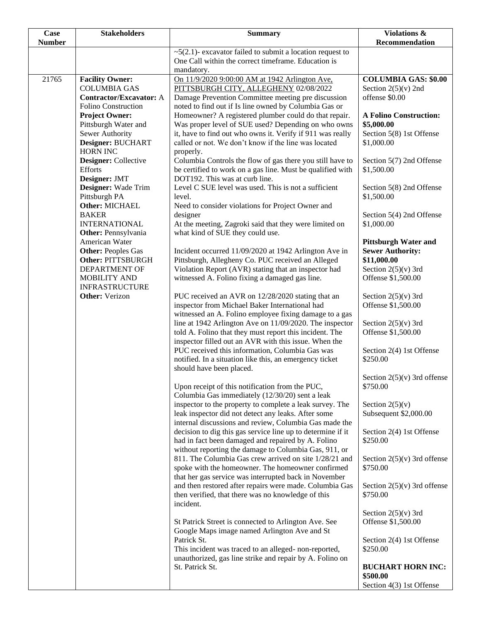| <b>Case</b>   | <b>Stakeholders</b>                           | <b>Summary</b>                                                                                                         | <b>Violations &amp;</b>                                |
|---------------|-----------------------------------------------|------------------------------------------------------------------------------------------------------------------------|--------------------------------------------------------|
| <b>Number</b> |                                               |                                                                                                                        | Recommendation                                         |
|               |                                               | $\sim$ 5(2.1)- excavator failed to submit a location request to<br>One Call within the correct timeframe. Education is |                                                        |
|               |                                               | mandatory.                                                                                                             |                                                        |
| 21765         | <b>Facility Owner:</b>                        | On 11/9/2020 9:00:00 AM at 1942 Arlington Ave,                                                                         | <b>COLUMBIA GAS: \$0.00</b>                            |
|               | <b>COLUMBIA GAS</b>                           | PITTSBURGH CITY, ALLEGHENY 02/08/2022                                                                                  | Section $2(5)(v)$ 2nd                                  |
|               | <b>Contractor/Excavator: A</b>                | Damage Prevention Committee meeting pre discussion                                                                     | offense \$0.00                                         |
|               | Folino Construction                           | noted to find out if Is line owned by Columbia Gas or                                                                  |                                                        |
|               | <b>Project Owner:</b><br>Pittsburgh Water and | Homeowner? A registered plumber could do that repair.<br>Was proper level of SUE used? Depending on who owns           | <b>A Folino Construction:</b><br>\$5,000.00            |
|               | Sewer Authority                               | it, have to find out who owns it. Verify if 911 was really                                                             | Section 5(8) 1st Offense                               |
|               | Designer: BUCHART                             | called or not. We don't know if the line was located                                                                   | \$1,000.00                                             |
|               | <b>HORN INC</b>                               | properly.                                                                                                              |                                                        |
|               | Designer: Collective                          | Columbia Controls the flow of gas there you still have to                                                              | Section 5(7) 2nd Offense                               |
|               | <b>Efforts</b>                                | be certified to work on a gas line. Must be qualified with                                                             | \$1,500.00                                             |
|               | Designer: JMT<br>Designer: Wade Trim          | DOT192. This was at curb line.<br>Level C SUE level was used. This is not a sufficient                                 | Section 5(8) 2nd Offense                               |
|               | Pittsburgh PA                                 | level.                                                                                                                 | \$1,500.00                                             |
|               | Other: MICHAEL                                | Need to consider violations for Project Owner and                                                                      |                                                        |
|               | <b>BAKER</b>                                  | designer                                                                                                               | Section 5(4) 2nd Offense                               |
|               | <b>INTERNATIONAL</b>                          | At the meeting, Zagroki said that they were limited on                                                                 | \$1,000.00                                             |
|               | Other: Pennsylvania                           | what kind of SUE they could use.                                                                                       |                                                        |
|               | American Water<br><b>Other: Peoples Gas</b>   | Incident occurred 11/09/2020 at 1942 Arlington Ave in                                                                  | <b>Pittsburgh Water and</b><br><b>Sewer Authority:</b> |
|               | <b>Other: PITTSBURGH</b>                      | Pittsburgh, Allegheny Co. PUC received an Alleged                                                                      | \$11,000.00                                            |
|               | DEPARTMENT OF                                 | Violation Report (AVR) stating that an inspector had                                                                   | Section $2(5)(v)$ 3rd                                  |
|               | <b>MOBILITY AND</b>                           | witnessed A. Folino fixing a damaged gas line.                                                                         | Offense \$1,500.00                                     |
|               | <b>INFRASTRUCTURE</b>                         |                                                                                                                        |                                                        |
|               | <b>Other:</b> Verizon                         | PUC received an AVR on 12/28/2020 stating that an                                                                      | Section $2(5)(v)$ 3rd                                  |
|               |                                               | inspector from Michael Baker International had<br>witnessed an A. Folino employee fixing damage to a gas               | Offense \$1,500.00                                     |
|               |                                               | line at 1942 Arlington Ave on 11/09/2020. The inspector                                                                | Section $2(5)(v)$ 3rd                                  |
|               |                                               | told A. Folino that they must report this incident. The                                                                | Offense \$1,500.00                                     |
|               |                                               | inspector filled out an AVR with this issue. When the                                                                  |                                                        |
|               |                                               | PUC received this information, Columbia Gas was                                                                        | Section 2(4) 1st Offense                               |
|               |                                               | notified. In a situation like this, an emergency ticket<br>should have been placed.                                    | \$250.00                                               |
|               |                                               |                                                                                                                        | Section $2(5)(v)$ 3rd offense                          |
|               |                                               | Upon receipt of this notification from the PUC,                                                                        | \$750.00                                               |
|               |                                               | Columbia Gas immediately (12/30/20) sent a leak                                                                        |                                                        |
|               |                                               | inspector to the property to complete a leak survey. The                                                               | Section $2(5)(v)$                                      |
|               |                                               | leak inspector did not detect any leaks. After some                                                                    | Subsequent \$2,000.00                                  |
|               |                                               | internal discussions and review, Columbia Gas made the<br>decision to dig this gas service line up to determine if it  | Section 2(4) 1st Offense                               |
|               |                                               | had in fact been damaged and repaired by A. Folino                                                                     | \$250.00                                               |
|               |                                               | without reporting the damage to Columbia Gas, 911, or                                                                  |                                                        |
|               |                                               | 811. The Columbia Gas crew arrived on site 1/28/21 and                                                                 | Section $2(5)(v)$ 3rd offense                          |
|               |                                               | spoke with the homeowner. The homeowner confirmed                                                                      | \$750.00                                               |
|               |                                               | that her gas service was interrupted back in November                                                                  |                                                        |
|               |                                               | and then restored after repairs were made. Columbia Gas<br>then verified, that there was no knowledge of this          | Section $2(5)(v)$ 3rd offense<br>\$750.00              |
|               |                                               | incident.                                                                                                              |                                                        |
|               |                                               |                                                                                                                        | Section $2(5)(v)$ 3rd                                  |
|               |                                               | St Patrick Street is connected to Arlington Ave. See                                                                   | Offense \$1,500.00                                     |
|               |                                               | Google Maps image named Arlington Ave and St                                                                           |                                                        |
|               |                                               | Patrick St.<br>This incident was traced to an alleged-non-reported,                                                    | Section 2(4) 1st Offense<br>\$250.00                   |
|               |                                               | unauthorized, gas line strike and repair by A. Folino on                                                               |                                                        |
|               |                                               | St. Patrick St.                                                                                                        | <b>BUCHART HORN INC:</b>                               |
|               |                                               |                                                                                                                        | \$500.00                                               |
|               |                                               |                                                                                                                        | Section 4(3) 1st Offense                               |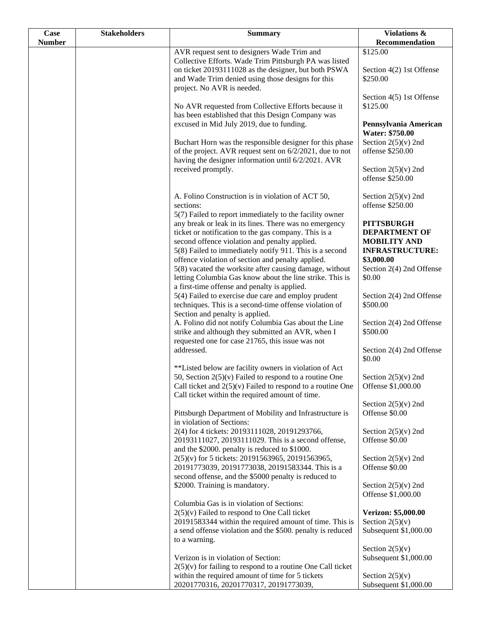| <b>Case</b>   | <b>Stakeholders</b> | <b>Summary</b>                                                                                                                                                                                                                                                                                                                                                                                         | Violations &                                                                                                                                   |
|---------------|---------------------|--------------------------------------------------------------------------------------------------------------------------------------------------------------------------------------------------------------------------------------------------------------------------------------------------------------------------------------------------------------------------------------------------------|------------------------------------------------------------------------------------------------------------------------------------------------|
| <b>Number</b> |                     |                                                                                                                                                                                                                                                                                                                                                                                                        | Recommendation                                                                                                                                 |
|               |                     | AVR request sent to designers Wade Trim and<br>Collective Efforts. Wade Trim Pittsburgh PA was listed<br>on ticket 20193111028 as the designer, but both PSWA<br>and Wade Trim denied using those designs for this<br>project. No AVR is needed.                                                                                                                                                       | \$125.00<br>Section 4(2) 1st Offense<br>\$250.00                                                                                               |
|               |                     | No AVR requested from Collective Efforts because it<br>has been established that this Design Company was                                                                                                                                                                                                                                                                                               | Section 4(5) 1st Offense<br>\$125.00                                                                                                           |
|               |                     | excused in Mid July 2019, due to funding.<br>Buchart Horn was the responsible designer for this phase<br>of the project. AVR request sent on 6/2/2021, due to not                                                                                                                                                                                                                                      | Pennsylvania American<br><b>Water: \$750.00</b><br>Section $2(5)(v)$ 2nd<br>offense \$250.00                                                   |
|               |                     | having the designer information until 6/2/2021. AVR<br>received promptly.                                                                                                                                                                                                                                                                                                                              | Section $2(5)(v)$ 2nd<br>offense \$250.00                                                                                                      |
|               |                     | A. Folino Construction is in violation of ACT 50,<br>sections:<br>5(7) Failed to report immediately to the facility owner                                                                                                                                                                                                                                                                              | Section $2(5)(v)$ 2nd<br>offense \$250.00                                                                                                      |
|               |                     | any break or leak in its lines. There was no emergency<br>ticket or notification to the gas company. This is a<br>second offence violation and penalty applied.<br>5(8) Failed to immediately notify 911. This is a second<br>offence violation of section and penalty applied.<br>5(8) vacated the worksite after causing damage, without<br>letting Columbia Gas know about the line strike. This is | <b>PITTSBURGH</b><br><b>DEPARTMENT OF</b><br><b>MOBILITY AND</b><br><b>INFRASTRUCTURE:</b><br>\$3,000.00<br>Section 2(4) 2nd Offense<br>\$0.00 |
|               |                     | a first-time offense and penalty is applied.<br>5(4) Failed to exercise due care and employ prudent<br>techniques. This is a second-time offense violation of<br>Section and penalty is applied.                                                                                                                                                                                                       | Section 2(4) 2nd Offense<br>\$500.00                                                                                                           |
|               |                     | A. Folino did not notify Columbia Gas about the Line<br>strike and although they submitted an AVR, when I<br>requested one for case 21765, this issue was not                                                                                                                                                                                                                                          | Section 2(4) 2nd Offense<br>\$500.00                                                                                                           |
|               |                     | addressed.<br>**Listed below are facility owners in violation of Act                                                                                                                                                                                                                                                                                                                                   | Section 2(4) 2nd Offense<br>\$0.00                                                                                                             |
|               |                     | 50, Section $2(5)(v)$ Failed to respond to a routine One<br>Call ticket and $2(5)(v)$ Failed to respond to a routine One<br>Call ticket within the required amount of time.                                                                                                                                                                                                                            | Section $2(5)(v)$ 2nd<br>Offense \$1,000.00                                                                                                    |
|               |                     | Pittsburgh Department of Mobility and Infrastructure is<br>in violation of Sections:                                                                                                                                                                                                                                                                                                                   | Section $2(5)(v)$ 2nd<br>Offense \$0.00                                                                                                        |
|               |                     | 2(4) for 4 tickets: 20193111028, 20191293766,<br>20193111027, 20193111029. This is a second offense,<br>and the \$2000. penalty is reduced to \$1000.                                                                                                                                                                                                                                                  | Section $2(5)(v)$ 2nd<br>Offense \$0.00                                                                                                        |
|               |                     | 2(5)(v) for 5 tickets: 20191563965, 20191563965,<br>20191773039, 20191773038, 20191583344. This is a<br>second offense, and the \$5000 penalty is reduced to                                                                                                                                                                                                                                           | Section $2(5)(v)$ 2nd<br>Offense \$0.00                                                                                                        |
|               |                     | \$2000. Training is mandatory.<br>Columbia Gas is in violation of Sections:                                                                                                                                                                                                                                                                                                                            | Section $2(5)(v)$ 2nd<br>Offense \$1,000.00                                                                                                    |
|               |                     | $2(5)(v)$ Failed to respond to One Call ticket<br>20191583344 within the required amount of time. This is<br>a send offense violation and the \$500. penalty is reduced<br>to a warning.                                                                                                                                                                                                               | Verizon: \$5,000.00<br>Section $2(5)(v)$<br>Subsequent \$1,000.00                                                                              |
|               |                     | Verizon is in violation of Section:<br>$2(5)(v)$ for failing to respond to a routine One Call ticket                                                                                                                                                                                                                                                                                                   | Section $2(5)(v)$<br>Subsequent \$1,000.00                                                                                                     |
|               |                     | within the required amount of time for 5 tickets<br>20201770316, 20201770317, 20191773039,                                                                                                                                                                                                                                                                                                             | Section $2(5)(v)$<br>Subsequent \$1,000.00                                                                                                     |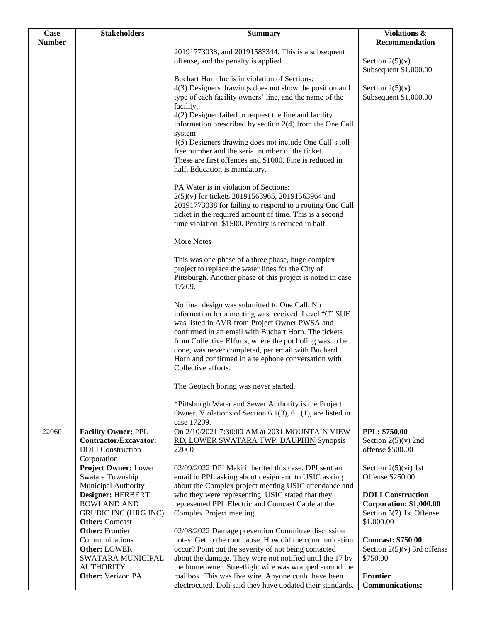| Case          | <b>Stakeholders</b>                                                                                      | <b>Summary</b>                                                                                                                                                                                                                                                                                                                                                                                                | <b>Violations &amp;</b>                                                                              |
|---------------|----------------------------------------------------------------------------------------------------------|---------------------------------------------------------------------------------------------------------------------------------------------------------------------------------------------------------------------------------------------------------------------------------------------------------------------------------------------------------------------------------------------------------------|------------------------------------------------------------------------------------------------------|
| <b>Number</b> |                                                                                                          |                                                                                                                                                                                                                                                                                                                                                                                                               | Recommendation                                                                                       |
|               |                                                                                                          | 20191773038, and 20191583344. This is a subsequent<br>offense, and the penalty is applied.                                                                                                                                                                                                                                                                                                                    | Section $2(5)(v)$<br>Subsequent \$1,000.00                                                           |
|               |                                                                                                          | Buchart Horn Inc is in violation of Sections:<br>4(3) Designers drawings does not show the position and<br>type of each facility owners' line, and the name of the<br>facility.                                                                                                                                                                                                                               | Section $2(5)(v)$<br>Subsequent \$1,000.00                                                           |
|               |                                                                                                          | 4(2) Designer failed to request the line and facility<br>information prescribed by section 2(4) from the One Call<br>system<br>4(5) Designers drawing does not include One Call's toll-                                                                                                                                                                                                                       |                                                                                                      |
|               |                                                                                                          | free number and the serial number of the ticket.<br>These are first offences and \$1000. Fine is reduced in<br>half. Education is mandatory.                                                                                                                                                                                                                                                                  |                                                                                                      |
|               |                                                                                                          | PA Water is in violation of Sections:<br>2(5)(v) for tickets 20191563965, 20191563964 and<br>20191773038 for failing to respond to a routing One Call<br>ticket in the required amount of time. This is a second<br>time violation. \$1500. Penalty is reduced in half.                                                                                                                                       |                                                                                                      |
|               |                                                                                                          | <b>More Notes</b>                                                                                                                                                                                                                                                                                                                                                                                             |                                                                                                      |
|               |                                                                                                          | This was one phase of a three phase, huge complex<br>project to replace the water lines for the City of<br>Pittsburgh. Another phase of this project is noted in case<br>17209.                                                                                                                                                                                                                               |                                                                                                      |
|               |                                                                                                          | No final design was submitted to One Call. No<br>information for a meeting was received. Level "C" SUE<br>was listed in AVR from Project Owner PWSA and<br>confirmed in an email with Buchart Horn. The tickets<br>from Collective Efforts, where the pot holing was to be<br>done, was never completed, per email with Buchard<br>Horn and confirmed in a telephone conversation with<br>Collective efforts. |                                                                                                      |
|               |                                                                                                          | The Geotech boring was never started.                                                                                                                                                                                                                                                                                                                                                                         |                                                                                                      |
|               |                                                                                                          | *Pittsburgh Water and Sewer Authority is the Project<br>Owner. Violations of Section 6.1(3), 6.1(1), are listed in<br>case 17209.                                                                                                                                                                                                                                                                             |                                                                                                      |
| 22060         | <b>Facility Owner: PPL</b><br><b>Contractor/Excavator:</b><br><b>DOLI</b> Construction<br>Corporation    | On 2/10/2021 7:30:00 AM at 2031 MOUNTAIN VIEW<br>RD, LOWER SWATARA TWP, DAUPHIN Synopsis<br>22060                                                                                                                                                                                                                                                                                                             | PPL: \$750.00<br>Section $2(5)(v)$ 2nd<br>offense \$500.00                                           |
|               | <b>Project Owner: Lower</b><br>Swatara Township<br>Municipal Authority                                   | 02/09/2022 DPI Maki inherited this case. DPI sent an<br>email to PPL asking about design and to USIC asking<br>about the Complex project meeting USIC attendance and                                                                                                                                                                                                                                          | Section $2(5)(vi)$ 1st<br>Offense \$250.00                                                           |
|               | Designer: HERBERT<br><b>ROWLAND AND</b><br><b>GRUBIC INC (HRG INC)</b><br><b>Other:</b> Comcast          | who they were representing. USIC stated that they<br>represented PPL Electric and Comcast Cable at the<br>Complex Project meeting.                                                                                                                                                                                                                                                                            | <b>DOLI</b> Construction<br><b>Corporation: \$1,000.00</b><br>Section 5(7) 1st Offense<br>\$1,000.00 |
|               | <b>Other: Frontier</b><br>Communications<br><b>Other: LOWER</b><br>SWATARA MUNICIPAL<br><b>AUTHORITY</b> | 02/08/2022 Damage prevention Committee discussion<br>notes: Get to the root cause. How did the communication<br>occur? Point out the severity of not being contacted<br>about the damage. They were not notified until the 17 by<br>the homeowner. Streetlight wire was wrapped around the                                                                                                                    | <b>Comcast: \$750.00</b><br>Section $2(5)(v)$ 3rd offense<br>\$750.00                                |
|               | <b>Other:</b> Verizon PA                                                                                 | mailbox. This was live wire. Anyone could have been<br>electrocuted. Doli said they have updated their standards.                                                                                                                                                                                                                                                                                             | <b>Frontier</b><br><b>Communications:</b>                                                            |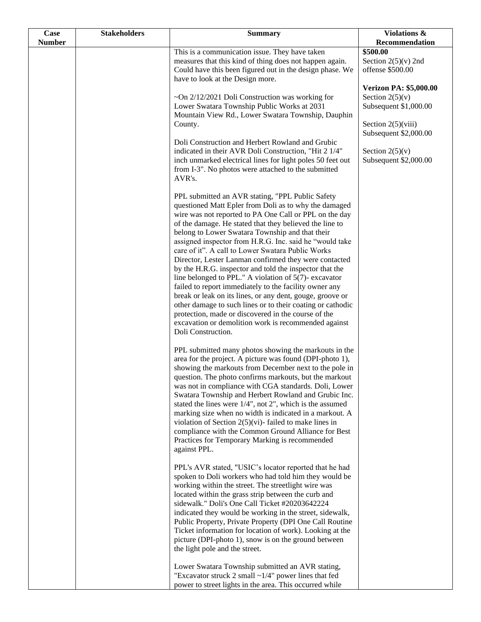| Case          | <b>Stakeholders</b> | <b>Summary</b>                                                                                                                                                                                                                                                                                                                                                                                                                                                                                                                                                                                                                                                                                                                                                                                                                                                                                              | Violations &                                  |
|---------------|---------------------|-------------------------------------------------------------------------------------------------------------------------------------------------------------------------------------------------------------------------------------------------------------------------------------------------------------------------------------------------------------------------------------------------------------------------------------------------------------------------------------------------------------------------------------------------------------------------------------------------------------------------------------------------------------------------------------------------------------------------------------------------------------------------------------------------------------------------------------------------------------------------------------------------------------|-----------------------------------------------|
| <b>Number</b> |                     | This is a communication issue. They have taken                                                                                                                                                                                                                                                                                                                                                                                                                                                                                                                                                                                                                                                                                                                                                                                                                                                              | Recommendation<br>\$500.00                    |
|               |                     | measures that this kind of thing does not happen again.<br>Could have this been figured out in the design phase. We                                                                                                                                                                                                                                                                                                                                                                                                                                                                                                                                                                                                                                                                                                                                                                                         | Section $2(5)(v)$ 2nd<br>offense \$500.00     |
|               |                     | have to look at the Design more.                                                                                                                                                                                                                                                                                                                                                                                                                                                                                                                                                                                                                                                                                                                                                                                                                                                                            | <b>Verizon PA: \$5,000.00</b>                 |
|               |                     | $\sim$ On 2/12/2021 Doli Construction was working for                                                                                                                                                                                                                                                                                                                                                                                                                                                                                                                                                                                                                                                                                                                                                                                                                                                       | Section $2(5)(v)$                             |
|               |                     | Lower Swatara Township Public Works at 2031<br>Mountain View Rd., Lower Swatara Township, Dauphin                                                                                                                                                                                                                                                                                                                                                                                                                                                                                                                                                                                                                                                                                                                                                                                                           | Subsequent \$1,000.00                         |
|               |                     | County.<br>Doli Construction and Herbert Rowland and Grubic                                                                                                                                                                                                                                                                                                                                                                                                                                                                                                                                                                                                                                                                                                                                                                                                                                                 | Section $2(5)(viii)$<br>Subsequent \$2,000.00 |
|               |                     | indicated in their AVR Doli Construction, "Hit 2 1/4"<br>inch unmarked electrical lines for light poles 50 feet out<br>from I-3". No photos were attached to the submitted<br>AVR's.                                                                                                                                                                                                                                                                                                                                                                                                                                                                                                                                                                                                                                                                                                                        | Section $2(5)(v)$<br>Subsequent \$2,000.00    |
|               |                     | PPL submitted an AVR stating, "PPL Public Safety<br>questioned Matt Epler from Doli as to why the damaged<br>wire was not reported to PA One Call or PPL on the day<br>of the damage. He stated that they believed the line to<br>belong to Lower Swatara Township and that their<br>assigned inspector from H.R.G. Inc. said he "would take<br>care of it". A call to Lower Swatara Public Works<br>Director, Lester Lanman confirmed they were contacted<br>by the H.R.G. inspector and told the inspector that the<br>line belonged to PPL." A violation of $5(7)$ - excavator<br>failed to report immediately to the facility owner any<br>break or leak on its lines, or any dent, gouge, groove or<br>other damage to such lines or to their coating or cathodic<br>protection, made or discovered in the course of the<br>excavation or demolition work is recommended against<br>Doli Construction. |                                               |
|               |                     | PPL submitted many photos showing the markouts in the<br>area for the project. A picture was found (DPI-photo 1),<br>showing the markouts from December next to the pole in<br>question. The photo confirms markouts, but the markout<br>was not in compliance with CGA standards. Doli, Lower<br>Swatara Township and Herbert Rowland and Grubic Inc.<br>stated the lines were 1/4", not 2", which is the assumed<br>marking size when no width is indicated in a markout. A<br>violation of Section $2(5)(vi)$ - failed to make lines in<br>compliance with the Common Ground Alliance for Best<br>Practices for Temporary Marking is recommended<br>against PPL.                                                                                                                                                                                                                                         |                                               |
|               |                     | PPL's AVR stated, "USIC's locator reported that he had<br>spoken to Doli workers who had told him they would be<br>working within the street. The streetlight wire was<br>located within the grass strip between the curb and<br>sidewalk." Doli's One Call Ticket #20203642224<br>indicated they would be working in the street, sidewalk,<br>Public Property, Private Property (DPI One Call Routine<br>Ticket information for location of work). Looking at the<br>picture (DPI-photo 1), snow is on the ground between<br>the light pole and the street.                                                                                                                                                                                                                                                                                                                                                |                                               |
|               |                     | Lower Swatara Township submitted an AVR stating,<br>"Excavator struck 2 small $\sim$ 1/4" power lines that fed<br>power to street lights in the area. This occurred while                                                                                                                                                                                                                                                                                                                                                                                                                                                                                                                                                                                                                                                                                                                                   |                                               |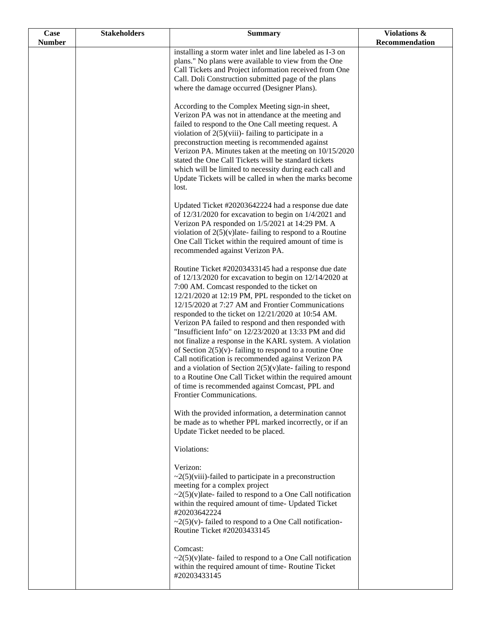| Case          | <b>Stakeholders</b> | <b>Summary</b>                                                                                                                                                                                                                                                                                                                                                                                                                                                                                                                                                                                                                                                                                                                                                                                                                                   | Violations &   |
|---------------|---------------------|--------------------------------------------------------------------------------------------------------------------------------------------------------------------------------------------------------------------------------------------------------------------------------------------------------------------------------------------------------------------------------------------------------------------------------------------------------------------------------------------------------------------------------------------------------------------------------------------------------------------------------------------------------------------------------------------------------------------------------------------------------------------------------------------------------------------------------------------------|----------------|
| <b>Number</b> |                     |                                                                                                                                                                                                                                                                                                                                                                                                                                                                                                                                                                                                                                                                                                                                                                                                                                                  | Recommendation |
|               |                     | installing a storm water inlet and line labeled as I-3 on<br>plans." No plans were available to view from the One<br>Call Tickets and Project information received from One<br>Call. Doli Construction submitted page of the plans<br>where the damage occurred (Designer Plans).                                                                                                                                                                                                                                                                                                                                                                                                                                                                                                                                                                |                |
|               |                     | According to the Complex Meeting sign-in sheet,<br>Verizon PA was not in attendance at the meeting and<br>failed to respond to the One Call meeting request. A<br>violation of $2(5)$ (viii)-failing to participate in a<br>preconstruction meeting is recommended against<br>Verizon PA. Minutes taken at the meeting on 10/15/2020<br>stated the One Call Tickets will be standard tickets<br>which will be limited to necessity during each call and<br>Update Tickets will be called in when the marks become<br>lost.                                                                                                                                                                                                                                                                                                                       |                |
|               |                     | Updated Ticket #20203642224 had a response due date<br>of $12/31/2020$ for excavation to begin on $1/4/2021$ and<br>Verizon PA responded on 1/5/2021 at 14:29 PM. A<br>violation of $2(5)(v)$ late-failing to respond to a Routine<br>One Call Ticket within the required amount of time is<br>recommended against Verizon PA.                                                                                                                                                                                                                                                                                                                                                                                                                                                                                                                   |                |
|               |                     | Routine Ticket #20203433145 had a response due date<br>of $12/13/2020$ for excavation to begin on $12/14/2020$ at<br>7:00 AM. Comcast responded to the ticket on<br>12/21/2020 at 12:19 PM, PPL responded to the ticket on<br>12/15/2020 at 7:27 AM and Frontier Communications<br>responded to the ticket on 12/21/2020 at 10:54 AM.<br>Verizon PA failed to respond and then responded with<br>"Insufficient Info" on 12/23/2020 at 13:33 PM and did<br>not finalize a response in the KARL system. A violation<br>of Section $2(5)(v)$ - failing to respond to a routine One<br>Call notification is recommended against Verizon PA<br>and a violation of Section $2(5)(v)$ late-failing to respond<br>to a Routine One Call Ticket within the required amount<br>of time is recommended against Comcast, PPL and<br>Frontier Communications. |                |
|               |                     | With the provided information, a determination cannot<br>be made as to whether PPL marked incorrectly, or if an<br>Update Ticket needed to be placed.                                                                                                                                                                                                                                                                                                                                                                                                                                                                                                                                                                                                                                                                                            |                |
|               |                     | Violations:<br>Verizon:<br>$\sim$ 2(5)(viii)-failed to participate in a preconstruction<br>meeting for a complex project<br>$\sim$ 2(5)(v) late-failed to respond to a One Call notification<br>within the required amount of time- Updated Ticket<br>#20203642224<br>$\sim$ 2(5)(v)-failed to respond to a One Call notification-<br>Routine Ticket #20203433145<br>Comcast:<br>$\sim$ 2(5)(v) late-failed to respond to a One Call notification                                                                                                                                                                                                                                                                                                                                                                                                |                |
|               |                     | within the required amount of time-Routine Ticket<br>#20203433145                                                                                                                                                                                                                                                                                                                                                                                                                                                                                                                                                                                                                                                                                                                                                                                |                |